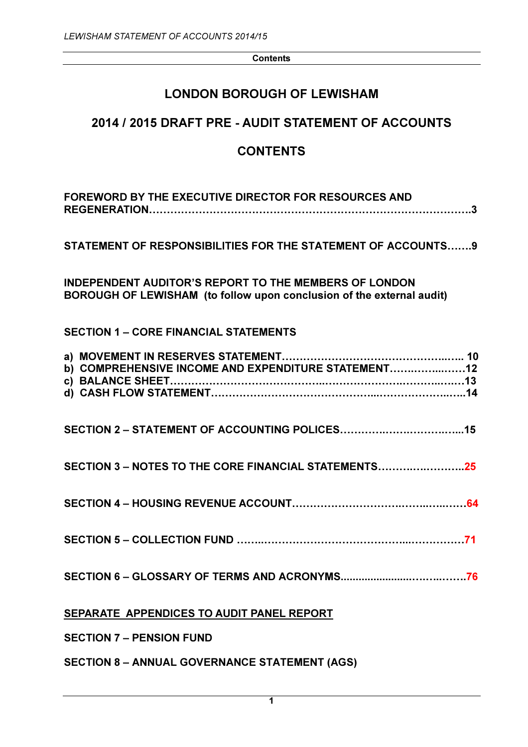**Contents** 

# LONDON BOROUGH OF LEWISHAM

# 2014 / 2015 DRAFT PRE - AUDIT STATEMENT OF ACCOUNTS

# CONTENTS

| <b>FOREWORD BY THE EXECUTIVE DIRECTOR FOR RESOURCES AND</b>                                                                           |
|---------------------------------------------------------------------------------------------------------------------------------------|
| STATEMENT OF RESPONSIBILITIES FOR THE STATEMENT OF ACCOUNTS 9                                                                         |
| <b>INDEPENDENT AUDITOR'S REPORT TO THE MEMBERS OF LONDON</b><br>BOROUGH OF LEWISHAM (to follow upon conclusion of the external audit) |
| <b>SECTION 1 - CORE FINANCIAL STATEMENTS</b>                                                                                          |
| b) COMPREHENSIVE INCOME AND EXPENDITURE STATEMENT12                                                                                   |
|                                                                                                                                       |
| SECTION 3 – NOTES TO THE CORE FINANCIAL STATEMENTS25                                                                                  |
|                                                                                                                                       |
|                                                                                                                                       |
|                                                                                                                                       |
| SEPARATE APPENDICES TO AUDIT PANEL REPORT                                                                                             |
| <b>SECTION 7 – PENSION FUND</b>                                                                                                       |
| <b>SECTION 8 - ANNUAL GOVERNANCE STATEMENT (AGS)</b>                                                                                  |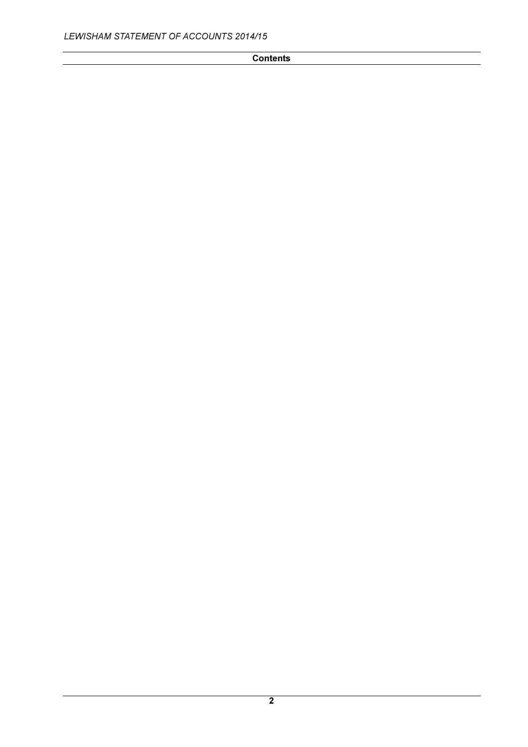# **Contents**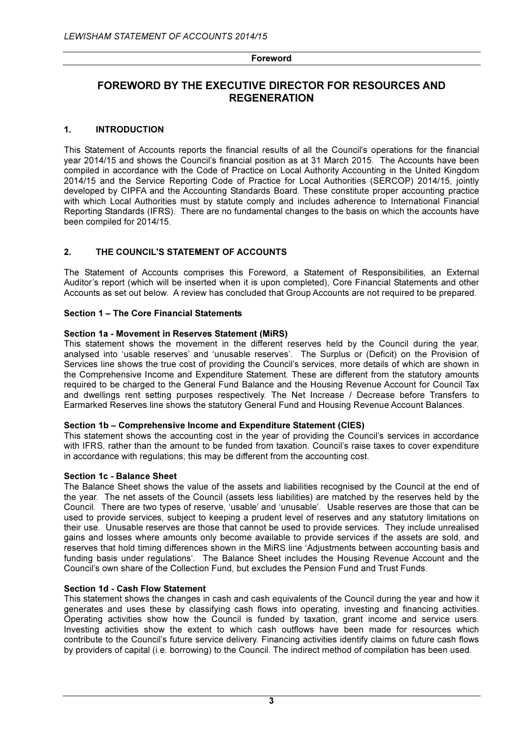# FOREWORD BY THE EXECUTIVE DIRECTOR FOR RESOURCES AND **REGENERATION**

# 1. INTRODUCTION

This Statement of Accounts reports the financial results of all the Council's operations for the financial year 2014/15 and shows the Council's financial position as at 31 March 2015. The Accounts have been compiled in accordance with the Code of Practice on Local Authority Accounting in the United Kingdom 2014/15 and the Service Reporting Code of Practice for Local Authorities (SERCOP) 2014/15, jointly developed by CIPFA and the Accounting Standards Board. These constitute proper accounting practice with which Local Authorities must by statute comply and includes adherence to International Financial Reporting Standards (IFRS). There are no fundamental changes to the basis on which the accounts have been compiled for 2014/15.

# 2. THE COUNCIL'S STATEMENT OF ACCOUNTS

The Statement of Accounts comprises this Foreword, a Statement of Responsibilities, an External Auditor's report (which will be inserted when it is upon completed), Core Financial Statements and other Accounts as set out below. A review has concluded that Group Accounts are not required to be prepared.

# Section 1 – The Core Financial Statements

# Section 1a - Movement in Reserves Statement (MiRS)

This statement shows the movement in the different reserves held by the Council during the year, analysed into 'usable reserves' and 'unusable reserves'. The Surplus or (Deficit) on the Provision of Services line shows the true cost of providing the Council's services, more details of which are shown in the Comprehensive Income and Expenditure Statement. These are different from the statutory amounts required to be charged to the General Fund Balance and the Housing Revenue Account for Council Tax and dwellings rent setting purposes respectively. The Net Increase / Decrease before Transfers to Earmarked Reserves line shows the statutory General Fund and Housing Revenue Account Balances.

#### Section 1b – Comprehensive Income and Expenditure Statement (CIES)

This statement shows the accounting cost in the year of providing the Council's services in accordance with IFRS, rather than the amount to be funded from taxation. Council's raise taxes to cover expenditure in accordance with regulations; this may be different from the accounting cost.

#### Section 1c - Balance Sheet

The Balance Sheet shows the value of the assets and liabilities recognised by the Council at the end of the year. The net assets of the Council (assets less liabilities) are matched by the reserves held by the Council. There are two types of reserve, 'usable' and 'unusable'. Usable reserves are those that can be used to provide services, subject to keeping a prudent level of reserves and any statutory limitations on their use. Unusable reserves are those that cannot be used to provide services. They include unrealised gains and losses where amounts only become available to provide services if the assets are sold, and reserves that hold timing differences shown in the MiRS line 'Adjustments between accounting basis and funding basis under regulations'. The Balance Sheet includes the Housing Revenue Account and the Council's own share of the Collection Fund, but excludes the Pension Fund and Trust Funds.

#### Section 1d - Cash Flow Statement

This statement shows the changes in cash and cash equivalents of the Council during the year and how it generates and uses these by classifying cash flows into operating, investing and financing activities. Operating activities show how the Council is funded by taxation, grant income and service users. Investing activities show the extent to which cash outflows have been made for resources which contribute to the Council's future service delivery. Financing activities identify claims on future cash flows by providers of capital (i.e. borrowing) to the Council. The indirect method of compilation has been used.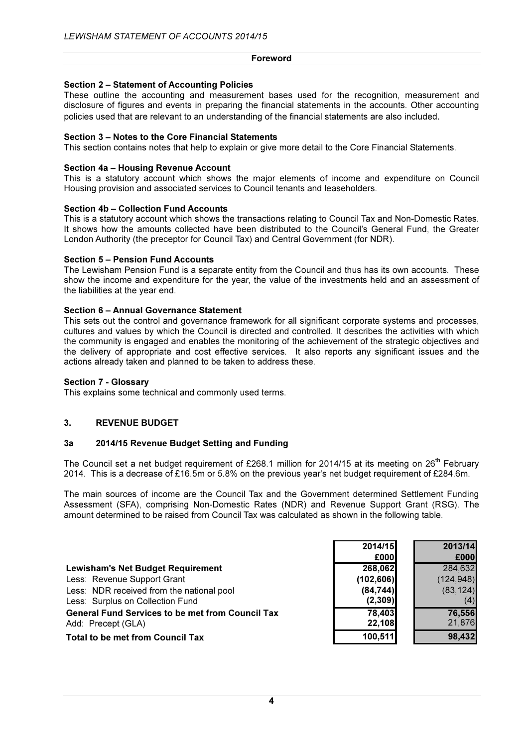# Section 2 – Statement of Accounting Policies

These outline the accounting and measurement bases used for the recognition, measurement and disclosure of figures and events in preparing the financial statements in the accounts. Other accounting policies used that are relevant to an understanding of the financial statements are also included.

# Section 3 – Notes to the Core Financial Statements

This section contains notes that help to explain or give more detail to the Core Financial Statements.

# Section 4a – Housing Revenue Account

This is a statutory account which shows the major elements of income and expenditure on Council Housing provision and associated services to Council tenants and leaseholders.

#### Section 4b – Collection Fund Accounts

This is a statutory account which shows the transactions relating to Council Tax and Non-Domestic Rates. It shows how the amounts collected have been distributed to the Council's General Fund, the Greater London Authority (the preceptor for Council Tax) and Central Government (for NDR).

#### Section 5 – Pension Fund Accounts

The Lewisham Pension Fund is a separate entity from the Council and thus has its own accounts. These show the income and expenditure for the year, the value of the investments held and an assessment of the liabilities at the year end.

#### Section 6 – Annual Governance Statement

This sets out the control and governance framework for all significant corporate systems and processes, cultures and values by which the Council is directed and controlled. It describes the activities with which the community is engaged and enables the monitoring of the achievement of the strategic objectives and the delivery of appropriate and cost effective services. It also reports any significant issues and the actions already taken and planned to be taken to address these.

#### Section 7 - Glossary

This explains some technical and commonly used terms.

# 3. REVENUE BUDGET

#### 3a 2014/15 Revenue Budget Setting and Funding

The Council set a net budget requirement of £268.1 million for 2014/15 at its meeting on 26<sup>th</sup> February 2014. This is a decrease of £16.5m or 5.8% on the previous year's net budget requirement of £284.6m.

The main sources of income are the Council Tax and the Government determined Settlement Funding Assessment (SFA), comprising Non-Domestic Rates (NDR) and Revenue Support Grant (RSG). The amount determined to be raised from Council Tax was calculated as shown in the following table.

|                                                         | 2014/15    | 2013/14    |
|---------------------------------------------------------|------------|------------|
|                                                         | £000       | £000       |
| <b>Lewisham's Net Budget Requirement</b>                | 268,062    | 284,632    |
| Less: Revenue Support Grant                             | (102, 606) | (124, 948) |
| Less: NDR received from the national pool               | (84, 744)  | (83, 124)  |
| Less: Surplus on Collection Fund                        | (2, 309)   |            |
| <b>General Fund Services to be met from Council Tax</b> | 78,403     | 76,556     |
| Add: Precept (GLA)                                      | 22,108     | 21,876     |
| <b>Total to be met from Council Tax</b>                 | 100,511    | 98,432     |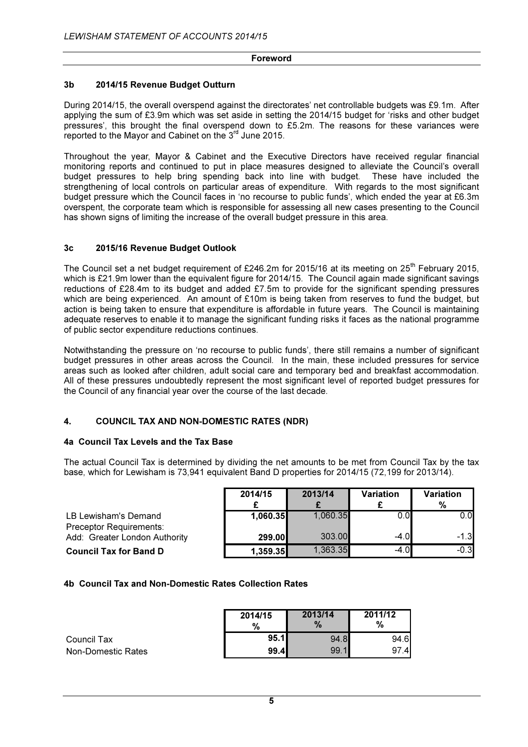## 3b 2014/15 Revenue Budget Outturn

During 2014/15, the overall overspend against the directorates' net controllable budgets was £9.1m. After applying the sum of £3.9m which was set aside in setting the 2014/15 budget for 'risks and other budget pressures', this brought the final overspend down to £5.2m. The reasons for these variances were reported to the Mayor and Cabinet on the 3<sup>rd</sup> June 2015.

Throughout the year, Mayor & Cabinet and the Executive Directors have received regular financial monitoring reports and continued to put in place measures designed to alleviate the Council's overall budget pressures to help bring spending back into line with budget. These have included the strengthening of local controls on particular areas of expenditure. With regards to the most significant budget pressure which the Council faces in 'no recourse to public funds', which ended the year at £6.3m overspent, the corporate team which is responsible for assessing all new cases presenting to the Council has shown signs of limiting the increase of the overall budget pressure in this area.

# 3c 2015/16 Revenue Budget Outlook

The Council set a net budget requirement of £246.2m for 2015/16 at its meeting on  $25<sup>th</sup>$  February 2015, which is £21.9m lower than the equivalent figure for 2014/15. The Council again made significant savings reductions of £28.4m to its budget and added £7.5m to provide for the significant spending pressures which are being experienced. An amount of £10m is being taken from reserves to fund the budget, but action is being taken to ensure that expenditure is affordable in future years. The Council is maintaining adequate reserves to enable it to manage the significant funding risks it faces as the national programme of public sector expenditure reductions continues.

Notwithstanding the pressure on 'no recourse to public funds', there still remains a number of significant budget pressures in other areas across the Council. In the main, these included pressures for service areas such as looked after children, adult social care and temporary bed and breakfast accommodation. All of these pressures undoubtedly represent the most significant level of reported budget pressures for the Council of any financial year over the course of the last decade.

# 4. COUNCIL TAX AND NON-DOMESTIC RATES (NDR)

# 4a Council Tax Levels and the Tax Base

The actual Council Tax is determined by dividing the net amounts to be met from Council Tax by the tax base, which for Lewisham is 73,941 equivalent Band D properties for 2014/15 (72,199 for 2013/14).

|                                                        | 2014/15  | 2013/14  | <b>Variation</b> | <b>Variation</b><br>% |
|--------------------------------------------------------|----------|----------|------------------|-----------------------|
| LB Lewisham's Demand<br><b>Preceptor Requirements:</b> | 1,060.35 | 1,060.35 | 0.OI             | 0.0                   |
| Add: Greater London Authority                          | 299.00   | 303.00   | $-4.0$           | $-1.3$                |
| <b>Council Tax for Band D</b>                          | 1,359.35 | 1,363.35 | $-4.0$           | $-0.3$                |

#### 4b Council Tax and Non-Domestic Rates Collection Rates

|                    | 2014/15<br>% | 2013/14<br>$\%$ | 2011/12<br>% |
|--------------------|--------------|-----------------|--------------|
| Council Tax        | 95.11        | 94.8            | 94.6         |
| Non-Domestic Rates | 99.4I        | 99.1            | 97.4         |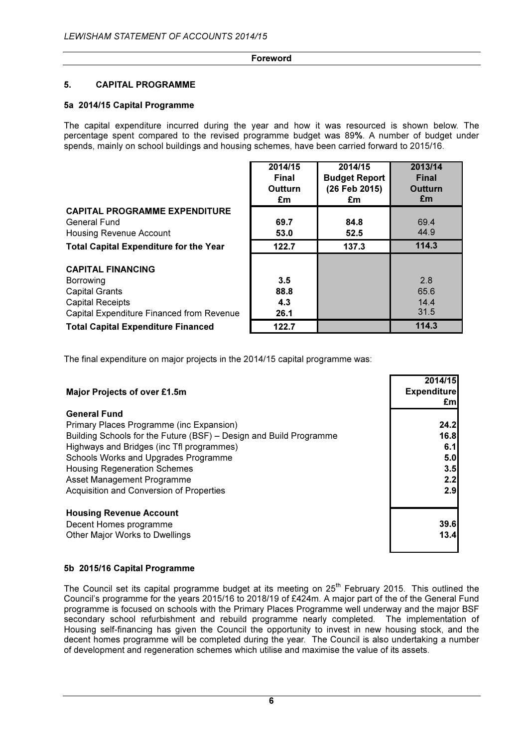# 5. CAPITAL PROGRAMME

# 5a 2014/15 Capital Programme

The capital expenditure incurred during the year and how it was resourced is shown below. The percentage spent compared to the revised programme budget was 89%. A number of budget under spends, mainly on school buildings and housing schemes, have been carried forward to 2015/16.

|                                                                                                                                        | 2014/15<br>Final<br><b>Outturn</b><br>£m | 2014/15<br><b>Budget Report</b><br>(26 Feb 2015)<br>£m | 2013/14<br><b>Final</b><br><b>Outturn</b><br>£m |
|----------------------------------------------------------------------------------------------------------------------------------------|------------------------------------------|--------------------------------------------------------|-------------------------------------------------|
| <b>CAPITAL PROGRAMME EXPENDITURE</b>                                                                                                   |                                          |                                                        |                                                 |
| General Fund<br>Housing Revenue Account                                                                                                | 69.7<br>53.0                             | 84.8<br>52.5                                           | 69.4<br>44.9                                    |
| <b>Total Capital Expenditure for the Year</b>                                                                                          | 122.7                                    | 137.3                                                  | 114.3                                           |
| <b>CAPITAL FINANCING</b><br>Borrowing<br><b>Capital Grants</b><br><b>Capital Receipts</b><br>Capital Expenditure Financed from Revenue | 3.5<br>88.8<br>4.3<br>26.1               |                                                        | 2.8<br>65.6<br>14.4<br>31.5                     |
| <b>Total Capital Expenditure Financed</b>                                                                                              | 122.7                                    |                                                        | 114.3                                           |

The final expenditure on major projects in the 2014/15 capital programme was:

| <b>Major Projects of over £1.5m</b>                                | 2014/15<br><b>Expenditure</b><br>£ml |
|--------------------------------------------------------------------|--------------------------------------|
| <b>General Fund</b>                                                |                                      |
| Primary Places Programme (inc Expansion)                           | 24.2                                 |
| Building Schools for the Future (BSF) – Design and Build Programme | 16.8                                 |
| Highways and Bridges (inc Tfl programmes)                          | 6.1                                  |
| Schools Works and Upgrades Programme                               | 5.0                                  |
| <b>Housing Regeneration Schemes</b>                                | 3.5                                  |
| Asset Management Programme                                         | 2.2                                  |
| Acquisition and Conversion of Properties                           | 2.9                                  |
| <b>Housing Revenue Account</b>                                     |                                      |
| Decent Homes programme                                             | 39.6                                 |
| Other Major Works to Dwellings                                     | 13.4                                 |

#### 5b 2015/16 Capital Programme

The Council set its capital programme budget at its meeting on 25<sup>th</sup> February 2015. This outlined the Council's programme for the years 2015/16 to 2018/19 of £424m. A major part of the of the General Fund programme is focused on schools with the Primary Places Programme well underway and the major BSF secondary school refurbishment and rebuild programme nearly completed. The implementation of Housing self-financing has given the Council the opportunity to invest in new housing stock, and the decent homes programme will be completed during the year. The Council is also undertaking a number of development and regeneration schemes which utilise and maximise the value of its assets.

6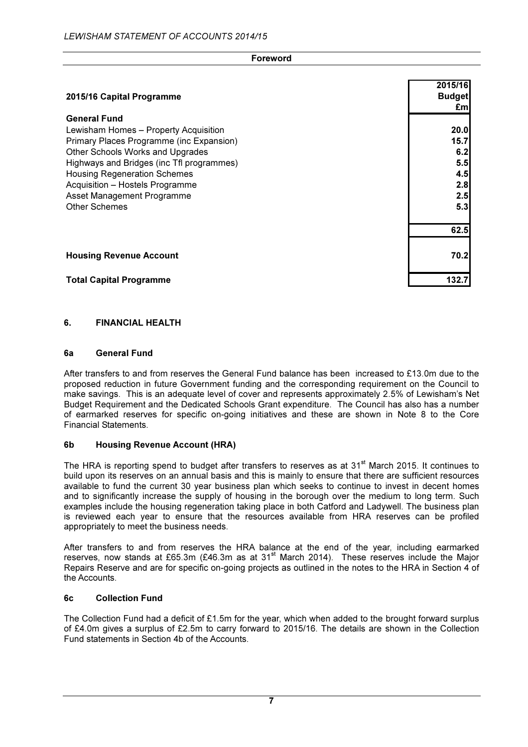| <b>Foreword</b>                                                                                                                                                                                                                                                                                                           |                                                        |
|---------------------------------------------------------------------------------------------------------------------------------------------------------------------------------------------------------------------------------------------------------------------------------------------------------------------------|--------------------------------------------------------|
| 2015/16 Capital Programme                                                                                                                                                                                                                                                                                                 | 2015/16<br><b>Budget</b><br>£m                         |
| <b>General Fund</b><br>Lewisham Homes - Property Acquisition<br>Primary Places Programme (inc Expansion)<br>Other Schools Works and Upgrades<br>Highways and Bridges (inc Tfl programmes)<br><b>Housing Regeneration Schemes</b><br>Acquisition - Hostels Programme<br>Asset Management Programme<br><b>Other Schemes</b> | 20.0<br>15.7<br>6.2<br>5.5<br>4.5<br>2.8<br>2.5<br>5.3 |
|                                                                                                                                                                                                                                                                                                                           | 62.5                                                   |
| <b>Housing Revenue Account</b>                                                                                                                                                                                                                                                                                            | 70.2                                                   |
| <b>Total Capital Programme</b>                                                                                                                                                                                                                                                                                            | 132.7                                                  |

#### 6. FINANCIAL HEALTH

#### 6a General Fund

After transfers to and from reserves the General Fund balance has been increased to £13.0m due to the proposed reduction in future Government funding and the corresponding requirement on the Council to make savings. This is an adequate level of cover and represents approximately 2.5% of Lewisham's Net Budget Requirement and the Dedicated Schools Grant expenditure. The Council has also has a number of earmarked reserves for specific on-going initiatives and these are shown in Note 8 to the Core Financial Statements.

#### 6b Housing Revenue Account (HRA)

The HRA is reporting spend to budget after transfers to reserves as at 31<sup>st</sup> March 2015. It continues to build upon its reserves on an annual basis and this is mainly to ensure that there are sufficient resources available to fund the current 30 year business plan which seeks to continue to invest in decent homes and to significantly increase the supply of housing in the borough over the medium to long term. Such examples include the housing regeneration taking place in both Catford and Ladywell. The business plan is reviewed each year to ensure that the resources available from HRA reserves can be profiled appropriately to meet the business needs.

After transfers to and from reserves the HRA balance at the end of the year, including earmarked reserves, now stands at £65.3m (£46.3m as at 31<sup>st</sup> March 2014). These reserves include the Major Repairs Reserve and are for specific on-going projects as outlined in the notes to the HRA in Section 4 of the Accounts.

#### 6c Collection Fund

The Collection Fund had a deficit of £1.5m for the year, which when added to the brought forward surplus of £4.0m gives a surplus of £2.5m to carry forward to 2015/16. The details are shown in the Collection Fund statements in Section 4b of the Accounts.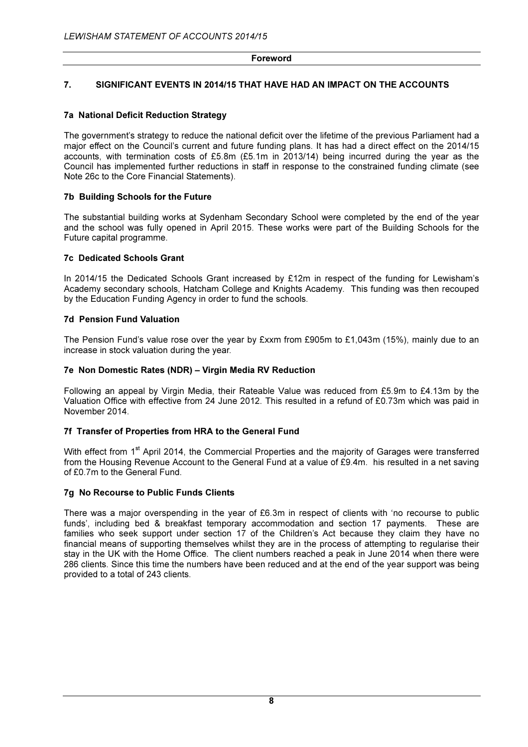# 7. SIGNIFICANT EVENTS IN 2014/15 THAT HAVE HAD AN IMPACT ON THE ACCOUNTS

#### 7a National Deficit Reduction Strategy

The government's strategy to reduce the national deficit over the lifetime of the previous Parliament had a major effect on the Council's current and future funding plans. It has had a direct effect on the 2014/15 accounts, with termination costs of £5.8m (£5.1m in 2013/14) being incurred during the year as the Council has implemented further reductions in staff in response to the constrained funding climate (see Note 26c to the Core Financial Statements).

#### 7b Building Schools for the Future

The substantial building works at Sydenham Secondary School were completed by the end of the year and the school was fully opened in April 2015. These works were part of the Building Schools for the Future capital programme.

#### 7c Dedicated Schools Grant

In 2014/15 the Dedicated Schools Grant increased by £12m in respect of the funding for Lewisham's Academy secondary schools, Hatcham College and Knights Academy. This funding was then recouped by the Education Funding Agency in order to fund the schools.

## 7d Pension Fund Valuation

The Pension Fund's value rose over the year by £xxm from £905m to £1,043m (15%), mainly due to an increase in stock valuation during the year.

#### 7e Non Domestic Rates (NDR) – Virgin Media RV Reduction

Following an appeal by Virgin Media, their Rateable Value was reduced from £5.9m to £4.13m by the Valuation Office with effective from 24 June 2012. This resulted in a refund of £0.73m which was paid in November 2014.

#### 7f Transfer of Properties from HRA to the General Fund

With effect from 1<sup>st</sup> April 2014, the Commercial Properties and the majority of Garages were transferred from the Housing Revenue Account to the General Fund at a value of £9.4m. his resulted in a net saving of £0.7m to the General Fund.

#### 7g No Recourse to Public Funds Clients

There was a major overspending in the year of £6.3m in respect of clients with 'no recourse to public funds', including bed & breakfast temporary accommodation and section 17 payments. These are families who seek support under section 17 of the Children's Act because they claim they have no financial means of supporting themselves whilst they are in the process of attempting to regularise their stay in the UK with the Home Office. The client numbers reached a peak in June 2014 when there were 286 clients. Since this time the numbers have been reduced and at the end of the year support was being provided to a total of 243 clients.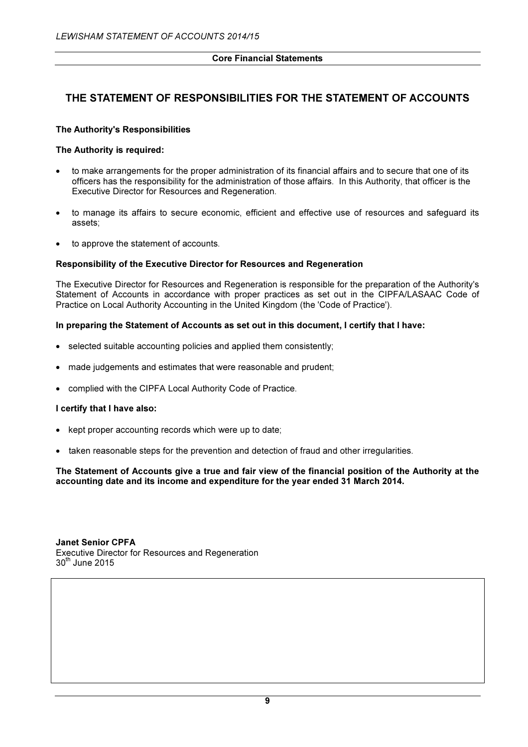# THE STATEMENT OF RESPONSIBILITIES FOR THE STATEMENT OF ACCOUNTS

# The Authority's Responsibilities

#### The Authority is required:

- to make arrangements for the proper administration of its financial affairs and to secure that one of its officers has the responsibility for the administration of those affairs. In this Authority, that officer is the Executive Director for Resources and Regeneration.
- to manage its affairs to secure economic, efficient and effective use of resources and safeguard its assets;
- to approve the statement of accounts.

#### Responsibility of the Executive Director for Resources and Regeneration

The Executive Director for Resources and Regeneration is responsible for the preparation of the Authority's Statement of Accounts in accordance with proper practices as set out in the CIPFA/LASAAC Code of Practice on Local Authority Accounting in the United Kingdom (the 'Code of Practice').

# In preparing the Statement of Accounts as set out in this document, I certify that I have:

- selected suitable accounting policies and applied them consistently;
- made judgements and estimates that were reasonable and prudent;
- complied with the CIPFA Local Authority Code of Practice.

#### I certify that I have also:

- kept proper accounting records which were up to date;
- taken reasonable steps for the prevention and detection of fraud and other irregularities.

#### The Statement of Accounts give a true and fair view of the financial position of the Authority at the accounting date and its income and expenditure for the year ended 31 March 2014.

Janet Senior CPFA Executive Director for Resources and Regeneration 30th June 2015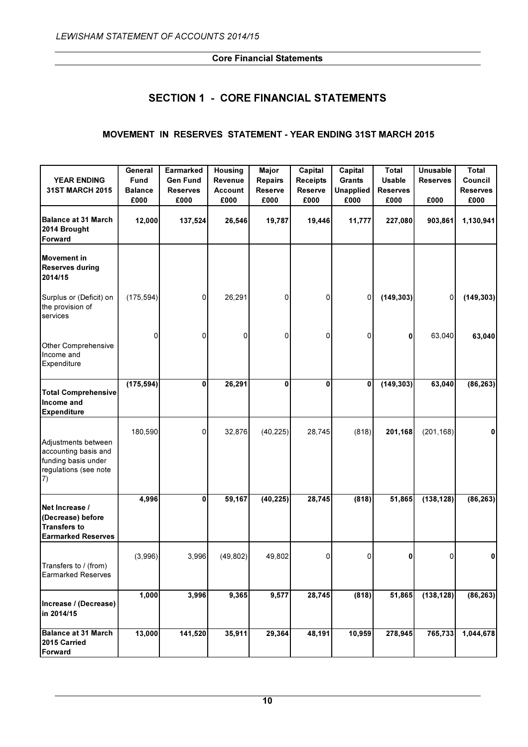# SECTION 1 - CORE FINANCIAL STATEMENTS

# MOVEMENT IN RESERVES STATEMENT - YEAR ENDING 31ST MARCH 2015

|                                                                                                   | General        | <b>Earmarked</b> | <b>Housing</b> | <b>Major</b>   | Capital         | Capital          | <b>Total</b>    | <b>Unusable</b> | <b>Total</b>    |
|---------------------------------------------------------------------------------------------------|----------------|------------------|----------------|----------------|-----------------|------------------|-----------------|-----------------|-----------------|
| <b>YEAR ENDING</b>                                                                                | Fund           | <b>Gen Fund</b>  | Revenue        | <b>Repairs</b> | <b>Receipts</b> | Grants           | <b>Usable</b>   | <b>Reserves</b> | Council         |
| 31ST MARCH 2015                                                                                   | <b>Balance</b> | <b>Reserves</b>  | <b>Account</b> | <b>Reserve</b> | <b>Reserve</b>  | <b>Unapplied</b> | <b>Reserves</b> |                 | <b>Reserves</b> |
|                                                                                                   | £000           | £000             | £000           | £000           | £000            | £000             | £000            | £000            | £000            |
| <b>Balance at 31 March</b><br>2014 Brought<br>Forward                                             | 12,000         | 137,524          | 26,546         | 19,787         | 19,446          | 11,777           | 227,080         | 903,861         | 1,130,941       |
| <b>Movement in</b><br><b>Reserves during</b><br>2014/15                                           |                |                  |                |                |                 |                  |                 |                 |                 |
| Surplus or (Deficit) on<br>the provision of<br>services                                           | (175, 594)     | $\Omega$         | 26,291         | 0              | 0               | 0                | (149, 303)      | $\Omega$        | (149, 303)      |
| Other Comprehensive<br>Income and<br>Expenditure                                                  | 0              | 0                | 0              | 0              | 0               | 0                | 0               | 63,040          | 63,040          |
| <b>Total Comprehensive</b><br>Income and<br><b>Expenditure</b>                                    | (175, 594)     | 0                | 26,291         | 0              | $\bf{0}$        | 0                | (149, 303)      | 63,040          | (86, 263)       |
| Adjustments between<br>accounting basis and<br>funding basis under<br>regulations (see note<br>7) | 180,590        | 0                | 32,876         | (40, 225)      | 28,745          | (818)            | 201,168         | (201, 168)      | 0               |
| Net Increase /<br>(Decrease) before<br><b>Transfers to</b><br><b>Earmarked Reserves</b>           | 4,996          | 0                | 59,167         | (40, 225)      | 28,745          | (818)            | 51,865          | (138, 128)      | (86, 263)       |
| Transfers to / (from)<br><b>Earmarked Reserves</b>                                                | (3,996)        | 3,996            | (49, 802)      | 49,802         | 0               | 0                | 0               | 0               | 0               |
| Increase / (Decrease)<br>in 2014/15                                                               | 1,000          | 3,996            | 9,365          | 9,577          | 28,745          | (818)            | 51,865          | (138, 128)      | (86, 263)       |
| <b>Balance at 31 March</b><br>2015 Carried<br><b>Forward</b>                                      | 13,000         | 141,520          | 35,911         | 29,364         | 48,191          | 10,959           | 278,945         | 765,733         | 1,044,678       |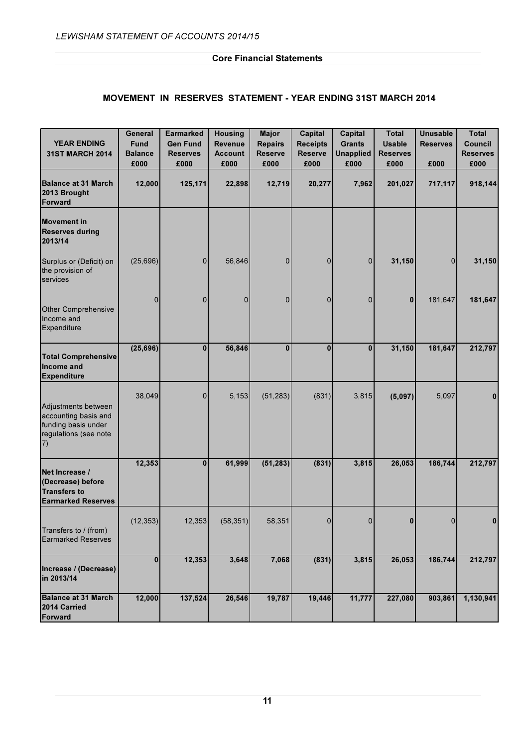# MOVEMENT IN RESERVES STATEMENT - YEAR ENDING 31ST MARCH 2014

| <b>YEAR ENDING</b><br><b>31ST MARCH 2014</b>                                                       | General<br><b>Fund</b><br><b>Balance</b><br>£000 | <b>Earmarked</b><br><b>Gen Fund</b><br><b>Reserves</b><br>£000 | <b>Housing</b><br><b>Revenue</b><br><b>Account</b><br>£000 | <b>Major</b><br><b>Repairs</b><br><b>Reserve</b><br>£000 | Capital<br><b>Receipts</b><br><b>Reserve</b><br>£000 | <b>Capital</b><br><b>Grants</b><br><b>Unapplied</b><br>£000 | <b>Total</b><br><b>Usable</b><br><b>Reserves</b><br>£000 | <b>Unusable</b><br><b>Reserves</b><br>£000 | <b>Total</b><br><b>Council</b><br><b>Reserves</b><br>£000 |
|----------------------------------------------------------------------------------------------------|--------------------------------------------------|----------------------------------------------------------------|------------------------------------------------------------|----------------------------------------------------------|------------------------------------------------------|-------------------------------------------------------------|----------------------------------------------------------|--------------------------------------------|-----------------------------------------------------------|
| Balance at 31 March<br>2013 Brought<br>Forward                                                     | 12,000                                           | 125,171                                                        | 22,898                                                     | 12,719                                                   | 20,277                                               | 7,962                                                       | 201,027                                                  | 717,117                                    | 918,144                                                   |
| <b>Movement in</b><br><b>Reserves during</b><br>2013/14                                            |                                                  |                                                                |                                                            |                                                          |                                                      |                                                             |                                                          |                                            |                                                           |
| Surplus or (Deficit) on<br>the provision of<br>services                                            | (25,696)                                         | 0                                                              | 56,846                                                     | 0                                                        | 0                                                    | 0                                                           | 31,150                                                   | $\overline{0}$                             | 31,150                                                    |
| <b>Other Comprehensive</b><br>Income and<br>Expenditure                                            | $\mathbf{0}$                                     | 0                                                              | 0                                                          | $\overline{0}$                                           | 0                                                    | $\Omega$                                                    | $\bf{0}$                                                 | 181,647                                    | 181,647                                                   |
| <b>Total Comprehensive</b><br>Income and<br><b>Expenditure</b>                                     | (25, 696)                                        | $\bf{0}$                                                       | 56,846                                                     | $\overline{0}$                                           | $\bf{0}$                                             | $\bf{0}$                                                    | 31,150                                                   | 181,647                                    | 212,797                                                   |
| Adjustments between<br>accounting basis and<br>funding basis under<br>regulations (see note<br>(7) | 38,049                                           | 0                                                              | 5,153                                                      | (51, 283)                                                | (831)                                                | 3,815                                                       | (5,097)                                                  | 5,097                                      | $\bf{0}$                                                  |
| Net Increase /<br>(Decrease) before<br><b>Transfers to</b><br><b>Earmarked Reserves</b>            | 12,353                                           | $\bf{0}$                                                       | 61,999                                                     | (51, 283)                                                | (831)                                                | 3,815                                                       | 26,053                                                   | 186,744                                    | 212,797                                                   |
| Transfers to / (from)<br><b>Earmarked Reserves</b>                                                 | (12, 353)                                        | 12,353                                                         | (58, 351)                                                  | 58,351                                                   | $\overline{0}$                                       | 0                                                           | $\bf{0}$                                                 | $\overline{0}$                             | $\mathbf{0}$                                              |
| Increase / (Decrease)<br>in 2013/14                                                                | $\mathbf{0}$                                     | 12,353                                                         | 3,648                                                      | 7,068                                                    | (831)                                                | 3,815                                                       | 26,053                                                   | 186,744                                    | 212,797                                                   |
| <b>Balance at 31 March</b><br>2014 Carried<br>Forward                                              | 12,000                                           | 137,524                                                        | 26,546                                                     | 19,787                                                   | 19,446                                               | 11,777                                                      | 227,080                                                  | 903,861                                    | 1,130,941                                                 |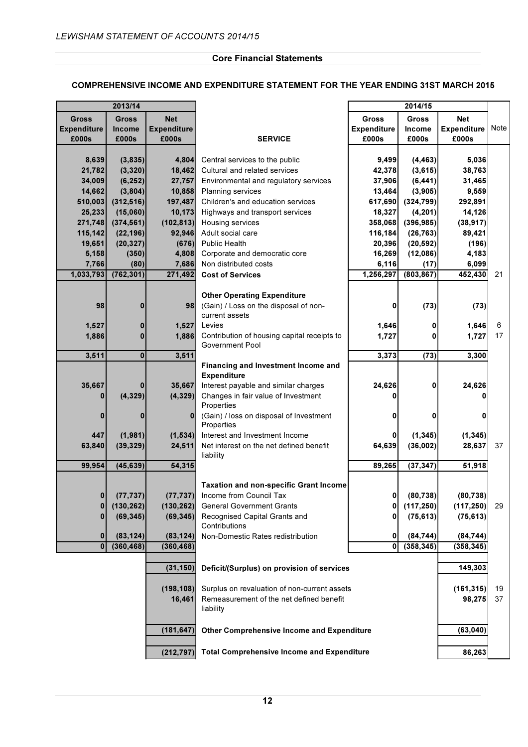#### COMPREHENSIVE INCOME AND EXPENDITURE STATEMENT FOR THE YEAR ENDING 31ST MARCH 2015

|                    | 2013/14      |                    |                                                             |                    | 2014/15      |                    |      |
|--------------------|--------------|--------------------|-------------------------------------------------------------|--------------------|--------------|--------------------|------|
| <b>Gross</b>       | <b>Gross</b> | <b>Net</b>         |                                                             | <b>Gross</b>       | <b>Gross</b> | <b>Net</b>         |      |
| <b>Expenditure</b> | Income       | <b>Expenditure</b> |                                                             | <b>Expenditure</b> | Income       | <b>Expenditure</b> | Note |
| £000s              | £000s        | £000s              | <b>SERVICE</b>                                              | £000s              | £000s        | £000s              |      |
|                    |              |                    |                                                             |                    |              |                    |      |
| 8,639              | (3,835)      | 4,804              | Central services to the public                              | 9,499              | (4, 463)     | 5,036              |      |
| 21,782             | (3, 320)     | 18,462             | Cultural and related services                               | 42,378             | (3,615)      | 38,763             |      |
| 34,009             | (6, 252)     | 27,757             | Environmental and regulatory services                       | 37,906             | (6, 441)     | 31,465             |      |
| 14,662             | (3,804)      | 10,858             | <b>Planning services</b>                                    | 13,464             | (3,905)      | 9,559              |      |
| 510,003            | (312, 516)   | 197,487            | Children's and education services                           | 617,690            | (324, 799)   | 292,891            |      |
| 25,233             | (15,060)     | 10,173             | Highways and transport services                             | 18,327             | (4, 201)     | 14,126             |      |
| 271,748            | (374, 561)   | (102, 813)         | Housing services                                            | 358,068            | (396, 985)   | (38, 917)          |      |
| 115,142            | (22, 196)    | 92,946             | Adult social care                                           | 116,184            | (26, 763)    | 89,421             |      |
| 19,651             | (20, 327)    | (676)              | <b>Public Health</b>                                        | 20,396             | (20, 592)    | (196)              |      |
| 5,158              | (350)        | 4,808              | Corporate and democratic core                               | 16,269             | (12,086)     | 4,183              |      |
| 7,766              | (80)         | 7,686              | Non distributed costs                                       | 6,116              | (17)         | 6,099              |      |
| 1,033,793          | (762, 301)   | 271,492            | <b>Cost of Services</b>                                     | 1,256,297          | (803, 867)   | 452,430            | 21   |
|                    |              |                    |                                                             |                    |              |                    |      |
|                    |              |                    | <b>Other Operating Expenditure</b>                          |                    |              |                    |      |
| 98                 | 0            | 98                 | (Gain) / Loss on the disposal of non-                       | 0                  | (73)         | (73)               |      |
|                    |              |                    | current assets                                              |                    |              |                    |      |
| 1,527              | $\bf{0}$     | 1,527              | Levies                                                      | 1,646              | 0            | 1,646              | 6    |
| 1,886              | $\bf{0}$     | 1,886              | Contribution of housing capital receipts to                 | 1,727              | 0            | 1,727              | 17   |
|                    |              |                    | Government Pool                                             |                    |              |                    |      |
| 3,511              | $\mathbf{0}$ | 3,511              |                                                             | 3,373              | (73)         | 3,300              |      |
|                    |              |                    | Financing and Investment Income and                         |                    |              |                    |      |
|                    |              |                    | <b>Expenditure</b>                                          |                    |              |                    |      |
| 35,667             | 0            | 35,667             | Interest payable and similar charges                        | 24,626             | 0            | 24,626             |      |
|                    | (4, 329)     | (4, 329)           | Changes in fair value of Investment                         |                    |              | O                  |      |
|                    |              |                    | Properties                                                  |                    |              |                    |      |
| $\bf{0}$           | 0            | $\bf{0}$           | (Gain) / loss on disposal of Investment                     | 0                  | 0            | 0                  |      |
| 447                | (1,981)      | (1,534)            | Properties<br>Interest and Investment Income                |                    | (1, 345)     | (1, 345)           |      |
| 63,840             | (39, 329)    | 24,511             | Net interest on the net defined benefit                     | 64,639             | (36,002)     | 28,637             | 37   |
|                    |              |                    | liability                                                   |                    |              |                    |      |
| 99,954             | (45, 639)    | 54,315             |                                                             | 89,265             | (37, 347)    | 51,918             |      |
|                    |              |                    |                                                             |                    |              |                    |      |
|                    |              |                    | <b>Taxation and non-specific Grant Income</b>               |                    |              |                    |      |
| 0                  | (77, 737)    | (77, 737)          | Income from Council Tax                                     | $\mathbf{0}$       | (80.738)     | (80, 738)          |      |
| 0                  | (130, 262)   | (130, 262)         | <b>General Government Grants</b>                            | 0                  | (117, 250)   | (117, 250)         | 29   |
| $\bf{0}$           | (69, 345)    | (69, 345)          | Recognised Capital Grants and                               | 0                  | (75, 613)    | (75, 613)          |      |
|                    |              |                    | Contributions                                               |                    |              |                    |      |
| $\bf{0}$           | (83, 124)    | (83, 124)          | Non-Domestic Rates redistribution                           | 0                  | (84, 744)    | (84, 744)          |      |
| $\mathbf{0}$       | (360, 468)   | (360, 468)         |                                                             | $\mathbf{0}$       | (358, 345)   | (358, 345)         |      |
|                    |              |                    |                                                             |                    |              |                    |      |
|                    |              | (31, 150)          | Deficit/(Surplus) on provision of services                  |                    |              | 149,303            |      |
|                    |              |                    |                                                             |                    |              |                    |      |
|                    |              | (198, 108)         | Surplus on revaluation of non-current assets                |                    |              | (161, 315)         | 19   |
|                    |              | 16,461             | Remeasurement of the net defined benefit                    |                    |              | 98,275             | 37   |
|                    |              |                    | liability                                                   |                    |              |                    |      |
|                    |              |                    |                                                             |                    |              |                    |      |
|                    |              | (181, 647)         | <b>Other Comprehensive Income and Expenditure</b>           |                    |              | (63, 040)          |      |
|                    |              |                    |                                                             |                    |              |                    |      |
|                    |              | (212, 797)         | <b>Total Comprehensive Income and Expenditure</b><br>86,263 |                    |              |                    |      |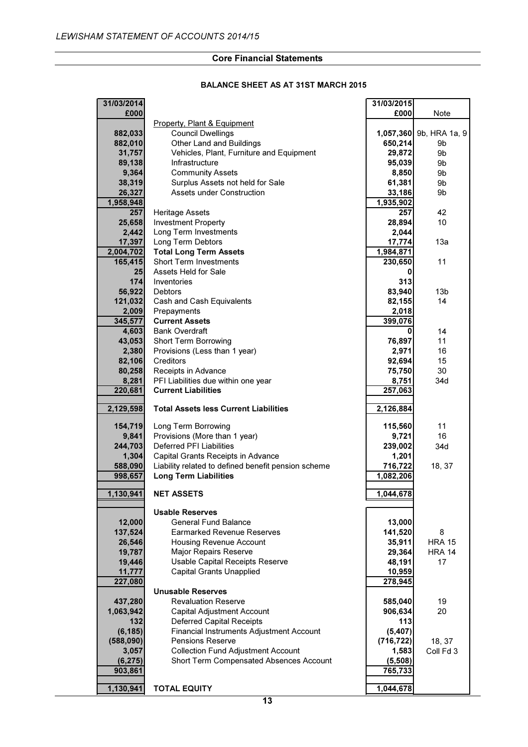#### BALANCE SHEET AS AT 31ST MARCH 2015

| 31/03/2014 |                                                     | 31/03/2015 |                         |
|------------|-----------------------------------------------------|------------|-------------------------|
| £000       |                                                     | £000       | Note                    |
|            | Property, Plant & Equipment                         |            |                         |
| 882,033    | <b>Council Dwellings</b>                            |            | 1,057,360 9b, HRA 1a, 9 |
| 882,010    | Other Land and Buildings                            | 650,214    | 9b                      |
| 31,757     | Vehicles, Plant, Furniture and Equipment            | 29,872     | 9b                      |
| 89,138     | Infrastructure                                      | 95,039     | 9b                      |
| 9,364      | <b>Community Assets</b>                             | 8,850      | 9b                      |
|            |                                                     |            |                         |
| 38,319     | Surplus Assets not held for Sale                    | 61,381     | 9b                      |
| 26,327     | <b>Assets under Construction</b>                    | 33,186     | 9b                      |
| 1,958,948  |                                                     | 1,935,902  |                         |
| 257        | <b>Heritage Assets</b>                              | 257        | 42                      |
| 25,658     | <b>Investment Property</b>                          | 28,894     | 10                      |
| 2,442      | Long Term Investments                               | 2,044      |                         |
| 17,397     | Long Term Debtors                                   | 17,774     | 13a                     |
| 2,004,702  | <b>Total Long Term Assets</b>                       | 1,984,871  |                         |
| 165,415    | <b>Short Term Investments</b>                       | 230,650    | 11                      |
| 25         | Assets Held for Sale                                | 0          |                         |
| 174        | Inventories                                         | 313        |                         |
| 56,922     | <b>Debtors</b>                                      | 83,940     | 13 <sub>b</sub>         |
| 121,032    | Cash and Cash Equivalents                           | 82,155     | 14                      |
| 2,009      | Prepayments                                         | 2,018      |                         |
| 345,577    | <b>Current Assets</b>                               | 399,076    |                         |
|            | <b>Bank Overdraft</b>                               |            |                         |
| 4,603      |                                                     | 0          | 14                      |
| 43,053     | <b>Short Term Borrowing</b>                         | 76,897     | 11                      |
| 2,380      | Provisions (Less than 1 year)                       | 2,971      | 16                      |
| 82,106     | Creditors                                           | 92,694     | 15                      |
| 80,258     | Receipts in Advance                                 | 75,750     | 30                      |
| 8,281      | PFI Liabilities due within one year                 | 8,751      | 34d                     |
| 220,681    | <b>Current Liabilities</b>                          | 257,063    |                         |
|            |                                                     |            |                         |
| 2,129,598  | <b>Total Assets less Current Liabilities</b>        | 2,126,884  |                         |
|            |                                                     |            |                         |
| 154,719    | Long Term Borrowing                                 | 115,560    | 11                      |
| 9,841      | Provisions (More than 1 year)                       | 9,721      | 16                      |
| 244,703    | <b>Deferred PFI Liabilities</b>                     | 239,002    | 34d                     |
| 1,304      | Capital Grants Receipts in Advance                  | 1,201      |                         |
| 588,090    | Liability related to defined benefit pension scheme | 716,722    | 18, 37                  |
| 998,657    | <b>Long Term Liabilities</b>                        | 1,082,206  |                         |
|            |                                                     |            |                         |
| 1,130,941  | <b>NET ASSETS</b>                                   | 1,044,678  |                         |
|            |                                                     |            |                         |
|            | <b>Usable Reserves</b>                              |            |                         |
| 12,000     | <b>General Fund Balance</b>                         | 13,000     |                         |
| 137,524    | <b>Earmarked Revenue Reserves</b>                   | 141,520    | 8                       |
| 26,546     | Housing Revenue Account                             | 35,911     | <b>HRA 15</b>           |
| 19,787     | Major Repairs Reserve                               | 29,364     | <b>HRA 14</b>           |
| 19,446     | Usable Capital Receipts Reserve                     | 48,191     | 17                      |
| 11,777     | <b>Capital Grants Unapplied</b>                     | 10,959     |                         |
| 227,080    |                                                     | 278,945    |                         |
|            | <b>Unusable Reserves</b>                            |            |                         |
| 437,280    | <b>Revaluation Reserve</b>                          | 585,040    | 19                      |
| 1,063,942  | Capital Adjustment Account                          | 906,634    | 20                      |
| 132        | <b>Deferred Capital Receipts</b>                    | 113        |                         |
| (6, 185)   | Financial Instruments Adjustment Account            | (5,407)    |                         |
| (588,090)  | <b>Pensions Reserve</b>                             | (716, 722) | 18, 37                  |
|            | <b>Collection Fund Adjustment Account</b>           | 1,583      |                         |
| 3,057      |                                                     |            | Coll Fd 3               |
| (6, 275)   | Short Term Compensated Absences Account             | (5,508)    |                         |
| 903,861    |                                                     | 765,733    |                         |
|            |                                                     |            |                         |
| 1,130,941  | <b>TOTAL EQUITY</b>                                 | 1,044,678  |                         |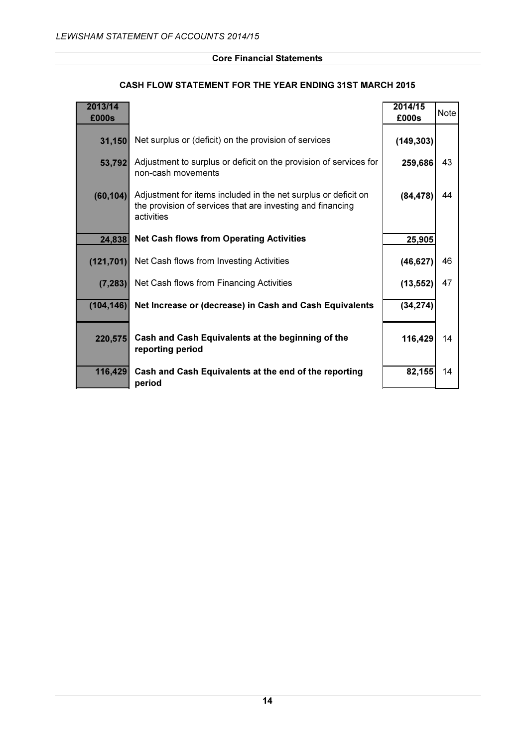# CASH FLOW STATEMENT FOR THE YEAR ENDING 31ST MARCH 2015

| 2013/14<br>£000s |                                                                                                                                            | 2014/15<br>£000s | <b>Note</b> |
|------------------|--------------------------------------------------------------------------------------------------------------------------------------------|------------------|-------------|
| 31,150           | Net surplus or (deficit) on the provision of services                                                                                      | (149, 303)       |             |
| 53,792           | Adjustment to surplus or deficit on the provision of services for<br>non-cash movements                                                    | 259,686          | 43          |
| (60, 104)        | Adjustment for items included in the net surplus or deficit on<br>the provision of services that are investing and financing<br>activities | (84, 478)        | 44          |
| 24,838           | <b>Net Cash flows from Operating Activities</b>                                                                                            | 25,905           |             |
| (121, 701)       | Net Cash flows from Investing Activities                                                                                                   | (46, 627)        | 46          |
| (7, 283)         | Net Cash flows from Financing Activities                                                                                                   | (13, 552)        | 47          |
| (104, 146)       | Net Increase or (decrease) in Cash and Cash Equivalents                                                                                    | (34, 274)        |             |
| 220,575          | Cash and Cash Equivalents at the beginning of the<br>reporting period                                                                      | 116,429          | 14          |
| 116,429          | Cash and Cash Equivalents at the end of the reporting<br>period                                                                            | 82,155           | 14          |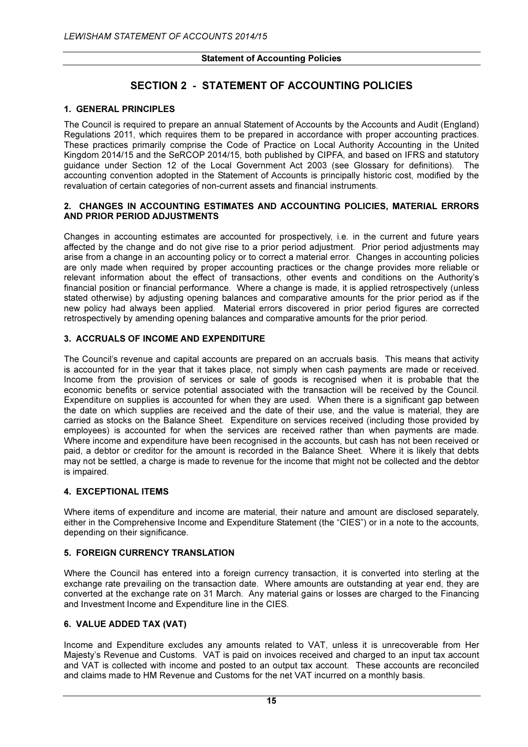# SECTION 2 - STATEMENT OF ACCOUNTING POLICIES

# 1. GENERAL PRINCIPLES

The Council is required to prepare an annual Statement of Accounts by the Accounts and Audit (England) Regulations 2011, which requires them to be prepared in accordance with proper accounting practices. These practices primarily comprise the Code of Practice on Local Authority Accounting in the United Kingdom 2014/15 and the SeRCOP 2014/15, both published by CIPFA, and based on IFRS and statutory guidance under Section 12 of the Local Government Act 2003 (see Glossary for definitions). The accounting convention adopted in the Statement of Accounts is principally historic cost, modified by the revaluation of certain categories of non-current assets and financial instruments.

#### 2. CHANGES IN ACCOUNTING ESTIMATES AND ACCOUNTING POLICIES, MATERIAL ERRORS AND PRIOR PERIOD ADJUSTMENTS

Changes in accounting estimates are accounted for prospectively, i.e. in the current and future years affected by the change and do not give rise to a prior period adjustment. Prior period adjustments may arise from a change in an accounting policy or to correct a material error. Changes in accounting policies are only made when required by proper accounting practices or the change provides more reliable or relevant information about the effect of transactions, other events and conditions on the Authority's financial position or financial performance. Where a change is made, it is applied retrospectively (unless stated otherwise) by adjusting opening balances and comparative amounts for the prior period as if the new policy had always been applied. Material errors discovered in prior period figures are corrected retrospectively by amending opening balances and comparative amounts for the prior period.

# 3. ACCRUALS OF INCOME AND EXPENDITURE

The Council's revenue and capital accounts are prepared on an accruals basis. This means that activity is accounted for in the year that it takes place, not simply when cash payments are made or received. Income from the provision of services or sale of goods is recognised when it is probable that the economic benefits or service potential associated with the transaction will be received by the Council. Expenditure on supplies is accounted for when they are used. When there is a significant gap between the date on which supplies are received and the date of their use, and the value is material, they are carried as stocks on the Balance Sheet. Expenditure on services received (including those provided by employees) is accounted for when the services are received rather than when payments are made. Where income and expenditure have been recognised in the accounts, but cash has not been received or paid, a debtor or creditor for the amount is recorded in the Balance Sheet. Where it is likely that debts may not be settled, a charge is made to revenue for the income that might not be collected and the debtor is impaired.

#### 4. EXCEPTIONAL ITEMS

Where items of expenditure and income are material, their nature and amount are disclosed separately, either in the Comprehensive Income and Expenditure Statement (the "CIES") or in a note to the accounts, depending on their significance.

#### 5. FOREIGN CURRENCY TRANSLATION

Where the Council has entered into a foreign currency transaction, it is converted into sterling at the exchange rate prevailing on the transaction date. Where amounts are outstanding at year end, they are converted at the exchange rate on 31 March. Any material gains or losses are charged to the Financing and Investment Income and Expenditure line in the CIES.

#### 6. VALUE ADDED TAX (VAT)

Income and Expenditure excludes any amounts related to VAT, unless it is unrecoverable from Her Majesty's Revenue and Customs. VAT is paid on invoices received and charged to an input tax account and VAT is collected with income and posted to an output tax account. These accounts are reconciled and claims made to HM Revenue and Customs for the net VAT incurred on a monthly basis.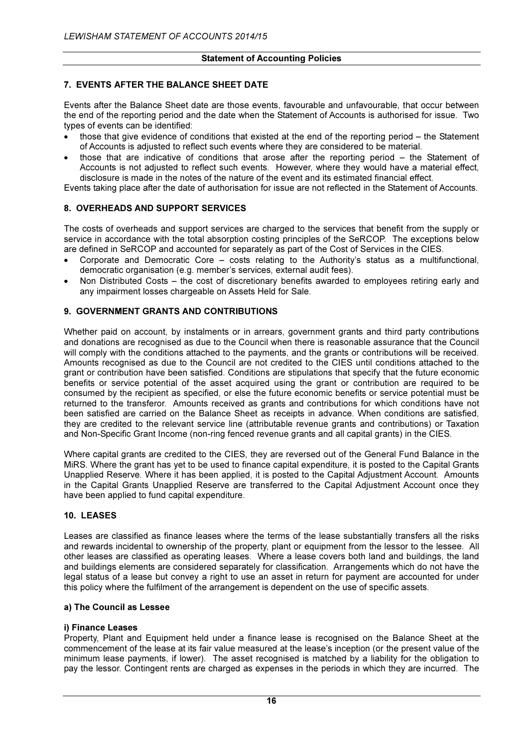# 7. EVENTS AFTER THE BALANCE SHEET DATE

Events after the Balance Sheet date are those events, favourable and unfavourable, that occur between the end of the reporting period and the date when the Statement of Accounts is authorised for issue. Two types of events can be identified:

- those that give evidence of conditions that existed at the end of the reporting period the Statement of Accounts is adjusted to reflect such events where they are considered to be material.
- those that are indicative of conditions that arose after the reporting period the Statement of Accounts is not adjusted to reflect such events. However, where they would have a material effect, disclosure is made in the notes of the nature of the event and its estimated financial effect.

Events taking place after the date of authorisation for issue are not reflected in the Statement of Accounts.

# 8. OVERHEADS AND SUPPORT SERVICES

The costs of overheads and support services are charged to the services that benefit from the supply or service in accordance with the total absorption costing principles of the SeRCOP. The exceptions below are defined in SeRCOP and accounted for separately as part of the Cost of Services in the CIES.

- Corporate and Democratic Core costs relating to the Authority's status as a multifunctional, democratic organisation (e.g. member's services, external audit fees).
- Non Distributed Costs the cost of discretionary benefits awarded to employees retiring early and any impairment losses chargeable on Assets Held for Sale.

# 9. GOVERNMENT GRANTS AND CONTRIBUTIONS

Whether paid on account, by instalments or in arrears, government grants and third party contributions and donations are recognised as due to the Council when there is reasonable assurance that the Council will comply with the conditions attached to the payments, and the grants or contributions will be received. Amounts recognised as due to the Council are not credited to the CIES until conditions attached to the grant or contribution have been satisfied. Conditions are stipulations that specify that the future economic benefits or service potential of the asset acquired using the grant or contribution are required to be consumed by the recipient as specified, or else the future economic benefits or service potential must be returned to the transferor. Amounts received as grants and contributions for which conditions have not been satisfied are carried on the Balance Sheet as receipts in advance. When conditions are satisfied, they are credited to the relevant service line (attributable revenue grants and contributions) or Taxation and Non-Specific Grant Income (non-ring fenced revenue grants and all capital grants) in the CIES.

Where capital grants are credited to the CIES, they are reversed out of the General Fund Balance in the MiRS. Where the grant has yet to be used to finance capital expenditure, it is posted to the Capital Grants Unapplied Reserve. Where it has been applied, it is posted to the Capital Adjustment Account. Amounts in the Capital Grants Unapplied Reserve are transferred to the Capital Adjustment Account once they have been applied to fund capital expenditure.

#### 10. LEASES

Leases are classified as finance leases where the terms of the lease substantially transfers all the risks and rewards incidental to ownership of the property, plant or equipment from the lessor to the lessee. All other leases are classified as operating leases. Where a lease covers both land and buildings, the land and buildings elements are considered separately for classification. Arrangements which do not have the legal status of a lease but convey a right to use an asset in return for payment are accounted for under this policy where the fulfilment of the arrangement is dependent on the use of specific assets.

#### a) The Council as Lessee

# i) Finance Leases

Property. Plant and Equipment held under a finance lease is recognised on the Balance Sheet at the commencement of the lease at its fair value measured at the lease's inception (or the present value of the minimum lease payments, if lower). The asset recognised is matched by a liability for the obligation to pay the lessor. Contingent rents are charged as expenses in the periods in which they are incurred. The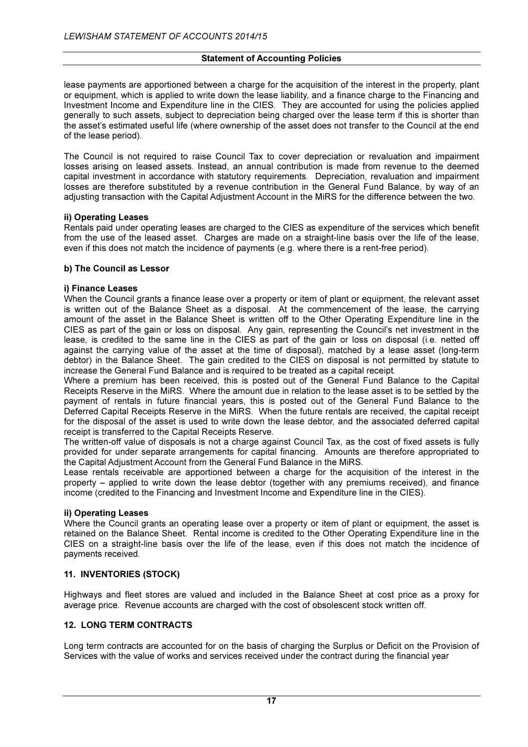lease payments are apportioned between a charge for the acquisition of the interest in the property, plant or equipment, which is applied to write down the lease liability, and a finance charge to the Financing and Investment Income and Expenditure line in the CIES. They are accounted for using the policies applied generally to such assets, subject to depreciation being charged over the lease term if this is shorter than the asset's estimated useful life (where ownership of the asset does not transfer to the Council at the end of the lease period).

The Council is not required to raise Council Tax to cover depreciation or revaluation and impairment losses arising on leased assets. Instead, an annual contribution is made from revenue to the deemed capital investment in accordance with statutory requirements. Depreciation, revaluation and impairment losses are therefore substituted by a revenue contribution in the General Fund Balance, by way of an adjusting transaction with the Capital Adjustment Account in the MiRS for the difference between the two.

#### ii) Operating Leases

Rentals paid under operating leases are charged to the CIES as expenditure of the services which benefit from the use of the leased asset. Charges are made on a straight-line basis over the life of the lease, even if this does not match the incidence of payments (e.g. where there is a rent-free period).

# b) The Council as Lessor

# i) Finance Leases

When the Council grants a finance lease over a property or item of plant or equipment, the relevant asset is written out of the Balance Sheet as a disposal. At the commencement of the lease, the carrying amount of the asset in the Balance Sheet is written off to the Other Operating Expenditure line in the CIES as part of the gain or loss on disposal. Any gain, representing the Council's net investment in the lease, is credited to the same line in the CIES as part of the gain or loss on disposal (i.e. netted off against the carrying value of the asset at the time of disposal), matched by a lease asset (long-term debtor) in the Balance Sheet. The gain credited to the CIES on disposal is not permitted by statute to increase the General Fund Balance and is required to be treated as a capital receipt.

Where a premium has been received, this is posted out of the General Fund Balance to the Capital Receipts Reserve in the MiRS. Where the amount due in relation to the lease asset is to be settled by the payment of rentals in future financial years, this is posted out of the General Fund Balance to the Deferred Capital Receipts Reserve in the MiRS. When the future rentals are received, the capital receipt for the disposal of the asset is used to write down the lease debtor, and the associated deferred capital receipt is transferred to the Capital Receipts Reserve.

The written-off value of disposals is not a charge against Council Tax, as the cost of fixed assets is fully provided for under separate arrangements for capital financing. Amounts are therefore appropriated to the Capital Adjustment Account from the General Fund Balance in the MiRS.

Lease rentals receivable are apportioned between a charge for the acquisition of the interest in the property – applied to write down the lease debtor (together with any premiums received), and finance income (credited to the Financing and Investment Income and Expenditure line in the CIES).

#### ii) Operating Leases

Where the Council grants an operating lease over a property or item of plant or equipment, the asset is retained on the Balance Sheet. Rental income is credited to the Other Operating Expenditure line in the CIES on a straight-line basis over the life of the lease, even if this does not match the incidence of payments received.

# 11. INVENTORIES (STOCK)

Highways and fleet stores are valued and included in the Balance Sheet at cost price as a proxy for average price. Revenue accounts are charged with the cost of obsolescent stock written off.

# 12. LONG TERM CONTRACTS

Long term contracts are accounted for on the basis of charging the Surplus or Deficit on the Provision of Services with the value of works and services received under the contract during the financial year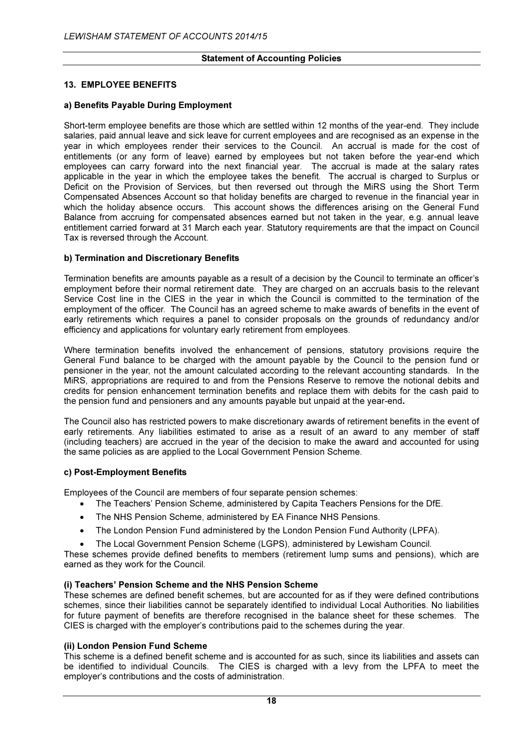# 13. EMPLOYEE BENEFITS

# a) Benefits Payable During Employment

Short-term employee benefits are those which are settled within 12 months of the year-end. They include salaries, paid annual leave and sick leave for current employees and are recognised as an expense in the year in which employees render their services to the Council. An accrual is made for the cost of entitlements (or any form of leave) earned by employees but not taken before the year-end which employees can carry forward into the next financial year. The accrual is made at the salary rates applicable in the year in which the employee takes the benefit. The accrual is charged to Surplus or Deficit on the Provision of Services, but then reversed out through the MiRS using the Short Term Compensated Absences Account so that holiday benefits are charged to revenue in the financial year in which the holiday absence occurs. This account shows the differences arising on the General Fund Balance from accruing for compensated absences earned but not taken in the year, e.g. annual leave entitlement carried forward at 31 March each year. Statutory requirements are that the impact on Council Tax is reversed through the Account.

# b) Termination and Discretionary Benefits

Termination benefits are amounts payable as a result of a decision by the Council to terminate an officer's employment before their normal retirement date. They are charged on an accruals basis to the relevant Service Cost line in the CIES in the year in which the Council is committed to the termination of the employment of the officer. The Council has an agreed scheme to make awards of benefits in the event of early retirements which requires a panel to consider proposals on the grounds of redundancy and/or efficiency and applications for voluntary early retirement from employees.

Where termination benefits involved the enhancement of pensions, statutory provisions require the General Fund balance to be charged with the amount payable by the Council to the pension fund or pensioner in the year, not the amount calculated according to the relevant accounting standards. In the MiRS, appropriations are required to and from the Pensions Reserve to remove the notional debits and credits for pension enhancement termination benefits and replace them with debits for the cash paid to the pension fund and pensioners and any amounts payable but unpaid at the year-end.

The Council also has restricted powers to make discretionary awards of retirement benefits in the event of early retirements. Any liabilities estimated to arise as a result of an award to any member of staff (including teachers) are accrued in the year of the decision to make the award and accounted for using the same policies as are applied to the Local Government Pension Scheme.

#### c) Post-Employment Benefits

Employees of the Council are members of four separate pension schemes:

- The Teachers' Pension Scheme, administered by Capita Teachers Pensions for the DfE.
- The NHS Pension Scheme, administered by EA Finance NHS Pensions.
- The London Pension Fund administered by the London Pension Fund Authority (LPFA).
- The Local Government Pension Scheme (LGPS), administered by Lewisham Council.

These schemes provide defined benefits to members (retirement lump sums and pensions), which are earned as they work for the Council.

# (i) Teachers' Pension Scheme and the NHS Pension Scheme

These schemes are defined benefit schemes, but are accounted for as if they were defined contributions schemes, since their liabilities cannot be separately identified to individual Local Authorities. No liabilities for future payment of benefits are therefore recognised in the balance sheet for these schemes. The CIES is charged with the employer's contributions paid to the schemes during the year.

# (ii) London Pension Fund Scheme

This scheme is a defined benefit scheme and is accounted for as such, since its liabilities and assets can be identified to individual Councils. The CIES is charged with a levy from the LPFA to meet the employer's contributions and the costs of administration.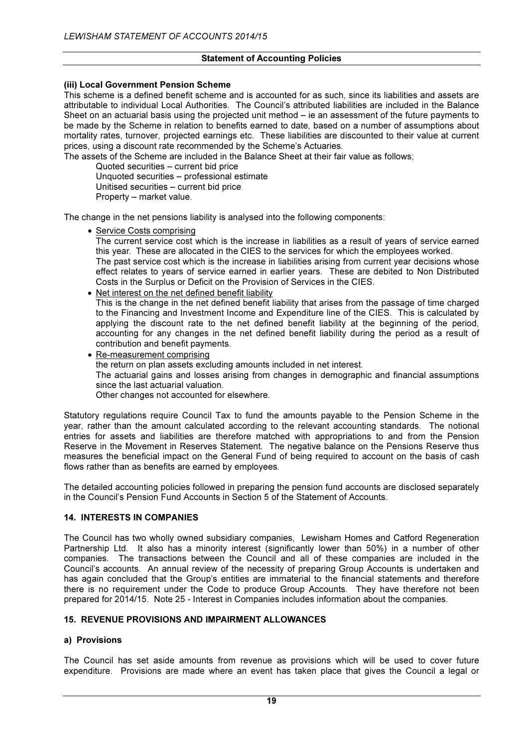# (iii) Local Government Pension Scheme

This scheme is a defined benefit scheme and is accounted for as such, since its liabilities and assets are attributable to individual Local Authorities. The Council's attributed liabilities are included in the Balance Sheet on an actuarial basis using the projected unit method – ie an assessment of the future payments to be made by the Scheme in relation to benefits earned to date, based on a number of assumptions about mortality rates, turnover, projected earnings etc. These liabilities are discounted to their value at current prices, using a discount rate recommended by the Scheme's Actuaries.

The assets of the Scheme are included in the Balance Sheet at their fair value as follows;

 Quoted securities – current bid price Unquoted securities – professional estimate

Unitised securities – current bid price

Property – market value.

The change in the net pensions liability is analysed into the following components:

• Service Costs comprising

The current service cost which is the increase in liabilities as a result of years of service earned this year. These are allocated in the CIES to the services for which the employees worked. The past service cost which is the increase in liabilities arising from current year decisions whose effect relates to years of service earned in earlier years. These are debited to Non Distributed

- Costs in the Surplus or Deficit on the Provision of Services in the CIES.
- Net interest on the net defined benefit liability

This is the change in the net defined benefit liability that arises from the passage of time charged to the Financing and Investment Income and Expenditure line of the CIES. This is calculated by applying the discount rate to the net defined benefit liability at the beginning of the period, accounting for any changes in the net defined benefit liability during the period as a result of contribution and benefit payments.

• Re-measurement comprising the return on plan assets excluding amounts included in net interest. The actuarial gains and losses arising from changes in demographic and financial assumptions since the last actuarial valuation.

Other changes not accounted for elsewhere.

Statutory regulations require Council Tax to fund the amounts payable to the Pension Scheme in the year, rather than the amount calculated according to the relevant accounting standards. The notional entries for assets and liabilities are therefore matched with appropriations to and from the Pension Reserve in the Movement in Reserves Statement. The negative balance on the Pensions Reserve thus measures the beneficial impact on the General Fund of being required to account on the basis of cash flows rather than as benefits are earned by employees.

The detailed accounting policies followed in preparing the pension fund accounts are disclosed separately in the Council's Pension Fund Accounts in Section 5 of the Statement of Accounts.

#### 14. INTERESTS IN COMPANIES

The Council has two wholly owned subsidiary companies, Lewisham Homes and Catford Regeneration Partnership Ltd. It also has a minority interest (significantly lower than 50%) in a number of other companies. The transactions between the Council and all of these companies are included in the Council's accounts. An annual review of the necessity of preparing Group Accounts is undertaken and has again concluded that the Group's entities are immaterial to the financial statements and therefore there is no requirement under the Code to produce Group Accounts. They have therefore not been prepared for 2014/15. Note 25 - Interest in Companies includes information about the companies.

#### 15. REVENUE PROVISIONS AND IMPAIRMENT ALLOWANCES

#### a) Provisions

The Council has set aside amounts from revenue as provisions which will be used to cover future expenditure. Provisions are made where an event has taken place that gives the Council a legal or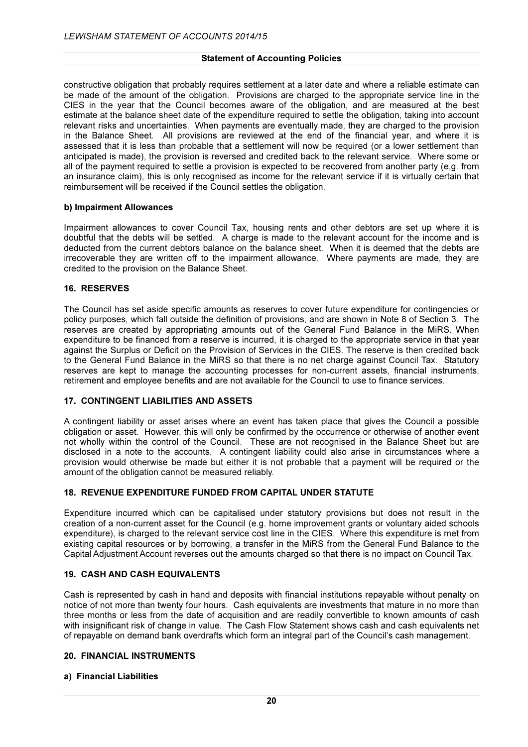constructive obligation that probably requires settlement at a later date and where a reliable estimate can be made of the amount of the obligation. Provisions are charged to the appropriate service line in the CIES in the year that the Council becomes aware of the obligation, and are measured at the best estimate at the balance sheet date of the expenditure required to settle the obligation, taking into account relevant risks and uncertainties. When payments are eventually made, they are charged to the provision in the Balance Sheet. All provisions are reviewed at the end of the financial year, and where it is assessed that it is less than probable that a settlement will now be required (or a lower settlement than anticipated is made), the provision is reversed and credited back to the relevant service. Where some or all of the payment required to settle a provision is expected to be recovered from another party (e.g. from an insurance claim), this is only recognised as income for the relevant service if it is virtually certain that reimbursement will be received if the Council settles the obligation.

#### b) Impairment Allowances

Impairment allowances to cover Council Tax, housing rents and other debtors are set up where it is doubtful that the debts will be settled. A charge is made to the relevant account for the income and is deducted from the current debtors balance on the balance sheet. When it is deemed that the debts are irrecoverable they are written off to the impairment allowance. Where payments are made, they are credited to the provision on the Balance Sheet.

# 16. RESERVES

The Council has set aside specific amounts as reserves to cover future expenditure for contingencies or policy purposes, which fall outside the definition of provisions, and are shown in Note 8 of Section 3. The reserves are created by appropriating amounts out of the General Fund Balance in the MiRS. When expenditure to be financed from a reserve is incurred, it is charged to the appropriate service in that year against the Surplus or Deficit on the Provision of Services in the CIES. The reserve is then credited back to the General Fund Balance in the MiRS so that there is no net charge against Council Tax. Statutory reserves are kept to manage the accounting processes for non-current assets, financial instruments, retirement and employee benefits and are not available for the Council to use to finance services.

# 17. CONTINGENT LIABILITIES AND ASSETS

A contingent liability or asset arises where an event has taken place that gives the Council a possible obligation or asset. However, this will only be confirmed by the occurrence or otherwise of another event not wholly within the control of the Council. These are not recognised in the Balance Sheet but are disclosed in a note to the accounts. A contingent liability could also arise in circumstances where a provision would otherwise be made but either it is not probable that a payment will be required or the amount of the obligation cannot be measured reliably.

# 18. REVENUE EXPENDITURE FUNDED FROM CAPITAL UNDER STATUTE

Expenditure incurred which can be capitalised under statutory provisions but does not result in the creation of a non-current asset for the Council (e.g. home improvement grants or voluntary aided schools expenditure), is charged to the relevant service cost line in the CIES. Where this expenditure is met from existing capital resources or by borrowing, a transfer in the MiRS from the General Fund Balance to the Capital Adjustment Account reverses out the amounts charged so that there is no impact on Council Tax.

#### 19. CASH AND CASH EQUIVALENTS

Cash is represented by cash in hand and deposits with financial institutions repayable without penalty on notice of not more than twenty four hours. Cash equivalents are investments that mature in no more than three months or less from the date of acquisition and are readily convertible to known amounts of cash with insignificant risk of change in value. The Cash Flow Statement shows cash and cash equivalents net of repayable on demand bank overdrafts which form an integral part of the Council's cash management.

# 20. FINANCIAL INSTRUMENTS

#### a) Financial Liabilities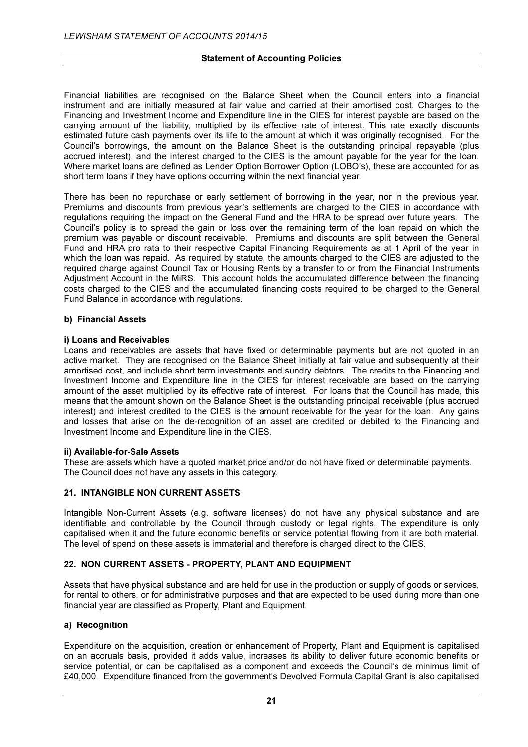Financial liabilities are recognised on the Balance Sheet when the Council enters into a financial instrument and are initially measured at fair value and carried at their amortised cost. Charges to the Financing and Investment Income and Expenditure line in the CIES for interest payable are based on the carrying amount of the liability, multiplied by its effective rate of interest. This rate exactly discounts estimated future cash payments over its life to the amount at which it was originally recognised. For the Council's borrowings, the amount on the Balance Sheet is the outstanding principal repayable (plus accrued interest), and the interest charged to the CIES is the amount payable for the year for the loan. Where market loans are defined as Lender Option Borrower Option (LOBO's), these are accounted for as short term loans if they have options occurring within the next financial year.

There has been no repurchase or early settlement of borrowing in the year, nor in the previous year. Premiums and discounts from previous year's settlements are charged to the CIES in accordance with regulations requiring the impact on the General Fund and the HRA to be spread over future years. The Council's policy is to spread the gain or loss over the remaining term of the loan repaid on which the premium was payable or discount receivable. Premiums and discounts are split between the General Fund and HRA pro rata to their respective Capital Financing Requirements as at 1 April of the year in which the loan was repaid. As required by statute, the amounts charged to the CIES are adjusted to the required charge against Council Tax or Housing Rents by a transfer to or from the Financial Instruments Adjustment Account in the MiRS. This account holds the accumulated difference between the financing costs charged to the CIES and the accumulated financing costs required to be charged to the General Fund Balance in accordance with regulations.

# b) Financial Assets

# i) Loans and Receivables

Loans and receivables are assets that have fixed or determinable payments but are not quoted in an active market. They are recognised on the Balance Sheet initially at fair value and subsequently at their amortised cost, and include short term investments and sundry debtors. The credits to the Financing and Investment Income and Expenditure line in the CIES for interest receivable are based on the carrying amount of the asset multiplied by its effective rate of interest. For loans that the Council has made, this means that the amount shown on the Balance Sheet is the outstanding principal receivable (plus accrued interest) and interest credited to the CIES is the amount receivable for the year for the loan. Any gains and losses that arise on the de-recognition of an asset are credited or debited to the Financing and Investment Income and Expenditure line in the CIES.

#### ii) Available-for-Sale Assets

These are assets which have a quoted market price and/or do not have fixed or determinable payments. The Council does not have any assets in this category.

#### 21. INTANGIBLE NON CURRENT ASSETS

Intangible Non-Current Assets (e.g. software licenses) do not have any physical substance and are identifiable and controllable by the Council through custody or legal rights. The expenditure is only capitalised when it and the future economic benefits or service potential flowing from it are both material. The level of spend on these assets is immaterial and therefore is charged direct to the CIES.

#### 22. NON CURRENT ASSETS - PROPERTY, PLANT AND EQUIPMENT

Assets that have physical substance and are held for use in the production or supply of goods or services, for rental to others, or for administrative purposes and that are expected to be used during more than one financial year are classified as Property, Plant and Equipment.

#### a) Recognition

Expenditure on the acquisition, creation or enhancement of Property, Plant and Equipment is capitalised on an accruals basis, provided it adds value, increases its ability to deliver future economic benefits or service potential, or can be capitalised as a component and exceeds the Council's de minimus limit of £40,000. Expenditure financed from the government's Devolved Formula Capital Grant is also capitalised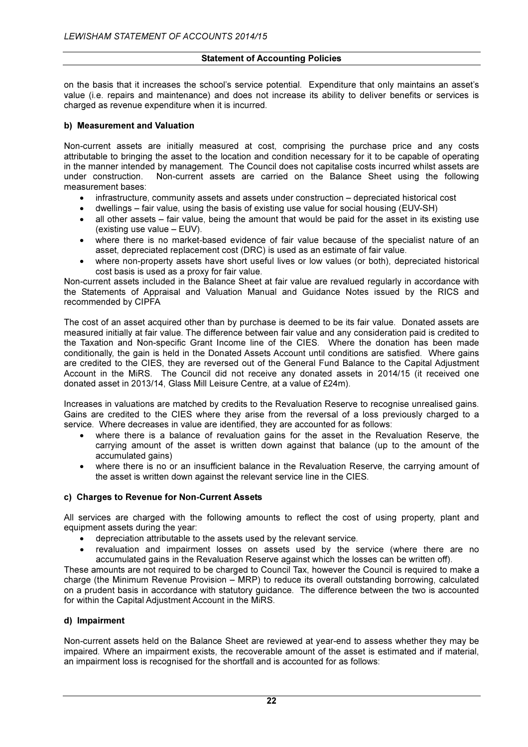on the basis that it increases the school's service potential. Expenditure that only maintains an asset's value (i.e. repairs and maintenance) and does not increase its ability to deliver benefits or services is charged as revenue expenditure when it is incurred.

# b) Measurement and Valuation

Non-current assets are initially measured at cost, comprising the purchase price and any costs attributable to bringing the asset to the location and condition necessary for it to be capable of operating in the manner intended by management. The Council does not capitalise costs incurred whilst assets are under construction. Non-current assets are carried on the Balance Sheet using the following measurement bases:

- infrastructure, community assets and assets under construction depreciated historical cost
- dwellings fair value, using the basis of existing use value for social housing (EUV-SH)
- all other assets fair value, being the amount that would be paid for the asset in its existing use (existing use value – EUV).
- where there is no market-based evidence of fair value because of the specialist nature of an asset, depreciated replacement cost (DRC) is used as an estimate of fair value.
- where non-property assets have short useful lives or low values (or both), depreciated historical cost basis is used as a proxy for fair value.

Non-current assets included in the Balance Sheet at fair value are revalued regularly in accordance with the Statements of Appraisal and Valuation Manual and Guidance Notes issued by the RICS and recommended by CIPFA

The cost of an asset acquired other than by purchase is deemed to be its fair value. Donated assets are measured initially at fair value. The difference between fair value and any consideration paid is credited to the Taxation and Non-specific Grant Income line of the CIES. Where the donation has been made conditionally, the gain is held in the Donated Assets Account until conditions are satisfied. Where gains are credited to the CIES, they are reversed out of the General Fund Balance to the Capital Adjustment Account in the MiRS. The Council did not receive any donated assets in 2014/15 (it received one donated asset in 2013/14, Glass Mill Leisure Centre, at a value of £24m).

Increases in valuations are matched by credits to the Revaluation Reserve to recognise unrealised gains. Gains are credited to the CIES where they arise from the reversal of a loss previously charged to a service. Where decreases in value are identified, they are accounted for as follows:

- where there is a balance of revaluation gains for the asset in the Revaluation Reserve, the carrying amount of the asset is written down against that balance (up to the amount of the accumulated gains)
- where there is no or an insufficient balance in the Revaluation Reserve, the carrying amount of the asset is written down against the relevant service line in the CIES.

#### c) Charges to Revenue for Non-Current Assets

All services are charged with the following amounts to reflect the cost of using property, plant and equipment assets during the year:

- depreciation attributable to the assets used by the relevant service.
- revaluation and impairment losses on assets used by the service (where there are no accumulated gains in the Revaluation Reserve against which the losses can be written off).

These amounts are not required to be charged to Council Tax, however the Council is required to make a charge (the Minimum Revenue Provision – MRP) to reduce its overall outstanding borrowing, calculated on a prudent basis in accordance with statutory guidance. The difference between the two is accounted for within the Capital Adjustment Account in the MiRS.

#### d) Impairment

Non-current assets held on the Balance Sheet are reviewed at year-end to assess whether they may be impaired. Where an impairment exists, the recoverable amount of the asset is estimated and if material, an impairment loss is recognised for the shortfall and is accounted for as follows: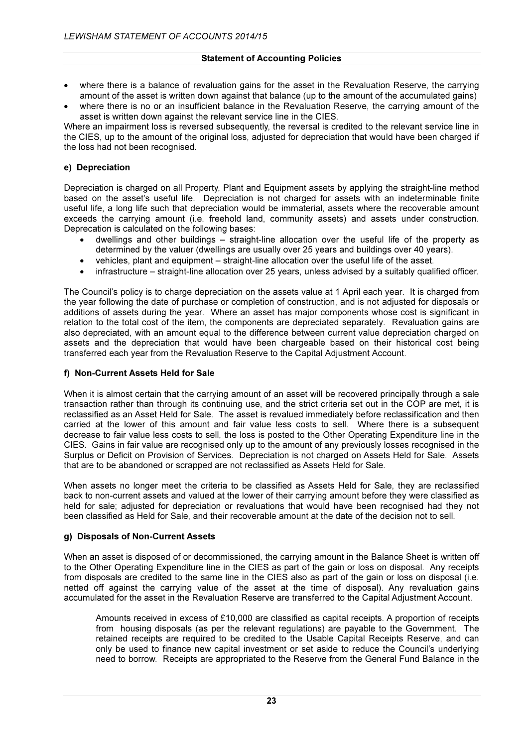- where there is a balance of revaluation gains for the asset in the Revaluation Reserve, the carrying amount of the asset is written down against that balance (up to the amount of the accumulated gains)
- where there is no or an insufficient balance in the Revaluation Reserve, the carrying amount of the asset is written down against the relevant service line in the CIES.

Where an impairment loss is reversed subsequently, the reversal is credited to the relevant service line in the CIES, up to the amount of the original loss, adjusted for depreciation that would have been charged if the loss had not been recognised.

# e) Depreciation

Depreciation is charged on all Property, Plant and Equipment assets by applying the straight-line method based on the asset's useful life. Depreciation is not charged for assets with an indeterminable finite useful life, a long life such that depreciation would be immaterial, assets where the recoverable amount exceeds the carrying amount (i.e. freehold land, community assets) and assets under construction. Deprecation is calculated on the following bases:

- dwellings and other buildings straight-line allocation over the useful life of the property as determined by the valuer (dwellings are usually over 25 years and buildings over 40 years).
- vehicles, plant and equipment straight-line allocation over the useful life of the asset.
- infrastructure straight-line allocation over 25 years, unless advised by a suitably qualified officer.

The Council's policy is to charge depreciation on the assets value at 1 April each year. It is charged from the year following the date of purchase or completion of construction, and is not adjusted for disposals or additions of assets during the year. Where an asset has major components whose cost is significant in relation to the total cost of the item, the components are depreciated separately. Revaluation gains are also depreciated, with an amount equal to the difference between current value depreciation charged on assets and the depreciation that would have been chargeable based on their historical cost being transferred each year from the Revaluation Reserve to the Capital Adjustment Account.

# f) Non-Current Assets Held for Sale

When it is almost certain that the carrying amount of an asset will be recovered principally through a sale transaction rather than through its continuing use, and the strict criteria set out in the COP are met, it is reclassified as an Asset Held for Sale. The asset is revalued immediately before reclassification and then carried at the lower of this amount and fair value less costs to sell. Where there is a subsequent decrease to fair value less costs to sell, the loss is posted to the Other Operating Expenditure line in the CIES. Gains in fair value are recognised only up to the amount of any previously losses recognised in the Surplus or Deficit on Provision of Services. Depreciation is not charged on Assets Held for Sale. Assets that are to be abandoned or scrapped are not reclassified as Assets Held for Sale.

When assets no longer meet the criteria to be classified as Assets Held for Sale, they are reclassified back to non-current assets and valued at the lower of their carrying amount before they were classified as held for sale; adjusted for depreciation or revaluations that would have been recognised had they not been classified as Held for Sale, and their recoverable amount at the date of the decision not to sell.

#### g) Disposals of Non-Current Assets

When an asset is disposed of or decommissioned, the carrying amount in the Balance Sheet is written off to the Other Operating Expenditure line in the CIES as part of the gain or loss on disposal. Any receipts from disposals are credited to the same line in the CIES also as part of the gain or loss on disposal (i.e. netted off against the carrying value of the asset at the time of disposal). Any revaluation gains accumulated for the asset in the Revaluation Reserve are transferred to the Capital Adjustment Account.

Amounts received in excess of £10,000 are classified as capital receipts. A proportion of receipts from housing disposals (as per the relevant regulations) are payable to the Government. The retained receipts are required to be credited to the Usable Capital Receipts Reserve, and can only be used to finance new capital investment or set aside to reduce the Council's underlying need to borrow. Receipts are appropriated to the Reserve from the General Fund Balance in the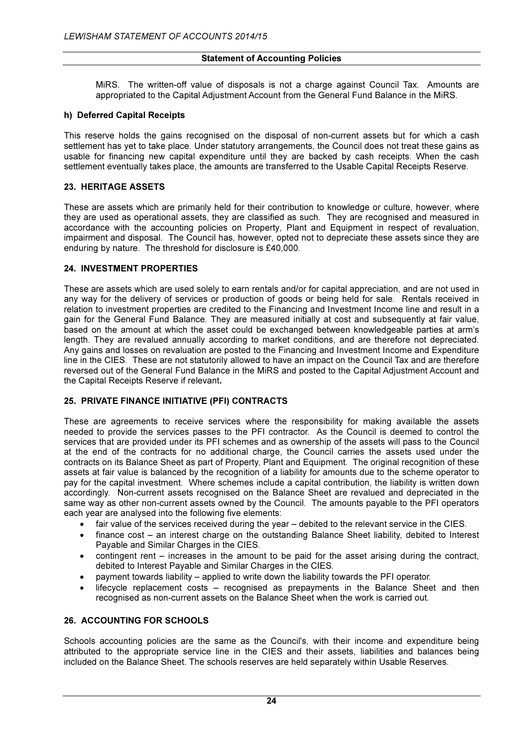MiRS. The written-off value of disposals is not a charge against Council Tax. Amounts are appropriated to the Capital Adjustment Account from the General Fund Balance in the MiRS.

# h) Deferred Capital Receipts

This reserve holds the gains recognised on the disposal of non-current assets but for which a cash settlement has yet to take place. Under statutory arrangements, the Council does not treat these gains as usable for financing new capital expenditure until they are backed by cash receipts. When the cash settlement eventually takes place, the amounts are transferred to the Usable Capital Receipts Reserve.

# 23. HERITAGE ASSETS

These are assets which are primarily held for their contribution to knowledge or culture, however, where they are used as operational assets, they are classified as such. They are recognised and measured in accordance with the accounting policies on Property, Plant and Equipment in respect of revaluation, impairment and disposal. The Council has, however, opted not to depreciate these assets since they are enduring by nature. The threshold for disclosure is £40,000.

#### 24. INVESTMENT PROPERTIES

These are assets which are used solely to earn rentals and/or for capital appreciation, and are not used in any way for the delivery of services or production of goods or being held for sale. Rentals received in relation to investment properties are credited to the Financing and Investment Income line and result in a gain for the General Fund Balance. They are measured initially at cost and subsequently at fair value, based on the amount at which the asset could be exchanged between knowledgeable parties at arm's length. They are revalued annually according to market conditions, and are therefore not depreciated. Any gains and losses on revaluation are posted to the Financing and Investment Income and Expenditure line in the CIES. These are not statutorily allowed to have an impact on the Council Tax and are therefore reversed out of the General Fund Balance in the MiRS and posted to the Capital Adjustment Account and the Capital Receipts Reserve if relevant.

# 25. PRIVATE FINANCE INITIATIVE (PFI) CONTRACTS

These are agreements to receive services where the responsibility for making available the assets needed to provide the services passes to the PFI contractor. As the Council is deemed to control the services that are provided under its PFI schemes and as ownership of the assets will pass to the Council at the end of the contracts for no additional charge, the Council carries the assets used under the contracts on its Balance Sheet as part of Property, Plant and Equipment. The original recognition of these assets at fair value is balanced by the recognition of a liability for amounts due to the scheme operator to pay for the capital investment. Where schemes include a capital contribution, the liability is written down accordingly. Non-current assets recognised on the Balance Sheet are revalued and depreciated in the same way as other non-current assets owned by the Council. The amounts payable to the PFI operators each year are analysed into the following five elements:

- fair value of the services received during the year debited to the relevant service in the CIES.
- finance cost an interest charge on the outstanding Balance Sheet liability, debited to Interest Payable and Similar Charges in the CIES.
- contingent rent increases in the amount to be paid for the asset arising during the contract, debited to Interest Payable and Similar Charges in the CIES.
- payment towards liability applied to write down the liability towards the PFI operator.
- lifecycle replacement costs recognised as prepayments in the Balance Sheet and then recognised as non-current assets on the Balance Sheet when the work is carried out.

#### 26. ACCOUNTING FOR SCHOOLS

Schools accounting policies are the same as the Council's, with their income and expenditure being attributed to the appropriate service line in the CIES and their assets, liabilities and balances being included on the Balance Sheet. The schools reserves are held separately within Usable Reserves.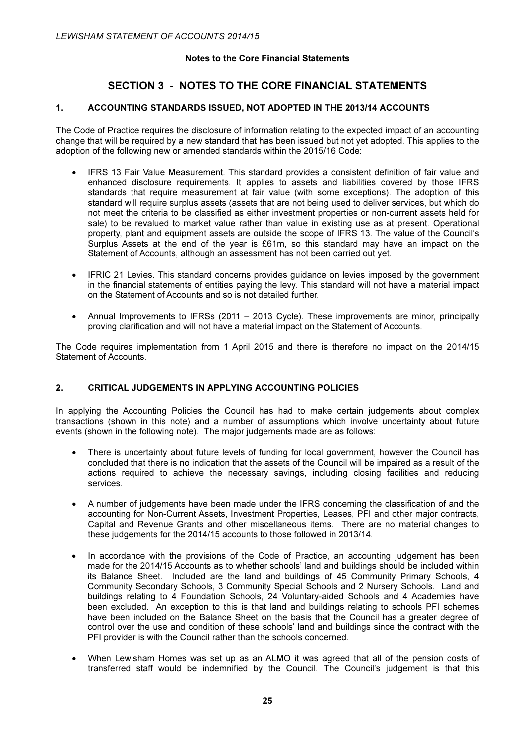# SECTION 3 - NOTES TO THE CORE FINANCIAL STATEMENTS

# 1. ACCOUNTING STANDARDS ISSUED, NOT ADOPTED IN THE 2013/14 ACCOUNTS

The Code of Practice requires the disclosure of information relating to the expected impact of an accounting change that will be required by a new standard that has been issued but not yet adopted. This applies to the adoption of the following new or amended standards within the 2015/16 Code:

- IFRS 13 Fair Value Measurement. This standard provides a consistent definition of fair value and enhanced disclosure requirements. It applies to assets and liabilities covered by those IFRS standards that require measurement at fair value (with some exceptions). The adoption of this standard will require surplus assets (assets that are not being used to deliver services, but which do not meet the criteria to be classified as either investment properties or non-current assets held for sale) to be revalued to market value rather than value in existing use as at present. Operational property, plant and equipment assets are outside the scope of IFRS 13. The value of the Council's Surplus Assets at the end of the year is £61m, so this standard may have an impact on the Statement of Accounts, although an assessment has not been carried out yet.
- IFRIC 21 Levies. This standard concerns provides guidance on levies imposed by the government in the financial statements of entities paying the levy. This standard will not have a material impact on the Statement of Accounts and so is not detailed further.
- Annual Improvements to IFRSs (2011 2013 Cycle). These improvements are minor, principally proving clarification and will not have a material impact on the Statement of Accounts.

The Code requires implementation from 1 April 2015 and there is therefore no impact on the 2014/15 Statement of Accounts.

#### 2. CRITICAL JUDGEMENTS IN APPLYING ACCOUNTING POLICIES

In applying the Accounting Policies the Council has had to make certain judgements about complex transactions (shown in this note) and a number of assumptions which involve uncertainty about future events (shown in the following note). The major judgements made are as follows:

- There is uncertainty about future levels of funding for local government, however the Council has concluded that there is no indication that the assets of the Council will be impaired as a result of the actions required to achieve the necessary savings, including closing facilities and reducing services.
- A number of judgements have been made under the IFRS concerning the classification of and the accounting for Non-Current Assets, Investment Properties, Leases, PFI and other major contracts, Capital and Revenue Grants and other miscellaneous items. There are no material changes to these judgements for the 2014/15 accounts to those followed in 2013/14.
- In accordance with the provisions of the Code of Practice, an accounting judgement has been made for the 2014/15 Accounts as to whether schools' land and buildings should be included within its Balance Sheet. Included are the land and buildings of 45 Community Primary Schools, 4 Community Secondary Schools, 3 Community Special Schools and 2 Nursery Schools. Land and buildings relating to 4 Foundation Schools, 24 Voluntary-aided Schools and 4 Academies have been excluded. An exception to this is that land and buildings relating to schools PFI schemes have been included on the Balance Sheet on the basis that the Council has a greater degree of control over the use and condition of these schools' land and buildings since the contract with the PFI provider is with the Council rather than the schools concerned.
- When Lewisham Homes was set up as an ALMO it was agreed that all of the pension costs of transferred staff would be indemnified by the Council. The Council's judgement is that this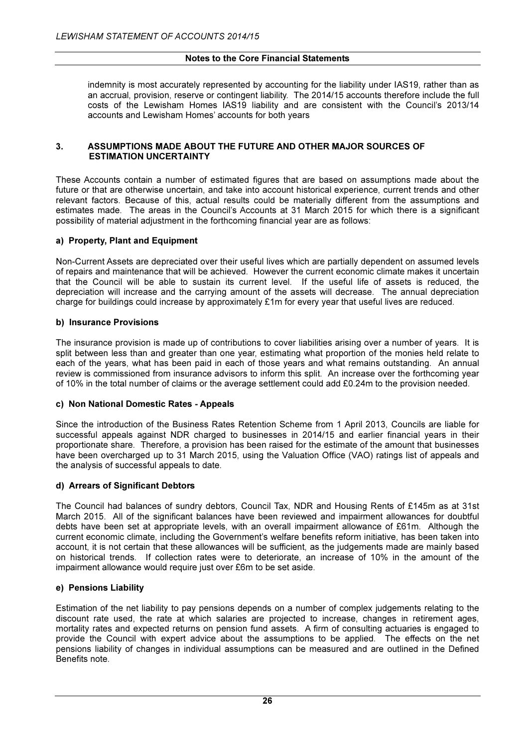indemnity is most accurately represented by accounting for the liability under IAS19, rather than as an accrual, provision, reserve or contingent liability. The 2014/15 accounts therefore include the full costs of the Lewisham Homes IAS19 liability and are consistent with the Council's 2013/14 accounts and Lewisham Homes' accounts for both years

#### 3. ASSUMPTIONS MADE ABOUT THE FUTURE AND OTHER MAJOR SOURCES OF ESTIMATION UNCERTAINTY

These Accounts contain a number of estimated figures that are based on assumptions made about the future or that are otherwise uncertain, and take into account historical experience, current trends and other relevant factors. Because of this, actual results could be materially different from the assumptions and estimates made. The areas in the Council's Accounts at 31 March 2015 for which there is a significant possibility of material adjustment in the forthcoming financial year are as follows:

# a) Property, Plant and Equipment

Non-Current Assets are depreciated over their useful lives which are partially dependent on assumed levels of repairs and maintenance that will be achieved. However the current economic climate makes it uncertain that the Council will be able to sustain its current level. If the useful life of assets is reduced, the depreciation will increase and the carrying amount of the assets will decrease. The annual depreciation charge for buildings could increase by approximately £1m for every year that useful lives are reduced.

#### b) Insurance Provisions

The insurance provision is made up of contributions to cover liabilities arising over a number of years. It is split between less than and greater than one year, estimating what proportion of the monies held relate to each of the years, what has been paid in each of those years and what remains outstanding. An annual review is commissioned from insurance advisors to inform this split. An increase over the forthcoming year of 10% in the total number of claims or the average settlement could add £0.24m to the provision needed.

#### c) Non National Domestic Rates - Appeals

Since the introduction of the Business Rates Retention Scheme from 1 April 2013, Councils are liable for successful appeals against NDR charged to businesses in 2014/15 and earlier financial years in their proportionate share. Therefore, a provision has been raised for the estimate of the amount that businesses have been overcharged up to 31 March 2015, using the Valuation Office (VAO) ratings list of appeals and the analysis of successful appeals to date.

#### d) Arrears of Significant Debtors

The Council had balances of sundry debtors, Council Tax, NDR and Housing Rents of £145m as at 31st March 2015. All of the significant balances have been reviewed and impairment allowances for doubtful debts have been set at appropriate levels, with an overall impairment allowance of £61m. Although the current economic climate, including the Government's welfare benefits reform initiative, has been taken into account, it is not certain that these allowances will be sufficient, as the judgements made are mainly based on historical trends. If collection rates were to deteriorate, an increase of 10% in the amount of the impairment allowance would require just over £6m to be set aside.

#### e) Pensions Liability

Estimation of the net liability to pay pensions depends on a number of complex judgements relating to the discount rate used, the rate at which salaries are projected to increase, changes in retirement ages, mortality rates and expected returns on pension fund assets. A firm of consulting actuaries is engaged to provide the Council with expert advice about the assumptions to be applied. The effects on the net pensions liability of changes in individual assumptions can be measured and are outlined in the Defined Benefits note.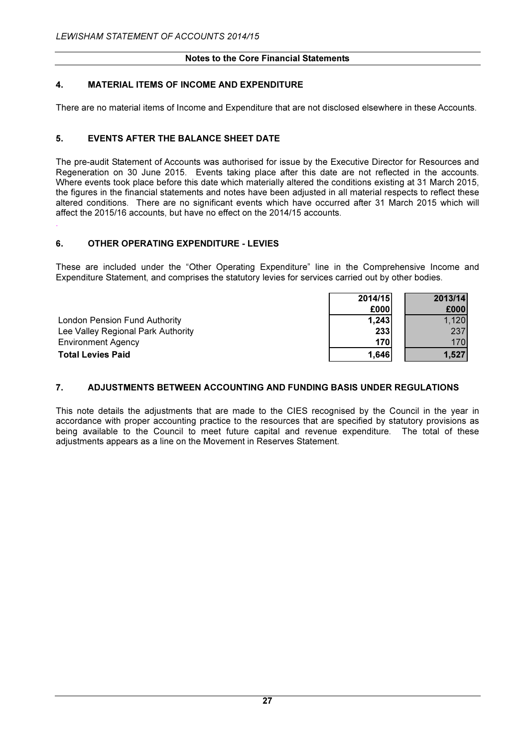# 4. MATERIAL ITEMS OF INCOME AND EXPENDITURE

There are no material items of Income and Expenditure that are not disclosed elsewhere in these Accounts.

# 5. EVENTS AFTER THE BALANCE SHEET DATE

The pre-audit Statement of Accounts was authorised for issue by the Executive Director for Resources and Regeneration on 30 June 2015. Events taking place after this date are not reflected in the accounts. Where events took place before this date which materially altered the conditions existing at 31 March 2015, the figures in the financial statements and notes have been adjusted in all material respects to reflect these altered conditions. There are no significant events which have occurred after 31 March 2015 which will affect the 2015/16 accounts, but have no effect on the 2014/15 accounts.

# 6. OTHER OPERATING EXPENDITURE - LEVIES

.

These are included under the "Other Operating Expenditure" line in the Comprehensive Income and Expenditure Statement, and comprises the statutory levies for services carried out by other bodies.

|                                      | 2014/15     | 2013/14 |
|--------------------------------------|-------------|---------|
|                                      | £000        | £000    |
| <b>London Pension Fund Authority</b> | 1,243       | 1,120   |
| Lee Valley Regional Park Authority   | 233         | 237     |
| <b>Environment Agency</b>            | <b>1701</b> | 170     |
| <b>Total Levies Paid</b>             | 1,646       | 1,527   |

# 7. ADJUSTMENTS BETWEEN ACCOUNTING AND FUNDING BASIS UNDER REGULATIONS

This note details the adjustments that are made to the CIES recognised by the Council in the year in accordance with proper accounting practice to the resources that are specified by statutory provisions as being available to the Council to meet future capital and revenue expenditure. The total of these adjustments appears as a line on the Movement in Reserves Statement.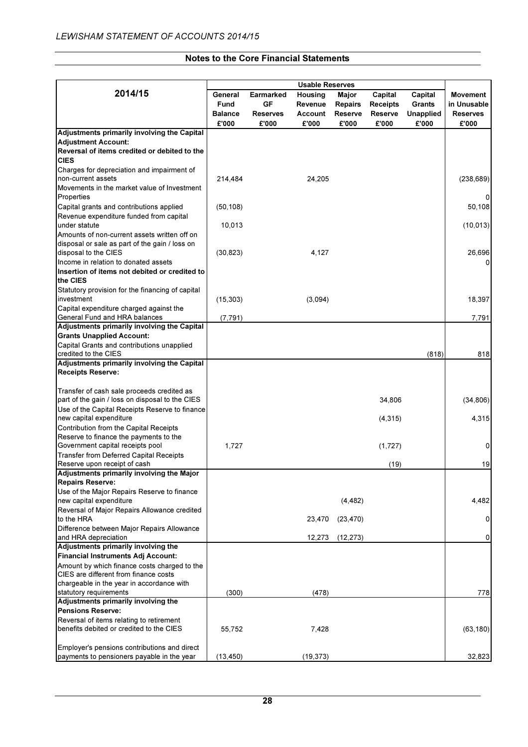|                                                                         |                |                 | <b>Usable Reserves</b> |                |          |                  |                 |
|-------------------------------------------------------------------------|----------------|-----------------|------------------------|----------------|----------|------------------|-----------------|
| 2014/15                                                                 | General        | Earmarked       | Housing                | Major          | Capital  | Capital          | <b>Movement</b> |
|                                                                         | <b>Fund</b>    | GF              | Revenue                | <b>Repairs</b> | Receipts | Grants           | in Unusable     |
|                                                                         | <b>Balance</b> | <b>Reserves</b> | Account                | Reserve        | Reserve  | <b>Unapplied</b> | <b>Reserves</b> |
|                                                                         | £'000          | £'000           | £'000                  | £'000          | £'000    | £'000            | £'000           |
| Adjustments primarily involving the Capital                             |                |                 |                        |                |          |                  |                 |
| <b>Adjustment Account:</b>                                              |                |                 |                        |                |          |                  |                 |
| Reversal of items credited or debited to the                            |                |                 |                        |                |          |                  |                 |
| <b>CIES</b>                                                             |                |                 |                        |                |          |                  |                 |
| Charges for depreciation and impairment of                              |                |                 |                        |                |          |                  |                 |
| non-current assets<br>Movements in the market value of Investment       | 214,484        |                 | 24,205                 |                |          |                  | (238, 689)      |
| Properties                                                              |                |                 |                        |                |          |                  |                 |
| Capital grants and contributions applied                                | (50, 108)      |                 |                        |                |          |                  | 50,108          |
| Revenue expenditure funded from capital                                 |                |                 |                        |                |          |                  |                 |
| under statute                                                           | 10,013         |                 |                        |                |          |                  | (10, 013)       |
| Amounts of non-current assets written off on                            |                |                 |                        |                |          |                  |                 |
| disposal or sale as part of the gain / loss on                          |                |                 |                        |                |          |                  |                 |
| disposal to the CIES                                                    | (30, 823)      |                 | 4,127                  |                |          |                  | 26,696          |
| Income in relation to donated assets                                    |                |                 |                        |                |          |                  |                 |
| Insertion of items not debited or credited to                           |                |                 |                        |                |          |                  |                 |
| the CIES                                                                |                |                 |                        |                |          |                  |                 |
| Statutory provision for the financing of capital<br>investment          | (15, 303)      |                 | (3,094)                |                |          |                  | 18,397          |
| Capital expenditure charged against the                                 |                |                 |                        |                |          |                  |                 |
| General Fund and HRA balances                                           | (7, 791)       |                 |                        |                |          |                  | 7,791           |
| Adjustments primarily involving the Capital                             |                |                 |                        |                |          |                  |                 |
| <b>Grants Unapplied Account:</b>                                        |                |                 |                        |                |          |                  |                 |
| Capital Grants and contributions unapplied                              |                |                 |                        |                |          |                  |                 |
| credited to the CIES                                                    |                |                 |                        |                |          | (818)            | 818             |
| Adjustments primarily involving the Capital                             |                |                 |                        |                |          |                  |                 |
| <b>Receipts Reserve:</b>                                                |                |                 |                        |                |          |                  |                 |
| Transfer of cash sale proceeds credited as                              |                |                 |                        |                |          |                  |                 |
| part of the gain / loss on disposal to the CIES                         |                |                 |                        |                | 34,806   |                  | (34, 806)       |
| Use of the Capital Receipts Reserve to finance                          |                |                 |                        |                |          |                  |                 |
| new capital expenditure                                                 |                |                 |                        |                | (4, 315) |                  | 4,315           |
| Contribution from the Capital Receipts                                  |                |                 |                        |                |          |                  |                 |
| Reserve to finance the payments to the                                  |                |                 |                        |                |          |                  |                 |
| Government capital receipts pool                                        | 1,727          |                 |                        |                | (1,727)  |                  | 0               |
| Transfer from Deferred Capital Receipts<br>Reserve upon receipt of cash |                |                 |                        |                |          |                  |                 |
| Adjustments primarily involving the Major                               |                |                 |                        |                | (19)     |                  | 19              |
| <b>Repairs Reserve:</b>                                                 |                |                 |                        |                |          |                  |                 |
| Use of the Major Repairs Reserve to finance                             |                |                 |                        |                |          |                  |                 |
| new capital expenditure                                                 |                |                 |                        | (4, 482)       |          |                  | 4,482           |
| Reversal of Major Repairs Allowance credited                            |                |                 |                        |                |          |                  |                 |
| to the HRA                                                              |                |                 | 23,470                 | (23, 470)      |          |                  | 0               |
| Difference between Major Repairs Allowance<br>and HRA depreciation      |                |                 |                        |                |          |                  | 0               |
| Adjustments primarily involving the                                     |                |                 | 12,273                 | (12, 273)      |          |                  |                 |
| Financial Instruments Adj Account:                                      |                |                 |                        |                |          |                  |                 |
| Amount by which finance costs charged to the                            |                |                 |                        |                |          |                  |                 |
| CIES are different from finance costs                                   |                |                 |                        |                |          |                  |                 |
| chargeable in the year in accordance with                               |                |                 |                        |                |          |                  |                 |
| statutory requirements                                                  | (300)          |                 | (478)                  |                |          |                  | 778             |
| Adjustments primarily involving the<br><b>Pensions Reserve:</b>         |                |                 |                        |                |          |                  |                 |
| Reversal of items relating to retirement                                |                |                 |                        |                |          |                  |                 |
| benefits debited or credited to the CIES                                | 55,752         |                 | 7,428                  |                |          |                  | (63, 180)       |
|                                                                         |                |                 |                        |                |          |                  |                 |
| Employer's pensions contributions and direct                            |                |                 |                        |                |          |                  |                 |
| payments to pensioners payable in the year                              | (13, 450)      |                 | (19, 373)              |                |          |                  | 32,823          |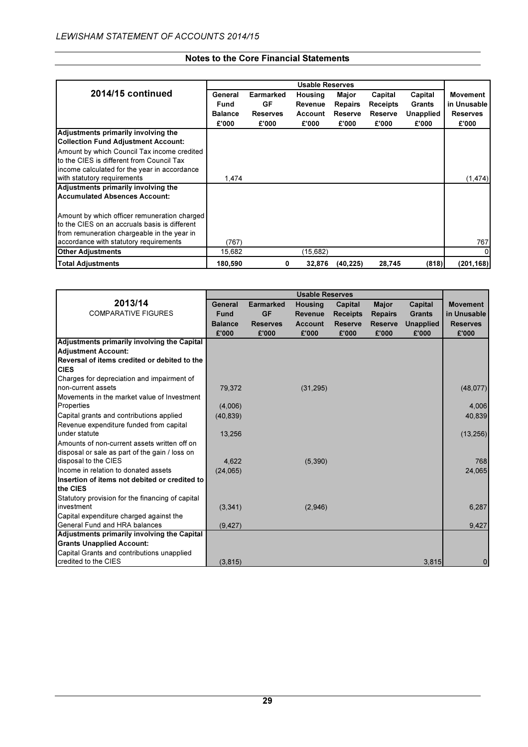|                                               |                |                  | <b>Usable Reserves</b> |                |                 |           |                 |
|-----------------------------------------------|----------------|------------------|------------------------|----------------|-----------------|-----------|-----------------|
| 2014/15 continued                             | General        | <b>Earmarked</b> | Housing                | Major          | Capital         | Capital   | <b>Movement</b> |
|                                               | Fund           | <b>GF</b>        | Revenue                | <b>Repairs</b> | <b>Receipts</b> | Grants    | in Unusable     |
|                                               | <b>Balance</b> | <b>Reserves</b>  | Account                | Reserve        | Reserve         | Unapplied | <b>Reserves</b> |
|                                               | £'000          | £'000            | £'000                  | £'000          | £'000           | £'000     | £'000           |
| Adjustments primarily involving the           |                |                  |                        |                |                 |           |                 |
| <b>Collection Fund Adjustment Account:</b>    |                |                  |                        |                |                 |           |                 |
| Amount by which Council Tax income credited   |                |                  |                        |                |                 |           |                 |
| to the CIES is different from Council Tax     |                |                  |                        |                |                 |           |                 |
| income calculated for the year in accordance  |                |                  |                        |                |                 |           |                 |
| with statutory requirements                   | 1,474          |                  |                        |                |                 |           | (1, 474)        |
| Adjustments primarily involving the           |                |                  |                        |                |                 |           |                 |
| <b>Accumulated Absences Account:</b>          |                |                  |                        |                |                 |           |                 |
|                                               |                |                  |                        |                |                 |           |                 |
| Amount by which officer remuneration charged  |                |                  |                        |                |                 |           |                 |
| to the CIES on an accruals basis is different |                |                  |                        |                |                 |           |                 |
| from remuneration chargeable in the year in   |                |                  |                        |                |                 |           |                 |
| accordance with statutory requirements        | (767)          |                  |                        |                |                 |           | 767             |
| <b>Other Adjustments</b>                      | 15,682         |                  | (15,682)               |                |                 |           |                 |
| <b>Total Adjustments</b>                      | 180,590        | 0                | 32,876                 | (40, 225)      | 28,745          | (818)     | (201, 168)      |

|                                                  |                |                  | <b>Usable Reserves</b> |                 |                |                  |                 |
|--------------------------------------------------|----------------|------------------|------------------------|-----------------|----------------|------------------|-----------------|
| 2013/14                                          | General        | <b>Earmarked</b> | <b>Housing</b>         | Capital         | <b>Major</b>   | Capital          | <b>Movement</b> |
| <b>COMPARATIVE FIGURES</b>                       | <b>Fund</b>    | <b>GF</b>        | <b>Revenue</b>         | <b>Receipts</b> | <b>Repairs</b> | <b>Grants</b>    | in Unusable     |
|                                                  | <b>Balance</b> | <b>Reserves</b>  | <b>Account</b>         | <b>Reserve</b>  | <b>Reserve</b> | <b>Unapplied</b> | <b>Reserves</b> |
|                                                  | £'000          | £'000            | £'000                  | £'000           | £'000          | £'000            | £'000           |
| Adjustments primarily involving the Capital      |                |                  |                        |                 |                |                  |                 |
| <b>Adjustment Account:</b>                       |                |                  |                        |                 |                |                  |                 |
| Reversal of items credited or debited to the     |                |                  |                        |                 |                |                  |                 |
| <b>CIES</b>                                      |                |                  |                        |                 |                |                  |                 |
| Charges for depreciation and impairment of       |                |                  |                        |                 |                |                  |                 |
| non-current assets                               | 79.372         |                  | (31, 295)              |                 |                |                  | (48,077)        |
| Movements in the market value of Investment      |                |                  |                        |                 |                |                  |                 |
| Properties                                       | (4,006)        |                  |                        |                 |                |                  | 4,006           |
| Capital grants and contributions applied         | (40, 839)      |                  |                        |                 |                |                  | 40,839          |
| Revenue expenditure funded from capital          |                |                  |                        |                 |                |                  |                 |
| under statute                                    | 13,256         |                  |                        |                 |                |                  | (13, 256)       |
| Amounts of non-current assets written off on     |                |                  |                        |                 |                |                  |                 |
| disposal or sale as part of the gain / loss on   |                |                  |                        |                 |                |                  |                 |
| disposal to the CIES                             | 4,622          |                  | (5,390)                |                 |                |                  | 768             |
| Income in relation to donated assets             | (24,065)       |                  |                        |                 |                |                  | 24,065          |
| Insertion of items not debited or credited to    |                |                  |                        |                 |                |                  |                 |
| the CIES                                         |                |                  |                        |                 |                |                  |                 |
| Statutory provision for the financing of capital |                |                  |                        |                 |                |                  |                 |
| investment                                       | (3,341)        |                  | (2,946)                |                 |                |                  | 6,287           |
| Capital expenditure charged against the          |                |                  |                        |                 |                |                  |                 |
| General Fund and HRA balances                    | (9, 427)       |                  |                        |                 |                |                  | 9,427           |
| Adjustments primarily involving the Capital      |                |                  |                        |                 |                |                  |                 |
| <b>Grants Unapplied Account:</b>                 |                |                  |                        |                 |                |                  |                 |
| Capital Grants and contributions unapplied       |                |                  |                        |                 |                |                  |                 |
| credited to the CIES                             | (3,815)        |                  |                        |                 |                | 3,815            | 0               |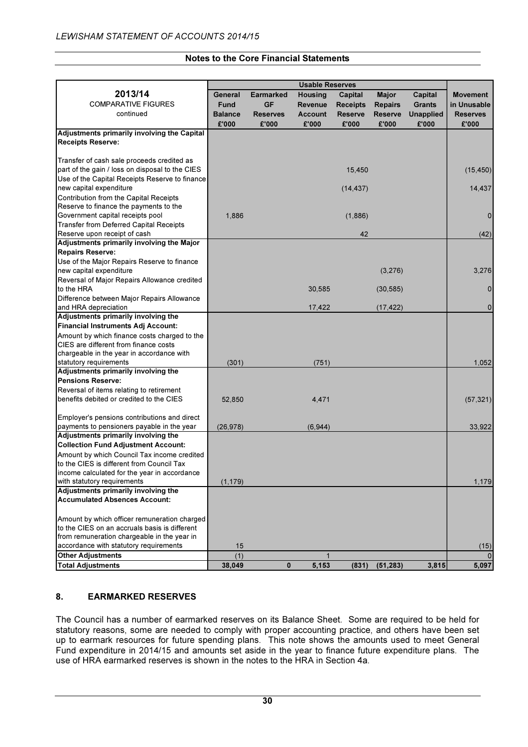|                                                                                            |                |                  | <b>Usable Reserves</b> |                 |                |                  |                 |
|--------------------------------------------------------------------------------------------|----------------|------------------|------------------------|-----------------|----------------|------------------|-----------------|
| 2013/14                                                                                    | General        | <b>Earmarked</b> | Housing                | Capital         | <b>Major</b>   | Capital          | <b>Movement</b> |
| <b>COMPARATIVE FIGURES</b>                                                                 | Fund           | GF               | Revenue                | <b>Receipts</b> | <b>Repairs</b> | <b>Grants</b>    | in Unusable     |
| continued                                                                                  | <b>Balance</b> | Reserves         | <b>Account</b>         | <b>Reserve</b>  | Reserve        | <b>Unapplied</b> | <b>Reserves</b> |
|                                                                                            | £'000          | £'000            | £'000                  | £'000           | £'000          | £'000            | £'000           |
| Adjustments primarily involving the Capital                                                |                |                  |                        |                 |                |                  |                 |
| <b>Receipts Reserve:</b>                                                                   |                |                  |                        |                 |                |                  |                 |
|                                                                                            |                |                  |                        |                 |                |                  |                 |
| Transfer of cash sale proceeds credited as                                                 |                |                  |                        |                 |                |                  |                 |
| part of the gain / loss on disposal to the CIES                                            |                |                  |                        | 15,450          |                |                  | (15, 450)       |
| Use of the Capital Receipts Reserve to finance                                             |                |                  |                        |                 |                |                  |                 |
| new capital expenditure                                                                    |                |                  |                        | (14, 437)       |                |                  | 14,437          |
| Contribution from the Capital Receipts                                                     |                |                  |                        |                 |                |                  |                 |
| Reserve to finance the payments to the                                                     |                |                  |                        |                 |                |                  |                 |
| Government capital receipts pool                                                           | 1,886          |                  |                        | (1,886)         |                |                  | 0               |
| <b>Transfer from Deferred Capital Receipts</b>                                             |                |                  |                        |                 |                |                  |                 |
| Reserve upon receipt of cash                                                               |                |                  |                        | 42              |                |                  | (42)            |
| Adjustments primarily involving the Major                                                  |                |                  |                        |                 |                |                  |                 |
| <b>Repairs Reserve:</b>                                                                    |                |                  |                        |                 |                |                  |                 |
| Use of the Major Repairs Reserve to finance                                                |                |                  |                        |                 |                |                  |                 |
| new capital expenditure                                                                    |                |                  |                        |                 | (3,276)        |                  | 3,276           |
| Reversal of Major Repairs Allowance credited                                               |                |                  |                        |                 |                |                  |                 |
| to the HRA                                                                                 |                |                  | 30,585                 |                 | (30, 585)      |                  | $\mathbf 0$     |
| Difference between Major Repairs Allowance                                                 |                |                  |                        |                 |                |                  |                 |
| and HRA depreciation                                                                       |                |                  | 17,422                 |                 | (17, 422)      |                  | 0               |
| Adjustments primarily involving the                                                        |                |                  |                        |                 |                |                  |                 |
| <b>Financial Instruments Adj Account:</b>                                                  |                |                  |                        |                 |                |                  |                 |
| Amount by which finance costs charged to the                                               |                |                  |                        |                 |                |                  |                 |
| CIES are different from finance costs                                                      |                |                  |                        |                 |                |                  |                 |
| chargeable in the year in accordance with                                                  |                |                  |                        |                 |                |                  |                 |
| statutory requirements                                                                     | (301)          |                  | (751)                  |                 |                |                  | 1,052           |
| Adjustments primarily involving the<br><b>Pensions Reserve:</b>                            |                |                  |                        |                 |                |                  |                 |
|                                                                                            |                |                  |                        |                 |                |                  |                 |
| Reversal of items relating to retirement<br>benefits debited or credited to the CIES       |                |                  |                        |                 |                |                  |                 |
|                                                                                            | 52,850         |                  | 4,471                  |                 |                |                  | (57, 321)       |
|                                                                                            |                |                  |                        |                 |                |                  |                 |
| Employer's pensions contributions and direct<br>payments to pensioners payable in the year | (26, 978)      |                  | (6, 944)               |                 |                |                  | 33,922          |
| Adjustments primarily involving the                                                        |                |                  |                        |                 |                |                  |                 |
| <b>Collection Fund Adjustment Account:</b>                                                 |                |                  |                        |                 |                |                  |                 |
| Amount by which Council Tax income credited                                                |                |                  |                        |                 |                |                  |                 |
| to the CIES is different from Council Tax                                                  |                |                  |                        |                 |                |                  |                 |
| income calculated for the year in accordance                                               |                |                  |                        |                 |                |                  |                 |
| with statutory requirements                                                                | (1, 179)       |                  |                        |                 |                |                  | 1,179           |
| Adjustments primarily involving the                                                        |                |                  |                        |                 |                |                  |                 |
| <b>Accumulated Absences Account:</b>                                                       |                |                  |                        |                 |                |                  |                 |
|                                                                                            |                |                  |                        |                 |                |                  |                 |
| Amount by which officer remuneration charged                                               |                |                  |                        |                 |                |                  |                 |
| to the CIES on an accruals basis is different                                              |                |                  |                        |                 |                |                  |                 |
| from remuneration chargeable in the year in                                                |                |                  |                        |                 |                |                  |                 |
| accordance with statutory requirements                                                     | 15             |                  |                        |                 |                |                  | (15)            |
| <b>Other Adjustments</b>                                                                   | (1)            |                  | $\mathbf 1$            |                 |                |                  |                 |
| <b>Total Adjustments</b>                                                                   | 38,049         | 0                | 5,153                  | (831)           | (51, 283)      | 3,815            | 5,097           |

# 8. EARMARKED RESERVES

The Council has a number of earmarked reserves on its Balance Sheet. Some are required to be held for statutory reasons, some are needed to comply with proper accounting practice, and others have been set up to earmark resources for future spending plans. This note shows the amounts used to meet General Fund expenditure in 2014/15 and amounts set aside in the year to finance future expenditure plans. The use of HRA earmarked reserves is shown in the notes to the HRA in Section 4a.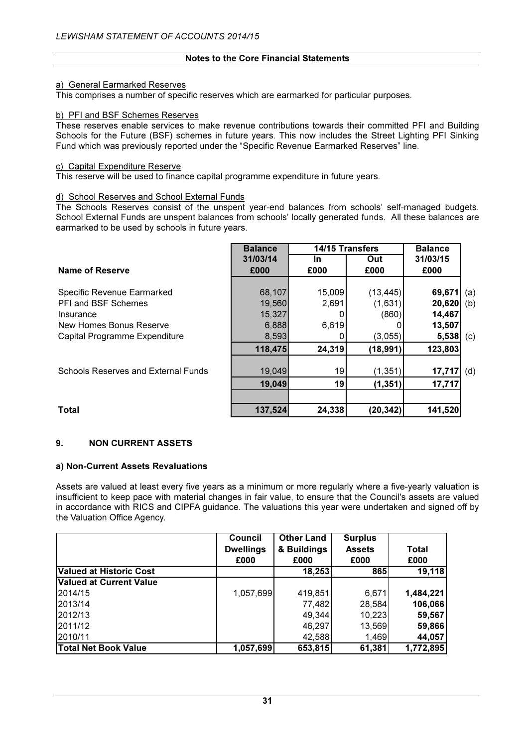## a) General Earmarked Reserves

This comprises a number of specific reserves which are earmarked for particular purposes.

## b) PFI and BSF Schemes Reserves

These reserves enable services to make revenue contributions towards their committed PFI and Building Schools for the Future (BSF) schemes in future years. This now includes the Street Lighting PFI Sinking Fund which was previously reported under the "Specific Revenue Earmarked Reserves" line.

#### c) Capital Expenditure Reserve

This reserve will be used to finance capital programme expenditure in future years.

#### d) School Reserves and School External Funds

The Schools Reserves consist of the unspent year-end balances from schools' self-managed budgets. School External Funds are unspent balances from schools' locally generated funds. All these balances are earmarked to be used by schools in future years.

|                                            | <b>Balance</b> | <b>14/15 Transfers</b> |           | <b>Balance</b> |     |
|--------------------------------------------|----------------|------------------------|-----------|----------------|-----|
|                                            | 31/03/14       | In.                    | Out       | 31/03/15       |     |
| Name of Reserve                            | £000           | £000                   | £000      | £000           |     |
|                                            |                |                        |           |                |     |
| Specific Revenue Earmarked                 | 68,107         | 15,009                 | (13, 445) | 69,671         | (a) |
| PFI and BSF Schemes                        | 19,560         | 2,691                  | (1,631)   | 20,620         | (b) |
| Insurance                                  | 15,327         |                        | (860)     | 14,467         |     |
| New Homes Bonus Reserve                    | 6,888          | 6,619                  |           | 13,507         |     |
| Capital Programme Expenditure              | 8,593          |                        | (3,055)   | 5,538          | (c) |
|                                            | 118,475        | 24,319                 | (18,991)  | 123,803        |     |
|                                            |                |                        |           |                |     |
| <b>Schools Reserves and External Funds</b> | 19,049         | 19                     | (1, 351)  | 17,717         | (d) |
|                                            | 19,049         | 19                     | (1, 351)  | 17,717         |     |
| <b>Total</b>                               | 137,524        | 24,338                 | (20,342)  | 141,520        |     |

# 9. NON CURRENT ASSETS

#### a) Non-Current Assets Revaluations

Assets are valued at least every five years as a minimum or more regularly where a five-yearly valuation is insufficient to keep pace with material changes in fair value, to ensure that the Council's assets are valued in accordance with RICS and CIPFA guidance. The valuations this year were undertaken and signed off by the Valuation Office Agency.

|                                | <b>Council</b>   | <b>Other Land</b> | <b>Surplus</b> |           |
|--------------------------------|------------------|-------------------|----------------|-----------|
|                                | <b>Dwellings</b> | & Buildings       | <b>Assets</b>  | Total     |
|                                | £000             | £000              | £000           | £000      |
| <b>Valued at Historic Cost</b> |                  | 18,253            | 865            | 19,118    |
| Valued at Current Value        |                  |                   |                |           |
| 2014/15                        | 1,057,699        | 419,851           | 6,671          | 1,484,221 |
| 2013/14                        |                  | 77,482            | 28,584         | 106,066   |
| 2012/13                        |                  | 49,344            | 10,223         | 59,567    |
| 2011/12                        |                  | 46,297            | 13,569         | 59,866    |
| 2010/11                        |                  | 42,588            | 1,469          | 44,057    |
| <b>Total Net Book Value</b>    | 1,057,699        | 653,815           | 61,381         | 1,772,895 |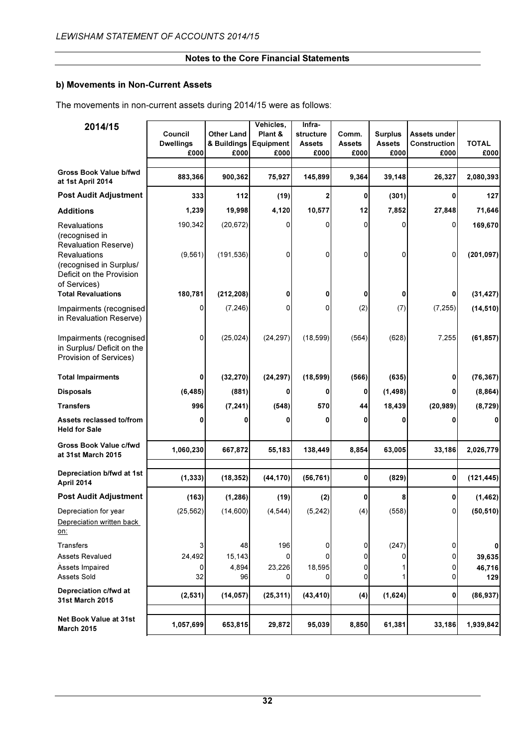# b) Movements in Non-Current Assets

The movements in non-current assets during 2014/15 were as follows:

| 2014/15                                                                                          | Council<br><b>Dwellings</b><br>£000 | <b>Other Land</b><br>& Buildings<br>£000 | Vehicles,<br>Plant &<br>Equipment<br>£000 | Infra-<br>structure<br><b>Assets</b><br>£000 | Comm.<br><b>Assets</b><br>£000 | <b>Surplus</b><br><b>Assets</b><br>£000 | Assets under<br>Construction<br>£000 | <b>TOTAL</b><br>£000  |
|--------------------------------------------------------------------------------------------------|-------------------------------------|------------------------------------------|-------------------------------------------|----------------------------------------------|--------------------------------|-----------------------------------------|--------------------------------------|-----------------------|
| Gross Book Value b/fwd<br>at 1st April 2014                                                      | 883,366                             | 900,362                                  | 75,927                                    | 145,899                                      | 9,364                          | 39,148                                  | 26,327                               | 2,080,393             |
| <b>Post Audit Adjustment</b>                                                                     | 333                                 | 112                                      | (19)                                      | 2                                            | 0                              | (301)                                   | 0                                    | 127                   |
| <b>Additions</b>                                                                                 | 1,239                               | 19,998                                   | 4,120                                     | 10,577                                       | 12                             | 7,852                                   | 27,848                               | 71,646                |
| <b>Revaluations</b><br>(recognised in<br><b>Revaluation Reserve)</b><br>Revaluations             | 190,342<br>(9, 561)                 | (20, 672)<br>(191, 536)                  | 0<br>0                                    | 0<br>0                                       | 0<br>0                         | 0<br>0                                  | 0<br>$\Omega$                        | 169,670<br>(201, 097) |
| (recognised in Surplus/<br>Deficit on the Provision<br>of Services)<br><b>Total Revaluations</b> | 180,781                             | (212, 208)                               | 0                                         | 0                                            | 0                              | 0                                       | 0                                    | (31, 427)             |
|                                                                                                  |                                     |                                          |                                           |                                              |                                |                                         |                                      |                       |
| Impairments (recognised<br>in Revaluation Reserve)                                               | 0                                   | (7, 246)                                 | 0                                         | 0                                            | (2)                            | (7)                                     | (7, 255)                             | (14, 510)             |
| Impairments (recognised<br>in Surplus/ Deficit on the<br>Provision of Services)                  | 0                                   | (25, 024)                                | (24, 297)                                 | (18, 599)                                    | (564)                          | (628)                                   | 7,255                                | (61, 857)             |
| <b>Total Impairments</b>                                                                         | 0                                   | (32, 270)                                | (24, 297)                                 | (18, 599)                                    | (566)                          | (635)                                   | 0                                    | (76, 367)             |
| <b>Disposals</b>                                                                                 | (6, 485)                            | (881)                                    | 0                                         |                                              | 0                              | (1, 498)                                | 0                                    | (8, 864)              |
| <b>Transfers</b>                                                                                 | 996                                 | (7, 241)                                 | (548)                                     | 570                                          | 44                             | 18,439                                  | (20, 989)                            | (8, 729)              |
| Assets reclassed to/from<br><b>Held for Sale</b>                                                 | 0                                   | 0                                        | Ω                                         | 0                                            | 0                              | 0                                       |                                      | $\mathbf{0}$          |
| Gross Book Value c/fwd<br>at 31st March 2015                                                     | 1,060,230                           | 667,872                                  | 55,183                                    | 138,449                                      | 8,854                          | 63,005                                  | 33,186                               | 2,026,779             |
| Depreciation b/fwd at 1st<br>April 2014                                                          | (1, 333)                            | (18, 352)                                | (44, 170)                                 | (56, 761)                                    | 0                              | (829)                                   | $\mathbf{0}$                         | (121, 445)            |
| <b>Post Audit Adjustment</b>                                                                     | (163)                               | (1, 286)                                 | (19)                                      | (2)                                          | 0                              | 8                                       | 0                                    | (1, 462)              |
| Depreciation for year<br>Depreciation written back<br>on:                                        | (25, 562)                           | (14,600)                                 | (4, 544)                                  | (5, 242)                                     | (4)                            | (558)                                   | 0                                    | (50, 510)             |
| Transfers                                                                                        | 3                                   | 48                                       | 196                                       | 0                                            | 0                              | (247)                                   | 0                                    | 0                     |
| <b>Assets Revalued</b>                                                                           | 24,492                              | 15,143                                   | 0                                         | n                                            | 0                              | 0                                       | 0                                    | 39,635                |
| Assets Impaired<br>Assets Sold                                                                   | 0<br>32                             | 4,894<br>96                              | 23,226<br>0                               | 18,595<br>n                                  | 0<br>0                         | 1<br>1                                  | 0<br>0                               | 46,716<br>129         |
| Depreciation c/fwd at<br><b>31st March 2015</b>                                                  | (2, 531)                            | (14, 057)                                | (25, 311)                                 | (43, 410)                                    | (4)                            | (1,624)                                 | $\mathbf{0}$                         | (86, 937)             |
| Net Book Value at 31st<br><b>March 2015</b>                                                      | 1,057,699                           | 653,815                                  | 29,872                                    | 95,039                                       | 8,850                          | 61,381                                  | 33,186                               | 1,939,842             |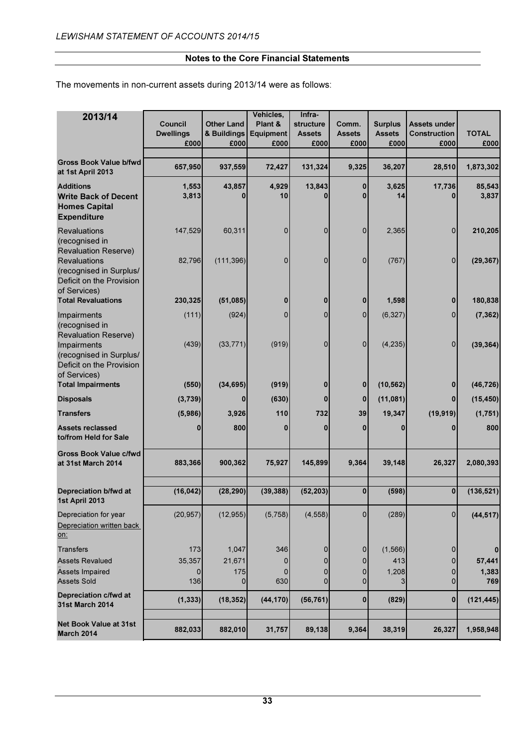The movements in non-current assets during 2013/14 were as follows:

| 2013/14                                                                                                                            | Council<br><b>Dwellings</b><br>£000 | <b>Other Land</b><br>& Buildings<br>£000 | Vehicles,<br>Plant &<br><b>Equipment</b><br>£000 | Infra-<br>structure<br><b>Assets</b><br>£000 | Comm.<br><b>Assets</b><br>£000 | <b>Surplus</b><br><b>Assets</b><br>£000 | Assets under<br>Construction<br>£000 | <b>TOTAL</b><br>£000  |
|------------------------------------------------------------------------------------------------------------------------------------|-------------------------------------|------------------------------------------|--------------------------------------------------|----------------------------------------------|--------------------------------|-----------------------------------------|--------------------------------------|-----------------------|
| <b>Gross Book Value b/fwd</b><br>at 1st April 2013                                                                                 | 657,950                             | 937,559                                  | 72,427                                           | 131,324                                      | 9,325                          | 36,207                                  | 28,510                               | 1,873,302             |
| <b>Additions</b><br><b>Write Back of Decent</b><br><b>Homes Capital</b><br><b>Expenditure</b>                                      | 1,553<br>3,813                      | 43,857                                   | 4,929<br>10                                      | 13,843                                       | 0                              | 3,625<br>14                             | 17,736                               | 85,543<br>3,837       |
| <b>Revaluations</b><br>(recognised in<br><b>Revaluation Reserve)</b><br><b>Revaluations</b>                                        | 147,529<br>82,796                   | 60,311<br>(111, 396)                     | 0<br>0                                           | 0<br>$\Omega$                                | 0<br>0                         | 2,365<br>(767)                          | 0<br>$\overline{0}$                  | 210,205<br>(29, 367)  |
| (recognised in Surplus/<br>Deficit on the Provision<br>of Services)<br><b>Total Revaluations</b>                                   | 230,325                             | (51,085)                                 | 0                                                | 0                                            | 0                              | 1,598                                   | 0                                    | 180,838               |
|                                                                                                                                    |                                     |                                          |                                                  |                                              |                                |                                         |                                      |                       |
| Impairments<br>(recognised in<br><b>Revaluation Reserve)</b><br>Impairments<br>(recognised in Surplus/<br>Deficit on the Provision | (111)<br>(439)                      | (924)<br>(33, 771)                       | $\Omega$<br>(919)                                | 0<br>$\Omega$                                | $\Omega$<br>0                  | (6, 327)<br>(4, 235)                    | $\Omega$<br>$\Omega$                 | (7, 362)<br>(39, 364) |
| of Services)<br><b>Total Impairments</b>                                                                                           | (550)                               | (34, 695)                                | (919)                                            | $\bf{0}$                                     | $\bf{0}$                       | (10, 562)                               | 0                                    | (46, 726)             |
|                                                                                                                                    |                                     |                                          |                                                  |                                              |                                |                                         |                                      |                       |
| <b>Disposals</b>                                                                                                                   | (3,739)                             | 0                                        | (630)                                            | $\bf{0}$                                     | $\mathbf 0$                    | (11,081)                                | 0                                    | (15, 450)             |
| <b>Transfers</b>                                                                                                                   | (5,986)                             | 3,926                                    | 110                                              | 732                                          | 39                             | 19,347                                  | (19, 919)                            | (1,751)               |
| <b>Assets reclassed</b><br>to/from Held for Sale                                                                                   | 0                                   | 800                                      | 0                                                | $\bf{0}$                                     | 0                              | 0                                       |                                      | 800                   |
| <b>Gross Book Value c/fwd</b><br>at 31st March 2014                                                                                | 883,366                             | 900,362                                  | 75,927                                           | 145,899                                      | 9,364                          | 39,148                                  | 26,327                               | 2,080,393             |
| Depreciation b/fwd at<br>1st April 2013                                                                                            | (16, 042)                           | (28, 290)                                | (39, 388)                                        | (52, 203)                                    | 0                              | (598)                                   | $\bf{0}$                             | (136, 521)            |
| Depreciation for year<br>Depreciation written back<br>on:                                                                          | (20, 957)                           | (12, 955)                                | (5,758)                                          | (4, 558)                                     | 0                              | (289)                                   | $\overline{0}$                       | (44, 517)             |
| <b>Transfers</b>                                                                                                                   | 173                                 | 1,047                                    | 346                                              | 0                                            | 0                              | (1, 566)                                | $\Omega$                             | 0                     |
| <b>Assets Revalued</b>                                                                                                             | 35,357                              | 21,671                                   | 0                                                | 0                                            | 0                              | 413                                     | $\Omega$                             | 57,441                |
| <b>Assets Impaired</b><br><b>Assets Sold</b>                                                                                       | 0<br>136                            | 175<br>0                                 | 0<br>630                                         | 0<br>0                                       | 0<br>0                         | 1,208<br>31                             | $\Omega$<br>$\Omega$                 | 1,383<br>769          |
| Depreciation c/fwd at<br><b>31st March 2014</b>                                                                                    | (1, 333)                            | (18, 352)                                | (44, 170)                                        | (56, 761)                                    | 0                              | (829)                                   | $\mathbf{0}$                         | (121, 445)            |
| <b>Net Book Value at 31st</b><br><b>March 2014</b>                                                                                 | 882,033                             | 882,010                                  | 31,757                                           | 89,138                                       | 9,364                          | 38,319                                  | 26,327                               | 1,958,948             |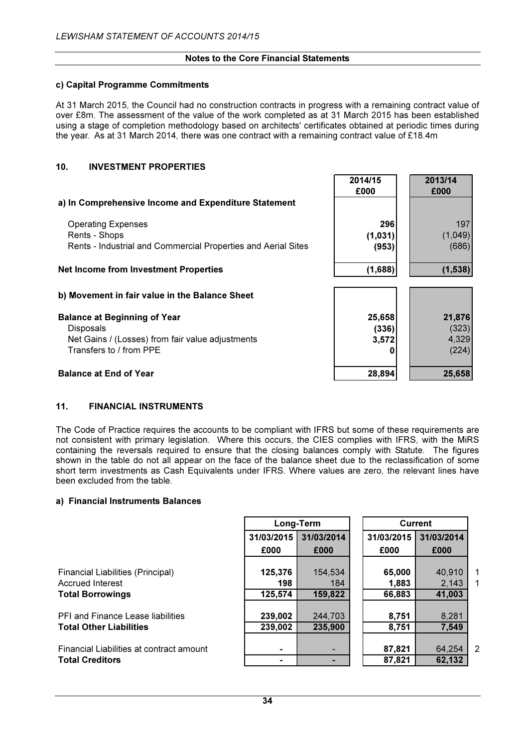## c) Capital Programme Commitments

At 31 March 2015, the Council had no construction contracts in progress with a remaining contract value of over £8m. The assessment of the value of the work completed as at 31 March 2015 has been established using a stage of completion methodology based on architects' certificates obtained at periodic times during the year. As at 31 March 2014, there was one contract with a remaining contract value of £18.4m

# 10. INVESTMENT PROPERTIES

|                                                               | 2014/15<br>£000 | 2013/14<br>£000 |
|---------------------------------------------------------------|-----------------|-----------------|
| a) In Comprehensive Income and Expenditure Statement          |                 |                 |
| <b>Operating Expenses</b>                                     | 296             | 197             |
| Rents - Shops                                                 | (1,031)         | (1,049)         |
| Rents - Industrial and Commercial Properties and Aerial Sites | (953)           | (686)           |
| <b>Net Income from Investment Properties</b>                  | (1,688)         | (1, 538)        |
| b) Movement in fair value in the Balance Sheet                |                 |                 |
| <b>Balance at Beginning of Year</b>                           | 25,658          | 21,876          |
| <b>Disposals</b>                                              | (336)           | (323)           |
| Net Gains / (Losses) from fair value adjustments              | 3,572           | 4,329           |
| Transfers to / from PPE                                       |                 | (224)           |
| <b>Balance at End of Year</b>                                 | 28,894          | 25,658          |

## 11. FINANCIAL INSTRUMENTS

The Code of Practice requires the accounts to be compliant with IFRS but some of these requirements are not consistent with primary legislation. Where this occurs, the CIES complies with IFRS, with the MiRS containing the reversals required to ensure that the closing balances comply with Statute. The figures shown in the table do not all appear on the face of the balance sheet due to the reclassification of some short term investments as Cash Equivalents under IFRS. Where values are zero, the relevant lines have been excluded from the table.

#### a) Financial Instruments Balances

|                                          | Long-Term  |            |  |            | Current    |                |
|------------------------------------------|------------|------------|--|------------|------------|----------------|
|                                          | 31/03/2015 | 31/03/2014 |  | 31/03/2015 | 31/03/2014 |                |
|                                          | £000       | £000       |  | £000       | £000       |                |
|                                          |            |            |  |            |            |                |
| Financial Liabilities (Principal)        | 125,376    | 154,534    |  | 65,000     | 40,910     | 1              |
| <b>Accrued Interest</b>                  | 198        | 184        |  | 1,883      | 2,143      | 1              |
| <b>Total Borrowings</b>                  | 125,574    | 159,822    |  | 66,883     | 41,003     |                |
| <b>PFI and Finance Lease liabilities</b> | 239,002    | 244,703    |  | 8,751      | 8,281      |                |
| <b>Total Other Liabilities</b>           | 239,002    | 235,900    |  | 8,751      | 7,549      |                |
|                                          |            |            |  |            |            |                |
| Financial Liabilities at contract amount |            |            |  | 87,821     | 64,254     | $\overline{2}$ |
| <b>Total Creditors</b>                   |            |            |  | 87,821     | 62,132     |                |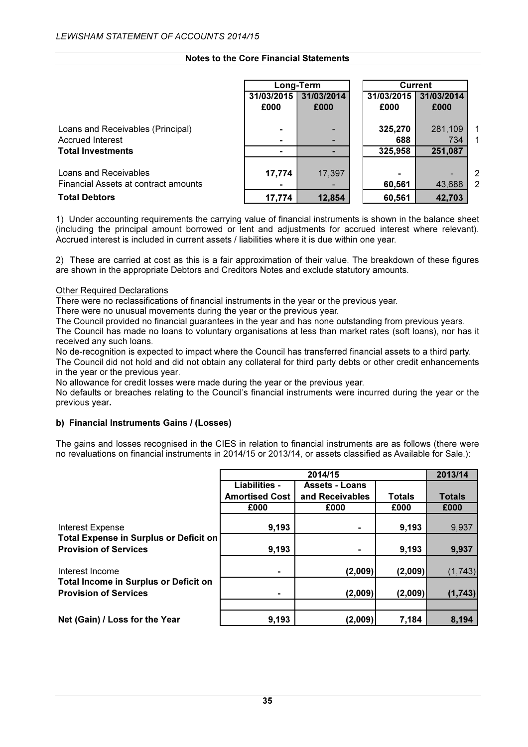|                                                              |                    | Long-Term          |                    | <b>Current</b>     |                |
|--------------------------------------------------------------|--------------------|--------------------|--------------------|--------------------|----------------|
|                                                              | 31/03/2015<br>£000 | 31/03/2014<br>£000 | 31/03/2015<br>£000 | 31/03/2014<br>£000 |                |
| Loans and Receivables (Principal)<br><b>Accrued Interest</b> |                    |                    | 325,270<br>688     | 281,109<br>734     | 1<br>1         |
| <b>Total Investments</b>                                     |                    |                    | 325,958            | 251,087            |                |
| Loans and Receivables                                        | 17,774             | 17,397             |                    |                    | 2              |
| Financial Assets at contract amounts                         |                    |                    | 60,561             | 43,688             | $\overline{2}$ |
| <b>Total Debtors</b>                                         | 17,774             | 12,854             | 60,561             | 42,703             |                |

1) Under accounting requirements the carrying value of financial instruments is shown in the balance sheet (including the principal amount borrowed or lent and adjustments for accrued interest where relevant). Accrued interest is included in current assets / liabilities where it is due within one year.

2) These are carried at cost as this is a fair approximation of their value. The breakdown of these figures are shown in the appropriate Debtors and Creditors Notes and exclude statutory amounts.

#### Other Required Declarations

There were no reclassifications of financial instruments in the year or the previous year.

There were no unusual movements during the year or the previous year.

The Council provided no financial guarantees in the year and has none outstanding from previous years.

The Council has made no loans to voluntary organisations at less than market rates (soft loans), nor has it received any such loans.

No de-recognition is expected to impact where the Council has transferred financial assets to a third party. The Council did not hold and did not obtain any collateral for third party debts or other credit enhancements in the year or the previous year.

No allowance for credit losses were made during the year or the previous year.

No defaults or breaches relating to the Council's financial instruments were incurred during the year or the previous year.

#### b) Financial Instruments Gains / (Losses)

The gains and losses recognised in the CIES in relation to financial instruments are as follows (there were no revaluations on financial instruments in 2014/15 or 2013/14, or assets classified as Available for Sale.):

|                                                                              |                       | 2013/14               |               |               |
|------------------------------------------------------------------------------|-----------------------|-----------------------|---------------|---------------|
|                                                                              | <b>Liabilities -</b>  | <b>Assets - Loans</b> |               |               |
|                                                                              | <b>Amortised Cost</b> | and Receivables       | <b>Totals</b> | <b>Totals</b> |
|                                                                              | £000                  | £000                  | £000          | £000          |
| <b>Interest Expense</b>                                                      | 9,193                 |                       | 9,193         | 9,937         |
| Total Expense in Surplus or Deficit on<br><b>Provision of Services</b>       | 9,193                 |                       | 9,193         | 9,937         |
| Interest Income                                                              |                       | (2,009)               | (2,009)       | (1, 743)      |
| <b>Total Income in Surplus or Deficit on</b><br><b>Provision of Services</b> |                       | (2,009)               | (2,009)       | (1, 743)      |
|                                                                              |                       |                       |               |               |
| Net (Gain) / Loss for the Year                                               | 9,193                 | (2,009)               | 7,184         | 8,194         |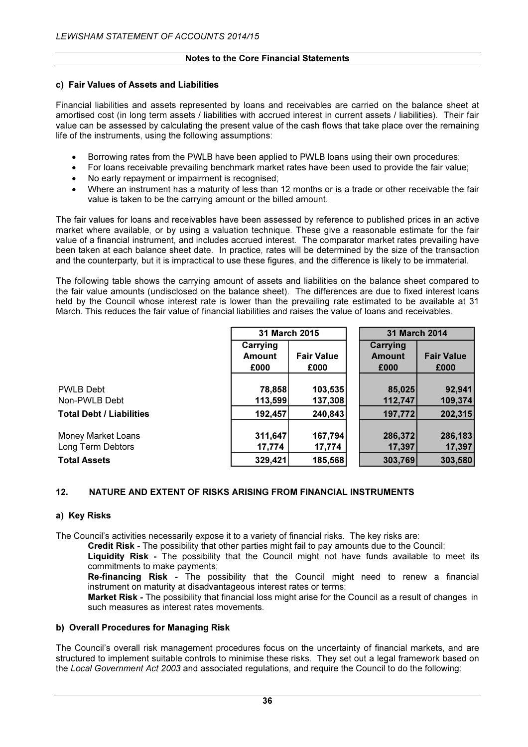# c) Fair Values of Assets and Liabilities

Financial liabilities and assets represented by loans and receivables are carried on the balance sheet at amortised cost (in long term assets / liabilities with accrued interest in current assets / liabilities). Their fair value can be assessed by calculating the present value of the cash flows that take place over the remaining life of the instruments, using the following assumptions:

- Borrowing rates from the PWLB have been applied to PWLB loans using their own procedures;
- For loans receivable prevailing benchmark market rates have been used to provide the fair value;
- No early repayment or impairment is recognised;
- Where an instrument has a maturity of less than 12 months or is a trade or other receivable the fair value is taken to be the carrying amount or the billed amount.

The fair values for loans and receivables have been assessed by reference to published prices in an active market where available, or by using a valuation technique. These give a reasonable estimate for the fair value of a financial instrument, and includes accrued interest. The comparator market rates prevailing have been taken at each balance sheet date. In practice, rates will be determined by the size of the transaction and the counterparty, but it is impractical to use these figures, and the difference is likely to be immaterial.

The following table shows the carrying amount of assets and liabilities on the balance sheet compared to the fair value amounts (undisclosed on the balance sheet). The differences are due to fixed interest loans held by the Council whose interest rate is lower than the prevailing rate estimated to be available at 31 March. This reduces the fair value of financial liabilities and raises the value of loans and receivables.

|                                 | 31 March 2015 |                   | <b>31 March 2014</b> |                   |
|---------------------------------|---------------|-------------------|----------------------|-------------------|
|                                 | Carrying      |                   | Carrying             |                   |
|                                 | <b>Amount</b> | <b>Fair Value</b> | <b>Amount</b>        | <b>Fair Value</b> |
|                                 | £000          | £000              | £000                 | £000              |
|                                 |               |                   |                      |                   |
| <b>PWLB Debt</b>                | 78,858        | 103,535           | 85,025               | 92,941            |
| Non-PWLB Debt                   | 113,599       | 137,308           | 112,747              | 109,374           |
| <b>Total Debt / Liabilities</b> | 192,457       | 240,843           | 197,772              | 202,315           |
|                                 |               |                   |                      |                   |
| <b>Money Market Loans</b>       | 311,647       | 167,794           | 286,372              | 286,183           |
| Long Term Debtors               | 17,774        | 17,774            | 17,397               | 17,397            |
| <b>Total Assets</b>             | 329,421       | 185,568           | 303,769              | 303,580           |

# 12. NATURE AND EXTENT OF RISKS ARISING FROM FINANCIAL INSTRUMENTS

#### a) Key Risks

The Council's activities necessarily expose it to a variety of financial risks. The key risks are:

Credit Risk - The possibility that other parties might fail to pay amounts due to the Council;

Liquidity Risk - The possibility that the Council might not have funds available to meet its commitments to make payments;

 Re-financing Risk - The possibility that the Council might need to renew a financial instrument on maturity at disadvantageous interest rates or terms;

Market Risk - The possibility that financial loss might arise for the Council as a result of changes in such measures as interest rates movements.

#### b) Overall Procedures for Managing Risk

The Council's overall risk management procedures focus on the uncertainty of financial markets, and are structured to implement suitable controls to minimise these risks. They set out a legal framework based on the Local Government Act 2003 and associated regulations, and require the Council to do the following: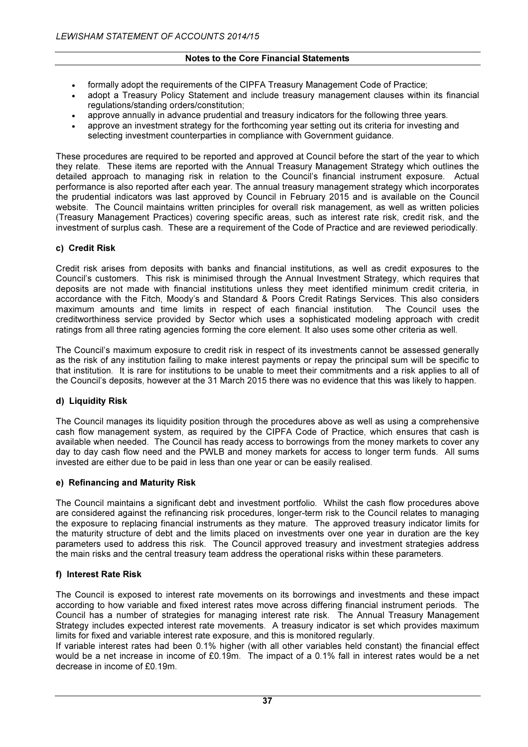- formally adopt the requirements of the CIPFA Treasury Management Code of Practice;
- adopt a Treasury Policy Statement and include treasury management clauses within its financial regulations/standing orders/constitution;
- approve annually in advance prudential and treasury indicators for the following three years.
- approve an investment strategy for the forthcoming year setting out its criteria for investing and selecting investment counterparties in compliance with Government guidance.

These procedures are required to be reported and approved at Council before the start of the year to which they relate. These items are reported with the Annual Treasury Management Strategy which outlines the detailed approach to managing risk in relation to the Council's financial instrument exposure. Actual performance is also reported after each year. The annual treasury management strategy which incorporates the prudential indicators was last approved by Council in February 2015 and is available on the Council website. The Council maintains written principles for overall risk management, as well as written policies (Treasury Management Practices) covering specific areas, such as interest rate risk, credit risk, and the investment of surplus cash. These are a requirement of the Code of Practice and are reviewed periodically.

#### c) Credit Risk

Credit risk arises from deposits with banks and financial institutions, as well as credit exposures to the Council's customers. This risk is minimised through the Annual Investment Strategy, which requires that deposits are not made with financial institutions unless they meet identified minimum credit criteria, in accordance with the Fitch, Moody's and Standard & Poors Credit Ratings Services. This also considers maximum amounts and time limits in respect of each financial institution. The Council uses the creditworthiness service provided by Sector which uses a sophisticated modeling approach with credit ratings from all three rating agencies forming the core element. It also uses some other criteria as well.

The Council's maximum exposure to credit risk in respect of its investments cannot be assessed generally as the risk of any institution failing to make interest payments or repay the principal sum will be specific to that institution. It is rare for institutions to be unable to meet their commitments and a risk applies to all of the Council's deposits, however at the 31 March 2015 there was no evidence that this was likely to happen.

#### d) Liquidity Risk

The Council manages its liquidity position through the procedures above as well as using a comprehensive cash flow management system, as required by the CIPFA Code of Practice, which ensures that cash is available when needed. The Council has ready access to borrowings from the money markets to cover any day to day cash flow need and the PWLB and money markets for access to longer term funds. All sums invested are either due to be paid in less than one year or can be easily realised.

#### e) Refinancing and Maturity Risk

The Council maintains a significant debt and investment portfolio. Whilst the cash flow procedures above are considered against the refinancing risk procedures, longer-term risk to the Council relates to managing the exposure to replacing financial instruments as they mature. The approved treasury indicator limits for the maturity structure of debt and the limits placed on investments over one year in duration are the key parameters used to address this risk. The Council approved treasury and investment strategies address the main risks and the central treasury team address the operational risks within these parameters.

#### f) Interest Rate Risk

The Council is exposed to interest rate movements on its borrowings and investments and these impact according to how variable and fixed interest rates move across differing financial instrument periods. The Council has a number of strategies for managing interest rate risk. The Annual Treasury Management Strategy includes expected interest rate movements. A treasury indicator is set which provides maximum limits for fixed and variable interest rate exposure, and this is monitored regularly.

If variable interest rates had been 0.1% higher (with all other variables held constant) the financial effect would be a net increase in income of £0.19m. The impact of a 0.1% fall in interest rates would be a net decrease in income of £0.19m.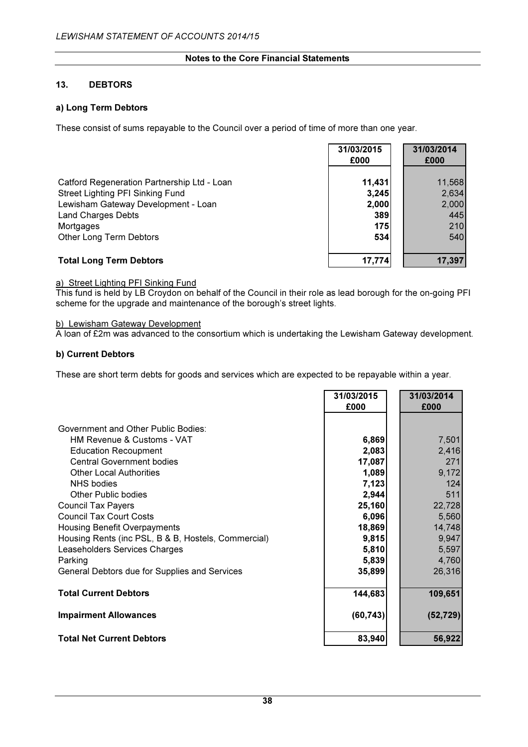# 13. DEBTORS

# a) Long Term Debtors

These consist of sums repayable to the Council over a period of time of more than one year.

|                                             | 31/03/2015<br>£000 | 31/03/2014<br>£000 |
|---------------------------------------------|--------------------|--------------------|
| Catford Regeneration Partnership Ltd - Loan | 11,431             | 11,568             |
| Street Lighting PFI Sinking Fund            | 3,245              | 2,634              |
| Lewisham Gateway Development - Loan         | 2,000              | 2,000              |
| <b>Land Charges Debts</b><br>Mortgages      | 389<br><b>175</b>  | 445<br>210         |
| Other Long Term Debtors                     | 534                | 540                |
| <b>Total Long Term Debtors</b>              | 17,774             | 17,397             |

# a) Street Lighting PFI Sinking Fund

This fund is held by LB Croydon on behalf of the Council in their role as lead borough for the on-going PFI scheme for the upgrade and maintenance of the borough's street lights.

#### b) Lewisham Gateway Development

A loan of £2m was advanced to the consortium which is undertaking the Lewisham Gateway development.

#### b) Current Debtors

These are short term debts for goods and services which are expected to be repayable within a year.

|                                                     | 31/03/2015<br>£000 | 31/03/2014<br>£000 |
|-----------------------------------------------------|--------------------|--------------------|
|                                                     |                    |                    |
| Government and Other Public Bodies:                 |                    |                    |
| <b>HM Revenue &amp; Customs - VAT</b>               | 6,869              | 7,501              |
| <b>Education Recoupment</b>                         | 2,083              | 2,416              |
| <b>Central Government bodies</b>                    | 17,087             | 271                |
| <b>Other Local Authorities</b>                      | 1,089              | 9,172              |
| <b>NHS</b> bodies                                   | 7,123              | 124                |
| Other Public bodies                                 | 2,944              | 511                |
| <b>Council Tax Payers</b>                           | 25,160             | 22,728             |
| <b>Council Tax Court Costs</b>                      | 6,096              | 5,560              |
| <b>Housing Benefit Overpayments</b>                 | 18,869             | 14,748             |
| Housing Rents (inc PSL, B & B, Hostels, Commercial) | 9,815              | 9,947              |
| Leaseholders Services Charges                       | 5,810              | 5,597              |
| Parking                                             | 5,839              | 4,760              |
| General Debtors due for Supplies and Services       | 35,899             | 26,316             |
|                                                     |                    |                    |
| <b>Total Current Debtors</b>                        | 144,683            | 109,651            |
| <b>Impairment Allowances</b>                        | (60, 743)          | (52, 729)          |
| <b>Total Net Current Debtors</b>                    | 83,940             | 56,922             |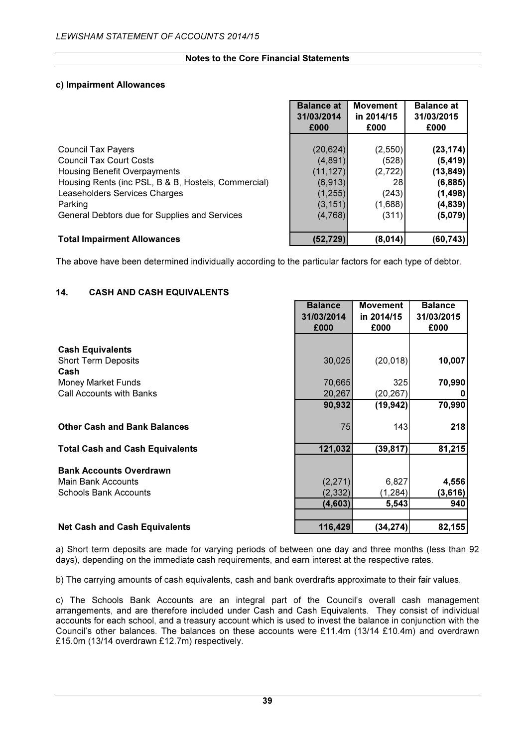### c) Impairment Allowances

|                                                     | <b>Balance at</b><br>31/03/2014 | <b>Movement</b><br>in 2014/15 | <b>Balance at</b><br>31/03/2015 |
|-----------------------------------------------------|---------------------------------|-------------------------------|---------------------------------|
|                                                     | £000                            | £000                          | £000                            |
| <b>Council Tax Payers</b>                           | (20, 624)                       | (2, 550)                      | (23, 174)                       |
| <b>Council Tax Court Costs</b>                      | (4,891)                         | (528)                         | (5, 419)                        |
| Housing Benefit Overpayments                        | (11, 127)                       | (2,722)                       | (13,849)                        |
| Housing Rents (inc PSL, B & B, Hostels, Commercial) | (6, 913)                        | 28I                           | (6,885)                         |
| Leaseholders Services Charges                       | (1, 255)                        | (243)                         | (1, 498)                        |
| Parking                                             | (3, 151)                        | (1,688)                       | (4,839)                         |
| General Debtors due for Supplies and Services       | (4,768)                         | (311)                         | (5,079)                         |
| <b>Total Impairment Allowances</b>                  | (52, 729)                       | (8,014)                       | (60, 743)                       |

The above have been determined individually according to the particular factors for each type of debtor.

# 14. CASH AND CASH EQUIVALENTS

|                                        | <b>Balance</b> | <b>Movement</b> | <b>Balance</b> |
|----------------------------------------|----------------|-----------------|----------------|
|                                        | 31/03/2014     | in 2014/15      | 31/03/2015     |
|                                        | £000           | £000            | £000           |
|                                        |                |                 |                |
| <b>Cash Equivalents</b>                |                |                 |                |
| <b>Short Term Deposits</b>             | 30,025         | (20, 018)       | 10,007         |
| Cash                                   |                |                 |                |
| <b>Money Market Funds</b>              | 70,665         | 325             | 70,990         |
| Call Accounts with Banks               | 20,267         | (20, 267)       |                |
|                                        | 90,932         | (19, 942)       | 70,990         |
|                                        |                |                 |                |
| <b>Other Cash and Bank Balances</b>    | 75             | 143             | 218            |
|                                        |                |                 |                |
| <b>Total Cash and Cash Equivalents</b> | 121,032        | (39, 817)       | 81,215         |
|                                        |                |                 |                |
| <b>Bank Accounts Overdrawn</b>         |                |                 |                |
| Main Bank Accounts                     | (2, 271)       | 6,827           | 4,556          |
| <b>Schools Bank Accounts</b>           | (2, 332)       | (1, 284)        | (3,616)        |
|                                        | (4,603)        | 5,543           | 940            |
|                                        |                |                 |                |
| <b>Net Cash and Cash Equivalents</b>   | 116,429        | (34, 274)       | 82,155         |

a) Short term deposits are made for varying periods of between one day and three months (less than 92 days), depending on the immediate cash requirements, and earn interest at the respective rates.

b) The carrying amounts of cash equivalents, cash and bank overdrafts approximate to their fair values.

c) The Schools Bank Accounts are an integral part of the Council's overall cash management arrangements, and are therefore included under Cash and Cash Equivalents. They consist of individual accounts for each school, and a treasury account which is used to invest the balance in conjunction with the Council's other balances. The balances on these accounts were £11.4m (13/14 £10.4m) and overdrawn £15.0m (13/14 overdrawn £12.7m) respectively.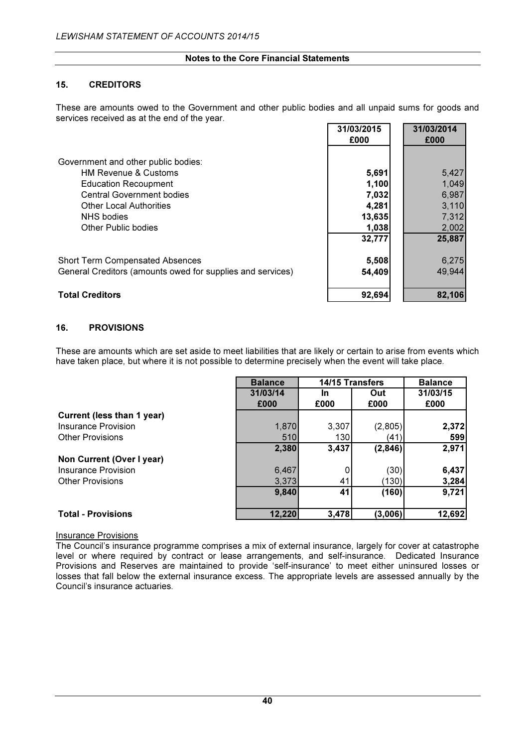#### 15. CREDITORS

These are amounts owed to the Government and other public bodies and all unpaid sums for goods and services received as at the end of the year. **34/03/2015** 34/03/2014

|                                                            | 31/03/2015 | 31/03/2014 |
|------------------------------------------------------------|------------|------------|
|                                                            | £000       | £000       |
|                                                            |            |            |
| Government and other public bodies:                        |            |            |
| <b>HM Revenue &amp; Customs</b>                            | 5,691      | 5,427      |
| <b>Education Recoupment</b>                                | 1,100      | 1,049      |
| <b>Central Government bodies</b>                           | 7,032      | 6,987      |
| <b>Other Local Authorities</b>                             | 4,281      | 3,110      |
| <b>NHS</b> bodies                                          | 13,635     | 7,312      |
| Other Public bodies                                        | 1,038      | 2,002      |
|                                                            | 32,777     | 25,887     |
| <b>Short Term Compensated Absences</b>                     | 5,508      | 6,275      |
| General Creditors (amounts owed for supplies and services) | 54,409     | 49,944     |
| <b>Total Creditors</b>                                     | 92,694     | 82,106     |

# 16. PROVISIONS

These are amounts which are set aside to meet liabilities that are likely or certain to arise from events which have taken place, but where it is not possible to determine precisely when the event will take place.

|                            | <b>Balance</b> | 14/15 Transfers |         | <b>Balance</b> |
|----------------------------|----------------|-----------------|---------|----------------|
|                            | 31/03/14       | In              | Out     | 31/03/15       |
|                            | £000           | £000            | £000    | £000           |
| Current (less than 1 year) |                |                 |         |                |
| Insurance Provision        | 1,870          | 3,307           | (2,805) | 2,372          |
| <b>Other Provisions</b>    | 510            | 130             | (41)    | 599            |
|                            | 2,380          | 3,437           | (2,846) | 2,971          |
| Non Current (Over I year)  |                |                 |         |                |
| Insurance Provision        | 6,467          |                 | (30)    | 6,437          |
| <b>Other Provisions</b>    | 3,373          | 41              | (130)   | 3,284          |
|                            | 9,840          | 41              | (160)   | 9,721          |
| <b>Total - Provisions</b>  | 12,220         | 3,478           | (3,006) | 12,692         |

#### Insurance Provisions

The Council's insurance programme comprises a mix of external insurance, largely for cover at catastrophe level or where required by contract or lease arrangements, and self-insurance. Dedicated Insurance Provisions and Reserves are maintained to provide 'self-insurance' to meet either uninsured losses or losses that fall below the external insurance excess. The appropriate levels are assessed annually by the Council's insurance actuaries.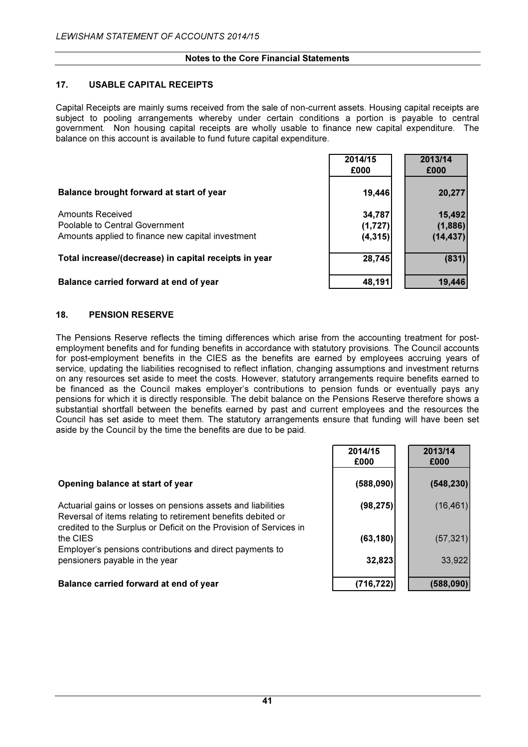#### 17. USABLE CAPITAL RECEIPTS

Capital Receipts are mainly sums received from the sale of non-current assets. Housing capital receipts are subject to pooling arrangements whereby under certain conditions a portion is payable to central government. Non housing capital receipts are wholly usable to finance new capital expenditure. The balance on this account is available to fund future capital expenditure.

|                                                                                                         | 2014/15<br>£000               | 2013/14<br>£000                |
|---------------------------------------------------------------------------------------------------------|-------------------------------|--------------------------------|
| Balance brought forward at start of year                                                                | 19,446                        | 20,277                         |
| Amounts Received<br>Poolable to Central Government<br>Amounts applied to finance new capital investment | 34,787<br>(1,727)<br>(4, 315) | 15,492<br>(1,886)<br>(14, 437) |
| Total increase/(decrease) in capital receipts in year                                                   | 28,745                        | (831)                          |
| Balance carried forward at end of year                                                                  | 48,191                        | 19,446                         |

#### 18. PENSION RESERVE

The Pensions Reserve reflects the timing differences which arise from the accounting treatment for postemployment benefits and for funding benefits in accordance with statutory provisions. The Council accounts for post-employment benefits in the CIES as the benefits are earned by employees accruing years of service, updating the liabilities recognised to reflect inflation, changing assumptions and investment returns on any resources set aside to meet the costs. However, statutory arrangements require benefits earned to be financed as the Council makes employer's contributions to pension funds or eventually pays any pensions for which it is directly responsible. The debit balance on the Pensions Reserve therefore shows a substantial shortfall between the benefits earned by past and current employees and the resources the Council has set aside to meet them. The statutory arrangements ensure that funding will have been set aside by the Council by the time the benefits are due to be paid.

|                                                                                                                                                                                                    | 2014/15<br>£000 | 2013/14<br>£000 |
|----------------------------------------------------------------------------------------------------------------------------------------------------------------------------------------------------|-----------------|-----------------|
| Opening balance at start of year                                                                                                                                                                   | (588,090)       | (548, 230)      |
| Actuarial gains or losses on pensions assets and liabilities<br>Reversal of items relating to retirement benefits debited or<br>credited to the Surplus or Deficit on the Provision of Services in | (98, 275)       | (16, 461)       |
| the CIES<br>Employer's pensions contributions and direct payments to                                                                                                                               | (63, 180)       | (57, 321)       |
| pensioners payable in the year                                                                                                                                                                     | 32,823          | 33,922          |
| Balance carried forward at end of year                                                                                                                                                             | (716, 722)      | (588,090)       |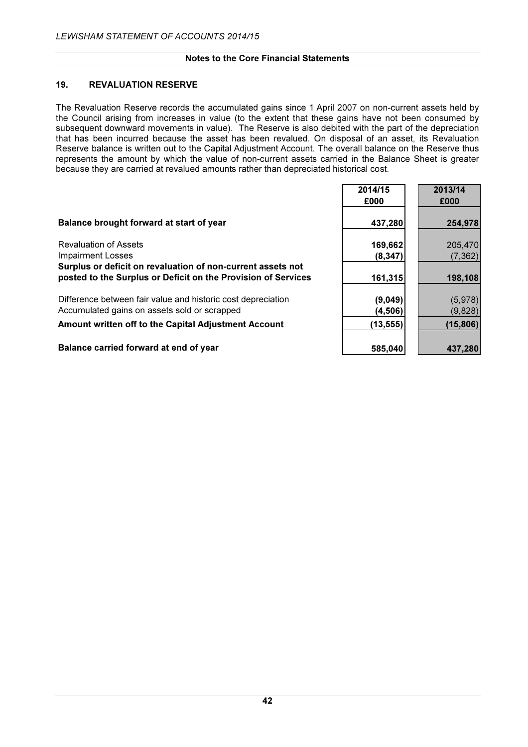#### 19. REVALUATION RESERVE

The Revaluation Reserve records the accumulated gains since 1 April 2007 on non-current assets held by the Council arising from increases in value (to the extent that these gains have not been consumed by subsequent downward movements in value). The Reserve is also debited with the part of the depreciation that has been incurred because the asset has been revalued. On disposal of an asset, its Revaluation Reserve balance is written out to the Capital Adjustment Account. The overall balance on the Reserve thus represents the amount by which the value of non-current assets carried in the Balance Sheet is greater because they are carried at revalued amounts rather than depreciated historical cost.

|                                                                                                                         | 2014/15<br>£000     | 2013/14<br>£000     |
|-------------------------------------------------------------------------------------------------------------------------|---------------------|---------------------|
| Balance brought forward at start of year                                                                                | 437,280             | 254,978             |
| <b>Revaluation of Assets</b><br><b>Impairment Losses</b><br>Surplus or deficit on revaluation of non-current assets not | 169,662<br>(8, 347) | 205,470<br>(7, 362) |
| posted to the Surplus or Deficit on the Provision of Services                                                           | 161,315             | 198,108             |
| Difference between fair value and historic cost depreciation<br>Accumulated gains on assets sold or scrapped            | (9,049)<br>(4, 506) | (5,978)<br>(9,828)  |
| Amount written off to the Capital Adjustment Account                                                                    | (13, 555)           | (15, 806)           |
| Balance carried forward at end of year                                                                                  | 585,040             | 437,280             |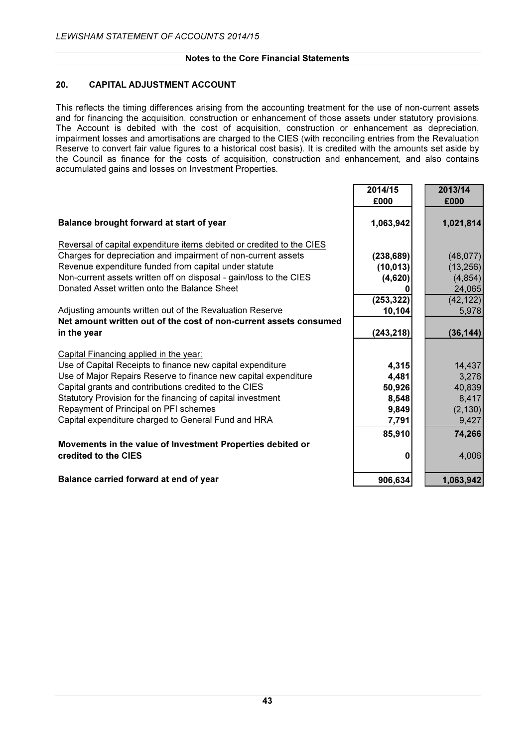# 20. CAPITAL ADJUSTMENT ACCOUNT

This reflects the timing differences arising from the accounting treatment for the use of non-current assets and for financing the acquisition, construction or enhancement of those assets under statutory provisions. The Account is debited with the cost of acquisition, construction or enhancement as depreciation, impairment losses and amortisations are charged to the CIES (with reconciling entries from the Revaluation Reserve to convert fair value figures to a historical cost basis). It is credited with the amounts set aside by the Council as finance for the costs of acquisition, construction and enhancement, and also contains accumulated gains and losses on Investment Properties.

|                                                                       | 2014/15<br>£000 | 2013/14<br>£000 |
|-----------------------------------------------------------------------|-----------------|-----------------|
| Balance brought forward at start of year                              | 1,063,942       | 1,021,814       |
| Reversal of capital expenditure items debited or credited to the CIES |                 |                 |
| Charges for depreciation and impairment of non-current assets         | (238, 689)      | (48, 077)       |
| Revenue expenditure funded from capital under statute                 | (10, 013)       | (13, 256)       |
| Non-current assets written off on disposal - gain/loss to the CIES    | (4,620)         | (4, 854)        |
| Donated Asset written onto the Balance Sheet                          |                 | 24,065          |
|                                                                       | (253, 322)      | (42, 122)       |
| Adjusting amounts written out of the Revaluation Reserve              | 10,104          | 5,978           |
| Net amount written out of the cost of non-current assets consumed     |                 |                 |
| in the year                                                           | (243, 218)      | (36, 144)       |
| Capital Financing applied in the year:                                |                 |                 |
| Use of Capital Receipts to finance new capital expenditure            | 4,315           | 14,437          |
| Use of Major Repairs Reserve to finance new capital expenditure       | 4,481           | 3,276           |
| Capital grants and contributions credited to the CIES                 | 50,926          | 40,839          |
| Statutory Provision for the financing of capital investment           | 8,548           | 8,417           |
| Repayment of Principal on PFI schemes                                 | 9,849           | (2, 130)        |
| Capital expenditure charged to General Fund and HRA                   | 7,791           | 9,427           |
|                                                                       | 85,910          | 74,266          |
| Movements in the value of Investment Properties debited or            |                 |                 |
| credited to the CIES                                                  | 0               | 4,006           |
| Balance carried forward at end of year                                | 906,634         | 1,063,942       |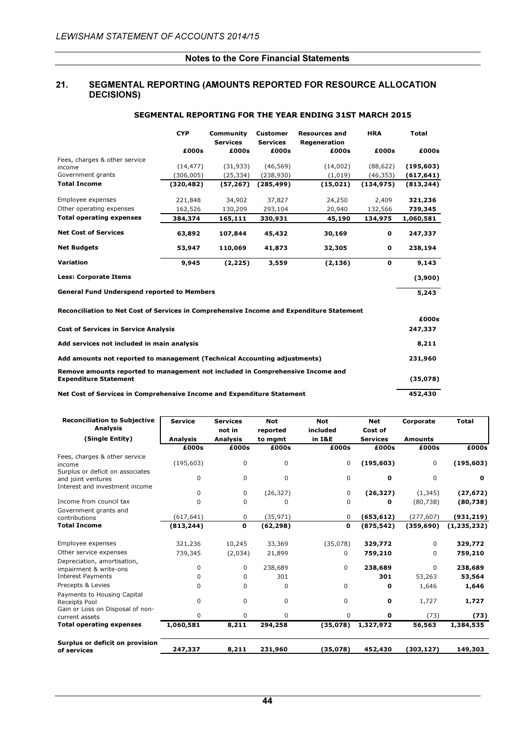#### 21. SEGMENTAL REPORTING (AMOUNTS REPORTED FOR RESOURCE ALLOCATION DECISIONS)

|                                                                                                                | <b>CYP</b> | Community<br><b>Customer</b><br><b>Services</b><br><b>Services</b> |            | <b>Resources and</b><br>Regeneration | <b>HRA</b> |            |
|----------------------------------------------------------------------------------------------------------------|------------|--------------------------------------------------------------------|------------|--------------------------------------|------------|------------|
|                                                                                                                | £000s      | £000s                                                              | £000s      | £000s                                | £000s      | £000s      |
| Fees, charges & other service                                                                                  | (14, 477)  | (31, 933)                                                          | (46, 569)  | (14,002)                             | (88, 622)  | (195, 603) |
| income<br>Government grants                                                                                    | (306, 005) | (25, 334)                                                          | (238, 930) | (1,019)                              | (46, 353)  | (617, 641) |
| <b>Total Income</b>                                                                                            | (320, 482) | (57, 267)                                                          | (285, 499) | (15, 021)                            | (134, 975) | (813, 244) |
| Employee expenses                                                                                              | 221,848    | 34,902                                                             | 37,827     | 24,250                               | 2,409      | 321,236    |
| Other operating expenses                                                                                       | 162,526    | 130,209                                                            | 293,104    | 20,940                               | 132,566    | 739,345    |
| <b>Total operating expenses</b>                                                                                | 384,374    | 165,111                                                            | 330,931    | 45,190                               | 134,975    | 1,060,581  |
| <b>Net Cost of Services</b>                                                                                    | 63,892     | 107,844                                                            | 45,432     | 30,169                               | 0          | 247,337    |
| <b>Net Budgets</b>                                                                                             | 53,947     | 110,069                                                            | 41,873     | 32,305                               | 0          | 238,194    |
| Variation                                                                                                      | 9,945      | (2, 225)                                                           | 3,559      | (2, 136)                             | 0          | 9,143      |
| <b>Less: Corporate Items</b>                                                                                   |            |                                                                    |            |                                      |            | (3,900)    |
| <b>General Fund Underspend reported to Members</b>                                                             |            |                                                                    |            |                                      |            | 5,243      |
| Reconciliation to Net Cost of Services in Comprehensive Income and Expenditure Statement                       |            |                                                                    |            |                                      |            |            |
|                                                                                                                |            |                                                                    |            |                                      |            | £000s      |
| <b>Cost of Services in Service Analysis</b>                                                                    |            |                                                                    |            |                                      |            | 247,337    |
| Add services not included in main analysis                                                                     |            |                                                                    |            |                                      |            |            |
| Add amounts not reported to management (Technical Accounting adjustments)                                      |            |                                                                    |            |                                      |            | 231,960    |
| Remove amounts reported to management not included in Comprehensive Income and<br><b>Expenditure Statement</b> |            |                                                                    |            |                                      |            | (35,078)   |
| Net Cost of Services in Comprehensive Income and Expenditure Statement                                         |            |                                                                    |            |                                      |            |            |

#### SEGMENTAL REPORTING FOR THE YEAR ENDING 31ST MARCH 2015

| <b>Reconciliation to Subjective</b>                                                      | <b>Service</b>  | <b>Services</b> | <b>Not</b> | <b>Not</b>  | <b>Net</b>      | Corporate      | <b>Total</b>  |
|------------------------------------------------------------------------------------------|-----------------|-----------------|------------|-------------|-----------------|----------------|---------------|
| <b>Analysis</b>                                                                          |                 | not in          | reported   | included    | Cost of         |                |               |
| (Single Entity)                                                                          | <b>Analysis</b> | <b>Analysis</b> | to mgmt    | in I&E      | <b>Services</b> | <b>Amounts</b> |               |
|                                                                                          | £000s           | £000s           | £000s      | £000s       | £000s           | £000s          | £000s         |
| Fees, charges & other service<br>income                                                  | (195, 603)      | 0               | 0          | 0           | (195, 603)      | 0              | (195, 603)    |
| Surplus or deficit on associates<br>and joint ventures<br>Interest and investment income | $\mathbf 0$     | $\mathbf 0$     | $\Omega$   | $\mathbf 0$ | 0               | $\mathbf 0$    | $\mathbf 0$   |
|                                                                                          | 0               | 0               | (26, 327)  | 0           | (26, 327)       | (1, 345)       | (27, 672)     |
| Income from council tax                                                                  | 0               | 0               | $\Omega$   | 0           | 0               | (80, 738)      | (80,738)      |
| Government grants and<br>contributions                                                   | (617, 641)      | $\mathbf 0$     | (35, 971)  | 0           | (653, 612)      | (277, 607)     | (931,219)     |
| <b>Total Income</b>                                                                      | (813, 244)      | 0               | (62, 298)  | 0           | (875, 542)      | (359, 690)     | (1, 235, 232) |
| Employee expenses                                                                        | 321,236         | 10,245          | 33,369     | (35,078)    | 329,772         | 0              | 329,772       |
| Other service expenses                                                                   | 739,345         | (2,034)         | 21,899     | 0           | 759,210         | $\Omega$       | 759,210       |
| Depreciation, amortisation,<br>impairment & write-ons<br><b>Interest Payments</b>        | 0               | $\Omega$        | 238,689    | $\Omega$    | 238,689         | $\Omega$       | 238,689       |
| Precepts & Levies                                                                        | $\Omega$        | $\Omega$        | 301        |             | 301             | 53,263         | 53,564        |
| Payments to Housing Capital                                                              | 0               | $\Omega$        | $\Omega$   | 0           | 0               | 1,646          | 1,646         |
| Receipts Pool<br>Gain or Loss on Disposal of non-                                        | $\Omega$        | $\mathbf 0$     | 0          | 0           | 0               | 1,727          | 1,727         |
| current assets                                                                           | 0               | $\mathbf 0$     | $\Omega$   | $\mathbf 0$ | 0               | (73)           | (73)          |
| <b>Total operating expenses</b>                                                          | 1,060,581       | 8,211           | 294,258    | (35,078)    | 1,327,972       | 56,563         | 1,384,535     |
| Surplus or deficit on provision<br>of services                                           | 247,337         | 8,211           | 231,960    | (35,078)    | 452,430         | (303, 127)     | 149,303       |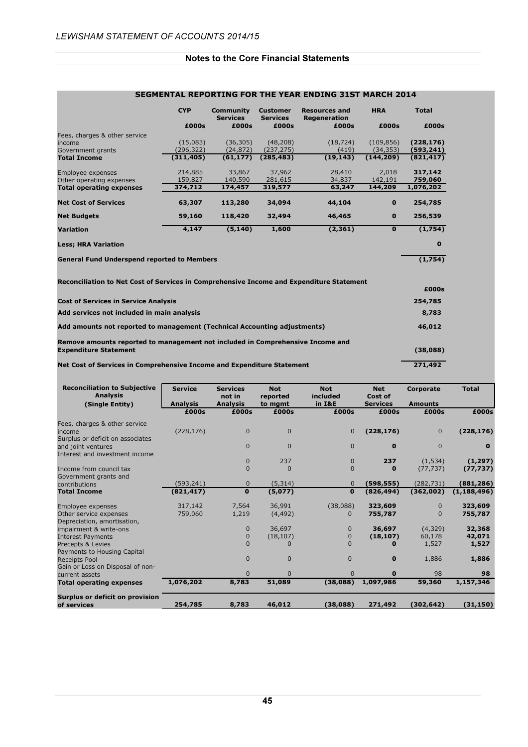ŕ

#### Notes to the Core Financial Statements

|                                                                                                                                                                                                                                                                                                                                                                                                                                            | <b>CYP</b> | Community<br><b>Services</b> | <b>Customer</b><br><b>Services</b> | <b>Resources and</b><br>Regeneration | <b>HRA</b>  | <b>Total</b>     |
|--------------------------------------------------------------------------------------------------------------------------------------------------------------------------------------------------------------------------------------------------------------------------------------------------------------------------------------------------------------------------------------------------------------------------------------------|------------|------------------------------|------------------------------------|--------------------------------------|-------------|------------------|
|                                                                                                                                                                                                                                                                                                                                                                                                                                            | £000s      | £000s                        | £000s                              | £000s                                | £000s       | £000s            |
| Fees, charges & other service                                                                                                                                                                                                                                                                                                                                                                                                              |            |                              |                                    |                                      |             |                  |
| income                                                                                                                                                                                                                                                                                                                                                                                                                                     | (15,083)   | (36, 305)                    | (48, 208)                          | (18, 724)                            | (109, 856)  | (228, 176)       |
| Government grants                                                                                                                                                                                                                                                                                                                                                                                                                          | (296, 322) | (24, 872)                    | (237, 275)                         | (419)                                | (34, 353)   | (593, 241)       |
| <b>Total Income</b>                                                                                                                                                                                                                                                                                                                                                                                                                        | (311, 405) | (61, 177)                    | (285, 483)                         | (19, 143)                            | (144, 209)  | (821, 417)       |
| Employee expenses                                                                                                                                                                                                                                                                                                                                                                                                                          | 214,885    | 33,867                       | 37,962                             | 28,410                               | 2,018       | 317,142          |
| Other operating expenses                                                                                                                                                                                                                                                                                                                                                                                                                   | 159,827    | 140,590                      | 281,615                            | 34,837                               | 142,191     | 759,060          |
| <b>Total operating expenses</b>                                                                                                                                                                                                                                                                                                                                                                                                            | 374,712    | 174,457                      | 319,577                            | 63,247                               | 144,209     | 1,076,202        |
| <b>Net Cost of Services</b>                                                                                                                                                                                                                                                                                                                                                                                                                | 63,307     | 113,280                      | 34,094                             | 44,104                               | $\bf{0}$    | 254,785          |
| <b>Net Budgets</b>                                                                                                                                                                                                                                                                                                                                                                                                                         | 59,160     | 118,420                      | 32,494                             | 46,465                               | $\bf{0}$    | 256,539          |
| <b>Variation</b>                                                                                                                                                                                                                                                                                                                                                                                                                           | 4,147      | (5, 140)                     | 1,600                              | (2, 361)                             | $\mathbf 0$ | (1,754)          |
| <b>Less; HRA Variation</b>                                                                                                                                                                                                                                                                                                                                                                                                                 |            |                              |                                    |                                      |             | $\bf{0}$         |
|                                                                                                                                                                                                                                                                                                                                                                                                                                            |            |                              |                                    |                                      |             |                  |
|                                                                                                                                                                                                                                                                                                                                                                                                                                            |            |                              |                                    |                                      |             |                  |
|                                                                                                                                                                                                                                                                                                                                                                                                                                            |            |                              |                                    |                                      |             |                  |
|                                                                                                                                                                                                                                                                                                                                                                                                                                            |            |                              |                                    |                                      |             | (1,754)<br>£000s |
|                                                                                                                                                                                                                                                                                                                                                                                                                                            |            |                              |                                    |                                      |             | 254,785          |
|                                                                                                                                                                                                                                                                                                                                                                                                                                            |            |                              |                                    |                                      |             | 8,783            |
|                                                                                                                                                                                                                                                                                                                                                                                                                                            |            |                              |                                    |                                      |             | 46,012           |
| <b>General Fund Underspend reported to Members</b><br>Reconciliation to Net Cost of Services in Comprehensive Income and Expenditure Statement<br><b>Cost of Services in Service Analysis</b><br>Add services not included in main analysis<br>Add amounts not reported to management (Technical Accounting adjustments)<br>Remove amounts reported to management not included in Comprehensive Income and<br><b>Expenditure Statement</b> |            |                              |                                    |                                      |             | (38,088)         |

# SEGMENTAL REPORTING FOR THE YEAR ENDING 31ST MARCH 2014

| <b>Reconciliation to Subjective</b><br><b>Analysis</b> | <b>Service</b><br><b>Analysis</b> | <b>Services</b><br>not in<br><b>Analysis</b> | <b>Not</b><br>reported<br>to mgmt | <b>Not</b><br>included<br>in I&E | <b>Net</b><br>Cost of<br><b>Services</b> | Corporate<br><b>Amounts</b> | <b>Total</b>  |
|--------------------------------------------------------|-----------------------------------|----------------------------------------------|-----------------------------------|----------------------------------|------------------------------------------|-----------------------------|---------------|
| (Single Entity)                                        | £000s                             | £000s                                        | £000s                             | £000s                            | £000s                                    | £000s                       | £000s         |
|                                                        |                                   |                                              |                                   |                                  |                                          |                             |               |
| Fees, charges & other service                          |                                   |                                              |                                   |                                  |                                          |                             |               |
| income                                                 | (228, 176)                        | $\mathbf{0}$                                 | $\Omega$                          | $\mathbf{0}$                     | (228, 176)                               | $\mathbf{0}$                | (228, 176)    |
| Surplus or deficit on associates                       |                                   | $\Omega$                                     | $\Omega$                          | $\mathbf{0}$                     | $\bf{0}$                                 | $\Omega$                    | $\bf{0}$      |
| and joint ventures<br>Interest and investment income   |                                   |                                              |                                   |                                  |                                          |                             |               |
|                                                        |                                   | $\mathbf{0}$                                 | 237                               | $\mathbf 0$                      | 237                                      | (1, 534)                    | (1, 297)      |
| Income from council tax                                |                                   | $\Omega$                                     | $\Omega$                          | $\mathbf{0}$                     | $\bf{0}$                                 | (77, 737)                   | (77, 737)     |
| Government grants and                                  |                                   |                                              |                                   |                                  |                                          |                             |               |
| contributions                                          | (593, 241)                        | $\Omega$                                     | (5, 314)                          | $\mathbf{0}$                     | (598,555)                                | (282, 731)                  | (881, 286)    |
| <b>Total Income</b>                                    | (821, 417)                        | $\mathbf{0}$                                 | (5,077)                           | $\mathbf 0$                      | (826, 494)                               | (362,002)                   | (1, 188, 496) |
| Employee expenses                                      | 317,142                           | 7,564                                        | 36,991                            | (38,088)                         | 323,609                                  | $\Omega$                    | 323,609       |
| Other service expenses                                 | 759,060                           | 1,219                                        | (4, 492)                          |                                  | 755,787                                  | $\Omega$                    | 755,787       |
| Depreciation, amortisation,                            |                                   |                                              |                                   |                                  |                                          |                             |               |
| impairment & write-ons                                 |                                   | $\mathbf{0}$                                 | 36,697                            | $\mathbf{0}$                     | 36,697                                   | (4,329)                     | 32,368        |
| <b>Interest Payments</b>                               |                                   | 0                                            | (18, 107)                         | $\mathbf 0$                      | (18, 107)                                | 60,178                      | 42,071        |
| Precepts & Levies                                      |                                   | $\Omega$                                     |                                   | $\Omega$                         | 0                                        | 1,527                       | 1,527         |
| Payments to Housing Capital                            |                                   |                                              |                                   |                                  |                                          |                             |               |
| <b>Receipts Pool</b>                                   |                                   | $\Omega$                                     | $\Omega$                          | $\Omega$                         | $\bf{0}$                                 | 1,886                       | 1,886         |
| Gain or Loss on Disposal of non-                       |                                   |                                              |                                   |                                  |                                          |                             |               |
| current assets                                         |                                   | $\Omega$                                     | $\Omega$                          | $\mathbf{0}$                     | $\bf{0}$                                 | 98                          | 98            |
| <b>Total operating expenses</b>                        | 1,076,202                         | 8,783                                        | 51,089                            | (38,088)                         | 1,097,986                                | 59,360                      | 1,157,346     |
| Surplus or deficit on provision                        |                                   |                                              |                                   |                                  |                                          |                             |               |
| of services                                            | 254,785                           | 8,783                                        | 46,012                            | (38,088)                         | 271,492                                  | (302, 642)                  | (31, 150)     |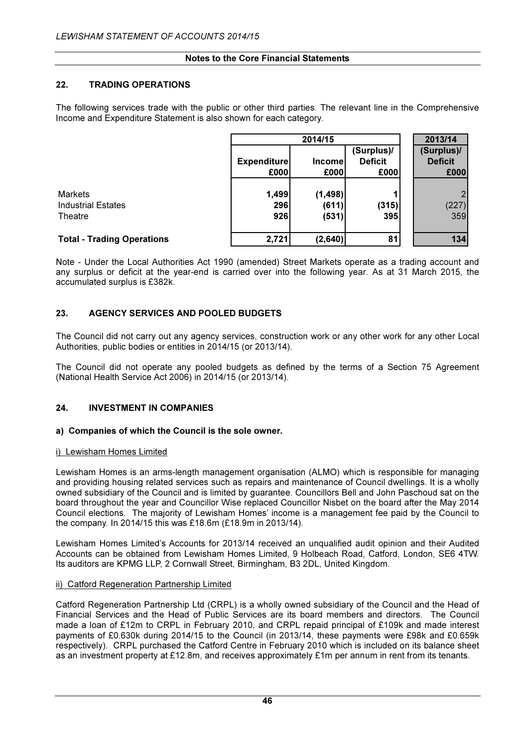### 22. TRADING OPERATIONS

The following services trade with the public or other third parties. The relevant line in the Comprehensive Income and Expenditure Statement is also shown for each category.

|                                   | 2014/15                    |                |                                      |  | 2013/14                              |
|-----------------------------------|----------------------------|----------------|--------------------------------------|--|--------------------------------------|
|                                   | <b>Expenditure</b><br>£000 | Income<br>£000 | (Surplus)/<br><b>Deficit</b><br>£000 |  | (Surplus)/<br><b>Deficit</b><br>£000 |
|                                   |                            |                |                                      |  |                                      |
| <b>Markets</b>                    | 1,499                      | (1, 498)       |                                      |  |                                      |
| <b>Industrial Estates</b>         | 296                        | (611)          | (315)                                |  | (227)                                |
| Theatre                           | 926                        | (531)          | 395                                  |  | 359                                  |
| <b>Total - Trading Operations</b> | 2,721                      | (2,640)        | 81                                   |  | 134                                  |

Note - Under the Local Authorities Act 1990 (amended) Street Markets operate as a trading account and any surplus or deficit at the year-end is carried over into the following year. As at 31 March 2015, the accumulated surplus is £382k.

# 23. AGENCY SERVICES AND POOLED BUDGETS

The Council did not carry out any agency services, construction work or any other work for any other Local Authorities, public bodies or entities in 2014/15 (or 2013/14).

The Council did not operate any pooled budgets as defined by the terms of a Section 75 Agreement (National Health Service Act 2006) in 2014/15 (or 2013/14).

# 24. INVESTMENT IN COMPANIES

#### a) Companies of which the Council is the sole owner.

#### i) Lewisham Homes Limited

Lewisham Homes is an arms-length management organisation (ALMO) which is responsible for managing and providing housing related services such as repairs and maintenance of Council dwellings. It is a wholly owned subsidiary of the Council and is limited by guarantee. Councillors Bell and John Paschoud sat on the board throughout the year and Councillor Wise replaced Councillor Nisbet on the board after the May 2014 Council elections. The majority of Lewisham Homes' income is a management fee paid by the Council to the company. In 2014/15 this was £18.6m (£18.9m in 2013/14).

Lewisham Homes Limited's Accounts for 2013/14 received an unqualified audit opinion and their Audited Accounts can be obtained from Lewisham Homes Limited, 9 Holbeach Road, Catford, London, SE6 4TW. Its auditors are KPMG LLP, 2 Cornwall Street, Birmingham, B3 2DL, United Kingdom.

#### ii) Catford Regeneration Partnership Limited

Catford Regeneration Partnership Ltd (CRPL) is a wholly owned subsidiary of the Council and the Head of Financial Services and the Head of Public Services are its board members and directors. The Council made a loan of £12m to CRPL in February 2010, and CRPL repaid principal of £109k and made interest payments of £0.630k during 2014/15 to the Council (in 2013/14, these payments were £98k and £0.659k respectively). CRPL purchased the Catford Centre in February 2010 which is included on its balance sheet as an investment property at £12.8m, and receives approximately £1m per annum in rent from its tenants.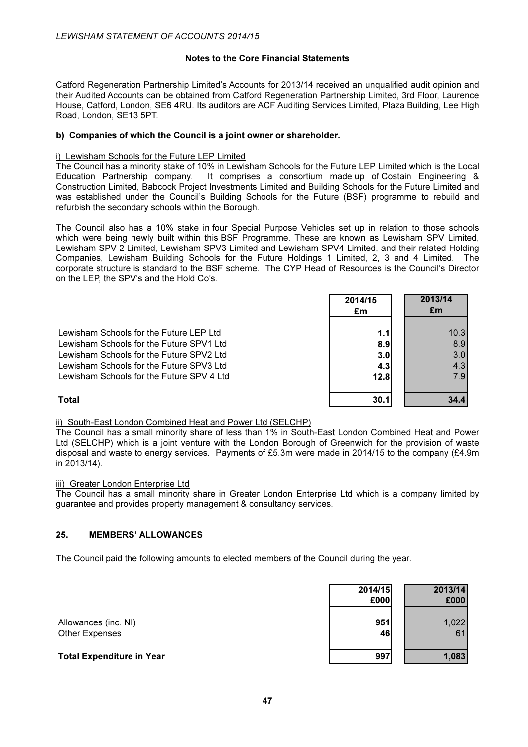Catford Regeneration Partnership Limited's Accounts for 2013/14 received an unqualified audit opinion and their Audited Accounts can be obtained from Catford Regeneration Partnership Limited, 3rd Floor, Laurence House, Catford, London, SE6 4RU. Its auditors are ACF Auditing Services Limited, Plaza Building, Lee High Road, London, SE13 5PT.

#### b) Companies of which the Council is a joint owner or shareholder.

#### i) Lewisham Schools for the Future LEP Limited

The Council has a minority stake of 10% in Lewisham Schools for the Future LEP Limited which is the Local Education Partnership company. It comprises a consortium made up of Costain Engineering & Construction Limited, Babcock Project Investments Limited and Building Schools for the Future Limited and was established under the Council's Building Schools for the Future (BSF) programme to rebuild and refurbish the secondary schools within the Borough.

The Council also has a 10% stake in four Special Purpose Vehicles set up in relation to those schools which were being newly built within this BSF Programme. These are known as Lewisham SPV Limited, Lewisham SPV 2 Limited, Lewisham SPV3 Limited and Lewisham SPV4 Limited, and their related Holding Companies, Lewisham Building Schools for the Future Holdings 1 Limited, 2, 3 and 4 Limited. The corporate structure is standard to the BSF scheme. The CYP Head of Resources is the Council's Director on the LEP, the SPV's and the Hold Co's.

|                                           | 2014/15<br>£m | 2013/14<br>£m |
|-------------------------------------------|---------------|---------------|
| Lewisham Schools for the Future LEP Ltd   | 1.1           | 10.3          |
| Lewisham Schools for the Future SPV1 Ltd  | 8.9           | 8.9           |
| Lewisham Schools for the Future SPV2 Ltd  | 3.0           | 3.0           |
| Lewisham Schools for the Future SPV3 Ltd  | 4.3           | 4.3           |
| Lewisham Schools for the Future SPV 4 Ltd | 12.8          | 7.9           |
| Total                                     | 30.1          | 34.4          |

# ii) South-East London Combined Heat and Power Ltd (SELCHP)

The Council has a small minority share of less than 1% in South-East London Combined Heat and Power Ltd (SELCHP) which is a joint venture with the London Borough of Greenwich for the provision of waste disposal and waste to energy services. Payments of £5.3m were made in 2014/15 to the company (£4.9m in 2013/14).

#### iii) Greater London Enterprise Ltd

The Council has a small minority share in Greater London Enterprise Ltd which is a company limited by guarantee and provides property management & consultancy services.

#### 25. MEMBERS' ALLOWANCES

The Council paid the following amounts to elected members of the Council during the year.

|                                               | 2014/15<br>£000 | 2013/14<br>£000 |
|-----------------------------------------------|-----------------|-----------------|
| Allowances (inc. NI)<br><b>Other Expenses</b> | 951<br>46       | 1,022<br>61     |
| <b>Total Expenditure in Year</b>              | 997             | 1,083           |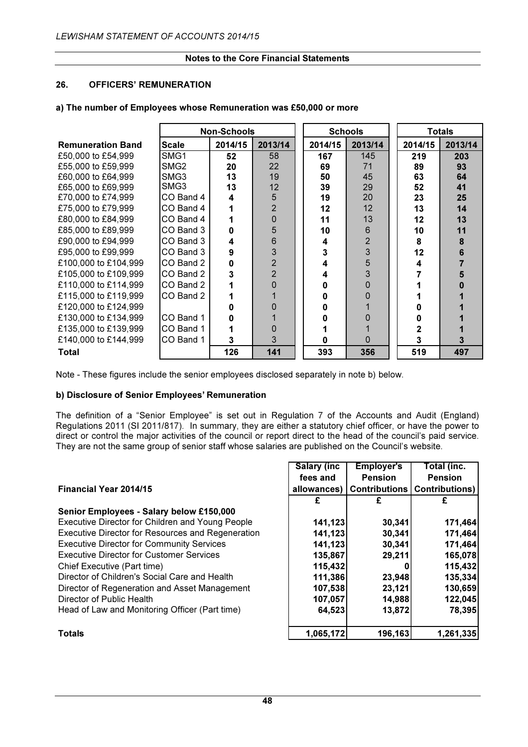# 26. OFFICERS' REMUNERATION

|                          |              | <b>Non-Schools</b> |         |         | <b>Schools</b> |         | Totals |
|--------------------------|--------------|--------------------|---------|---------|----------------|---------|--------|
| <b>Remuneration Band</b> | <b>Scale</b> | 2014/15            | 2013/14 | 2014/15 | 2013/14        | 2014/15 | 20     |
|                          |              |                    |         |         |                |         |        |

a) The number of Employees whose Remuneration was £50,000 or more

| <b>Remuneration Band</b> | <b>Scale</b>     | 2014/15 | 2013/14        | 2014/15 | 2013/14 | 2014/15 | 2013/14 |
|--------------------------|------------------|---------|----------------|---------|---------|---------|---------|
| £50,000 to £54,999       | SMG <sub>1</sub> | 52      | 58             | 167     | 145     | 219     | 203     |
| £55,000 to £59,999       | SMG <sub>2</sub> | 20      | 22             | 69      | 71      | 89      | 93      |
| £60,000 to £64,999       | SMG3             | 13      | 19             | 50      | 45      | 63      | 64      |
| £65,000 to £69,999       | SMG3             | 13      | 12             | 39      | 29      | 52      | 41      |
| £70,000 to £74,999       | CO Band 4        | 4       | 5              | 19      | 20      | 23      | 25      |
| £75,000 to £79,999       | CO Band 4        |         | $\overline{2}$ | 12      | 12      | 13      | 14      |
| £80,000 to £84,999       | CO Band 4        |         | 0              | 11      | 13      | $12 \,$ | 13      |
| £85,000 to £89,999       | CO Band 3        | U       | 5              | 10      | 6       | 10      | 11      |
| £90,000 to £94,999       | CO Band 3        | 4       | 6              | 4       | 2       | 8       | 8       |
| £95,000 to £99,999       | CO Band 3        | 9       | 3              | 3       | 3       | 12      | 6       |
| £100,000 to £104,999     | CO Band 2        | 0       | $\overline{2}$ |         | 5       |         |         |
| £105,000 to £109,999     | CO Band 2        | 3       | $\overline{2}$ | 4       |         |         |         |
| £110,000 to £114,999     | CO Band 2        |         | $\Omega$       |         |         |         |         |
| £115,000 to £119,999     | CO Band 2        |         |                |         |         |         |         |
| £120,000 to £124,999     |                  |         | 0              |         |         |         |         |
| £130,000 to £134,999     | CO Band 1        |         |                |         |         |         |         |
| £135,000 to £139,999     | CO Band 1        |         | 0              |         |         |         |         |
| £140,000 to £144,999     | CO Band 1        | 3       | 3              |         |         |         |         |
| <b>Total</b>             |                  | 126     | 141            | 393     | 356     | 519     | 497     |

Note - These figures include the senior employees disclosed separately in note b) below.

# b) Disclosure of Senior Employees' Remuneration

The definition of a "Senior Employee" is set out in Regulation 7 of the Accounts and Audit (England) Regulations 2011 (SI 2011/817). In summary, they are either a statutory chief officer, or have the power to direct or control the major activities of the council or report direct to the head of the council's paid service. They are not the same group of senior staff whose salaries are published on the Council's website.

|                                                          | <b>Salary (inc.</b> | <b>Employer's</b>    | Total (inc.           |
|----------------------------------------------------------|---------------------|----------------------|-----------------------|
|                                                          | fees and            | <b>Pension</b>       | <b>Pension</b>        |
| <b>Financial Year 2014/15</b>                            | allowances)         | <b>Contributions</b> | <b>Contributions)</b> |
|                                                          | £                   | £                    | £                     |
| Senior Employees - Salary below £150,000                 |                     |                      |                       |
| Executive Director for Children and Young People         | 141,123             | 30,341               | 171,464               |
| <b>Executive Director for Resources and Regeneration</b> | 141,123             | 30,341               | 171,464               |
| <b>Executive Director for Community Services</b>         | 141,123             | 30,341               | 171,464               |
| <b>Executive Director for Customer Services</b>          | 135,867             | 29,211               | 165,078               |
| Chief Executive (Part time)                              | 115,432             |                      | 115,432               |
| Director of Children's Social Care and Health            | 111,386             | 23,948               | 135,334               |
| Director of Regeneration and Asset Management            | 107,538             | 23,121               | 130,659               |
| Director of Public Health                                | 107,057             | 14,988               | 122,045               |
| Head of Law and Monitoring Officer (Part time)           | 64,523              | 13,872               | 78,395                |
| <b>Totals</b>                                            | 1,065,172           | 196,163              | 1,261,335             |

#### 48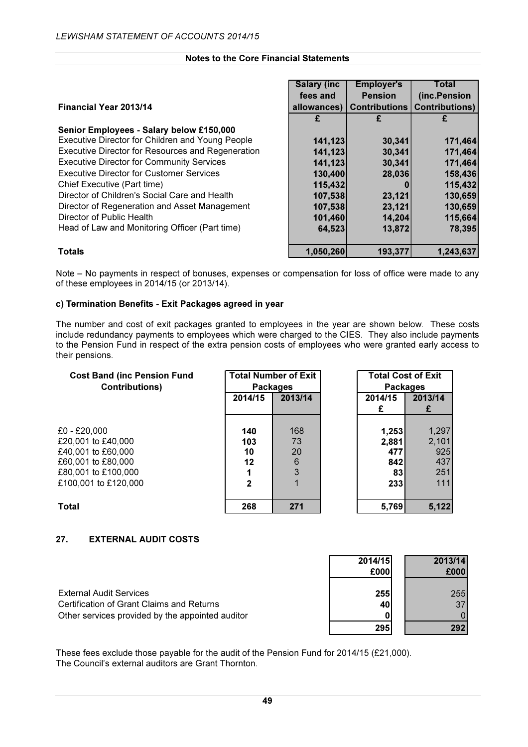|                                                   | <b>Salary (inc.</b> | <b>Employer's</b>    | Total                 |
|---------------------------------------------------|---------------------|----------------------|-----------------------|
|                                                   | fees and            | <b>Pension</b>       | (inc.Pension          |
| <b>Financial Year 2013/14</b>                     | allowances)         | <b>Contributions</b> | <b>Contributions)</b> |
|                                                   | £                   |                      |                       |
| Senior Employees - Salary below £150,000          |                     |                      |                       |
| Executive Director for Children and Young People  | 141,123             | 30,341               | 171,464               |
| Executive Director for Resources and Regeneration | 141,123             | 30,341               | 171,464               |
| <b>Executive Director for Community Services</b>  | 141,123             | 30,341               | 171,464               |
| <b>Executive Director for Customer Services</b>   | 130,400             | 28,036               | 158,436               |
| Chief Executive (Part time)                       | 115,432             |                      | 115,432               |
| Director of Children's Social Care and Health     | 107,538             | 23,121               | 130,659               |
| Director of Regeneration and Asset Management     | 107,538             | 23,121               | 130,659               |
| Director of Public Health                         | 101,460             | 14,204               | 115,664               |
| Head of Law and Monitoring Officer (Part time)    | 64,523              | 13,872               | 78,395                |
| <b>Totals</b>                                     | 1,050,260           | 193,377              | 1,243,637             |

Note – No payments in respect of bonuses, expenses or compensation for loss of office were made to any of these employees in 2014/15 (or 2013/14).

#### c) Termination Benefits - Exit Packages agreed in year

The number and cost of exit packages granted to employees in the year are shown below. These costs include redundancy payments to employees which were charged to the CIES. They also include payments to the Pension Fund in respect of the extra pension costs of employees who were granted early access to their pensions.

| <b>Cost Band (inc Pension Fund</b> |              | <b>Total Number of Exit</b> | <b>Total Cost of Exit</b> |         |  |  |
|------------------------------------|--------------|-----------------------------|---------------------------|---------|--|--|
| <b>Contributions)</b>              |              | <b>Packages</b>             | <b>Packages</b>           |         |  |  |
|                                    | 2014/15      | 2013/14                     | 2014/15                   | 2013/14 |  |  |
|                                    |              |                             | £                         |         |  |  |
|                                    |              |                             |                           |         |  |  |
| $£0 - £20,000$                     | 140          | 168                         | 1,253                     | 1,297   |  |  |
| £20,001 to £40,000                 | 103          | 73                          | 2,881                     | 2,101   |  |  |
| £40,001 to £60,000                 | 10           | 20                          | 477                       | 925     |  |  |
| £60,001 to £80,000                 | 12           | 6                           | 842                       | 437     |  |  |
| £80,001 to £100,000                |              | 3                           | 83                        | 251     |  |  |
| £100,001 to £120,000               | $\mathbf{2}$ |                             | <b>2331</b>               | 111     |  |  |
|                                    |              |                             |                           |         |  |  |
| <b>Total</b>                       | 268          | 271                         | 5,769                     | 5,122   |  |  |

# 27. EXTERNAL AUDIT COSTS

External Audit Services Certification of Grant Claims and Returns Other services provided by the appointed auditor

| 2014/15 | 2013/14        |
|---------|----------------|
| £000    | £000           |
|         |                |
| 255     | 255            |
| 40      | 3 <sub>1</sub> |
|         |                |
| 295     | 292            |

These fees exclude those payable for the audit of the Pension Fund for 2014/15 (£21,000). The Council's external auditors are Grant Thornton.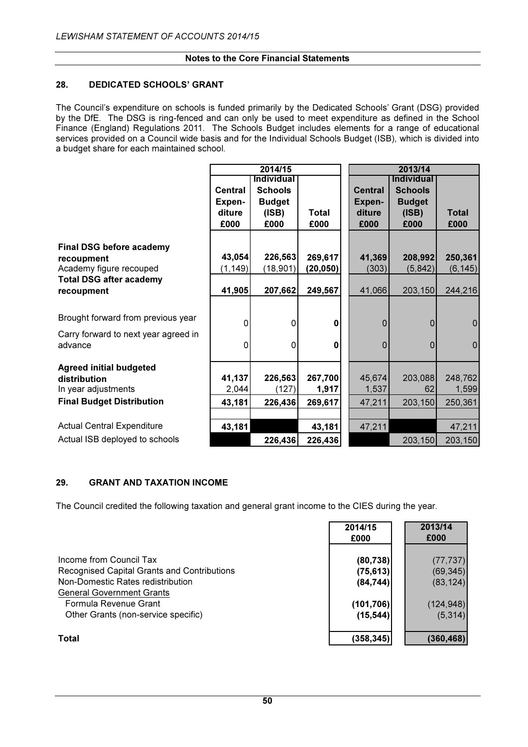### 28. DEDICATED SCHOOLS' GRANT

The Council's expenditure on schools is funded primarily by the Dedicated Schools' Grant (DSG) provided by the DfE. The DSG is ring-fenced and can only be used to meet expenditure as defined in the School Finance (England) Regulations 2011. The Schools Budget includes elements for a range of educational services provided on a Council wide basis and for the Individual Schools Budget (ISB), which is divided into a budget share for each maintained school.

|                                      |          | 2014/15           |             | 2013/14        |                   |                |  |
|--------------------------------------|----------|-------------------|-------------|----------------|-------------------|----------------|--|
|                                      |          | <b>Individual</b> |             |                | <b>Individual</b> |                |  |
|                                      | Central  | <b>Schools</b>    |             | <b>Central</b> | <b>Schools</b>    |                |  |
|                                      | Expen-   | <b>Budget</b>     |             | Expen-         | <b>Budget</b>     |                |  |
|                                      | diture   | (ISBN)            | Total       | diture         | (ISB)             | <b>Total</b>   |  |
|                                      | £000     | £000              | £000        | £000           | £000              | £000           |  |
|                                      |          |                   |             |                |                   |                |  |
| <b>Final DSG before academy</b>      |          |                   |             |                |                   |                |  |
| recoupment                           | 43,054   | 226,563           | 269,617     | 41,369         | 208,992           | 250,361        |  |
| Academy figure recouped              | (1, 149) | (18, 901)         | (20, 050)   | (303)          | (5,842)           | (6, 145)       |  |
| <b>Total DSG after academy</b>       |          |                   |             |                |                   |                |  |
| recoupment                           | 41,905   | 207,662           | 249,567     | 41,066         | 203,150           | 244,216        |  |
|                                      |          |                   |             |                |                   |                |  |
| Brought forward from previous year   | $\Omega$ | $\Omega$          | $\mathbf 0$ | 0              | $\mathbf 0$       | $\overline{0}$ |  |
| Carry forward to next year agreed in |          |                   |             |                |                   |                |  |
| advance                              | 0        | $\Omega$          | $\bf{0}$    | $\pmb{0}$      | $\mathbf 0$       | $\pmb{0}$      |  |
|                                      |          |                   |             |                |                   |                |  |
| <b>Agreed initial budgeted</b>       |          |                   |             |                |                   |                |  |
| distribution                         | 41,137   | 226,563           | 267,700     | 45,674         | 203,088           | 248,762        |  |
| In year adjustments                  | 2,044    | (127)             | 1,917       | 1,537          | 62                | 1,599          |  |
| <b>Final Budget Distribution</b>     | 43,181   | 226,436           | 269,617     | 47,211         | 203,150           | 250,361        |  |
|                                      |          |                   |             |                |                   |                |  |
| <b>Actual Central Expenditure</b>    | 43,181   |                   | 43,181      | 47,211         |                   | 47,211         |  |
| Actual ISB deployed to schools       |          | 226,436           | 226,436     |                | 203,150           | 203,150        |  |

# 29. GRANT AND TAXATION INCOME

The Council credited the following taxation and general grant income to the CIES during the year.

|                                             | 2014/15<br>£000 | 2013/14<br>£000 |
|---------------------------------------------|-----------------|-----------------|
| Income from Council Tax                     | (80, 738)       | (77, 737)       |
| Recognised Capital Grants and Contributions | (75, 613)       | (69, 345)       |
| Non-Domestic Rates redistribution           | (84, 744)       | (83, 124)       |
| <b>General Government Grants</b>            |                 |                 |
| Formula Revenue Grant                       | (101, 706)      | (124, 948)      |
| Other Grants (non-service specific)         | (15, 544)       | (5,314)         |
| Total                                       | (358,345)       | (360, 468)      |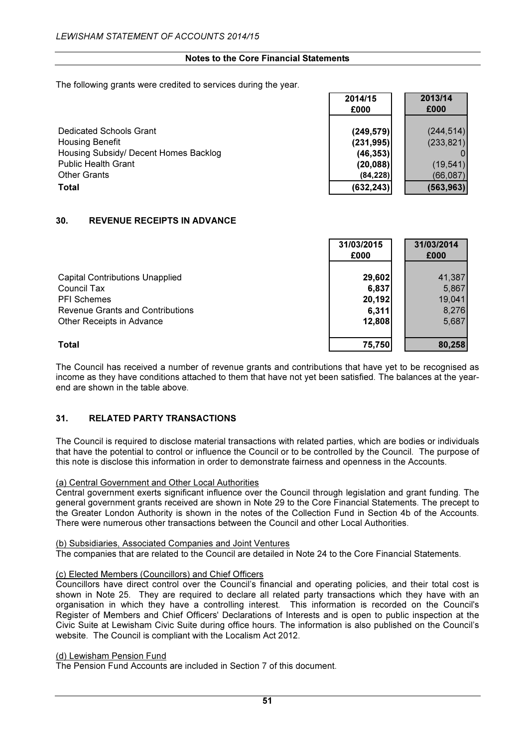The following grants were credited to services during the year.

|                                       | 2014/15<br>£000 | 2013/14<br>£000 |
|---------------------------------------|-----------------|-----------------|
| Dedicated Schools Grant               | (249, 579)      | (244, 514)      |
| <b>Housing Benefit</b>                | (231, 995)      | (233, 821)      |
| Housing Subsidy/ Decent Homes Backlog | (46, 353)       |                 |
| <b>Public Health Grant</b>            | (20, 088)       | (19, 541)       |
| <b>Other Grants</b>                   | (84, 228)       | (66,087)        |
| Total                                 | (632, 243)      | (563, 963)      |

# 30. REVENUE RECEIPTS IN ADVANCE

|                                         | 31/03/2015<br>£000 | 31/03/2014<br>£000 |
|-----------------------------------------|--------------------|--------------------|
|                                         |                    |                    |
| <b>Capital Contributions Unapplied</b>  | 29,602             | 41,387             |
| Council Tax                             | 6,837              | 5,867              |
| <b>PFI Schemes</b>                      | 20,192             | 19,041             |
| <b>Revenue Grants and Contributions</b> | 6,311              | 8,276              |
| Other Receipts in Advance               | 12,808             | 5,687              |
|                                         |                    |                    |
| Total                                   | 75,750             | 80,258             |

The Council has received a number of revenue grants and contributions that have yet to be recognised as income as they have conditions attached to them that have not yet been satisfied. The balances at the yearend are shown in the table above.

# 31. RELATED PARTY TRANSACTIONS

The Council is required to disclose material transactions with related parties, which are bodies or individuals that have the potential to control or influence the Council or to be controlled by the Council. The purpose of this note is disclose this information in order to demonstrate fairness and openness in the Accounts.

#### (a) Central Government and Other Local Authorities

Central government exerts significant influence over the Council through legislation and grant funding. The general government grants received are shown in Note 29 to the Core Financial Statements. The precept to the Greater London Authority is shown in the notes of the Collection Fund in Section 4b of the Accounts. There were numerous other transactions between the Council and other Local Authorities.

#### (b) Subsidiaries, Associated Companies and Joint Ventures

The companies that are related to the Council are detailed in Note 24 to the Core Financial Statements.

#### (c) Elected Members (Councillors) and Chief Officers

Councillors have direct control over the Council's financial and operating policies, and their total cost is shown in Note 25. They are required to declare all related party transactions which they have with an organisation in which they have a controlling interest. This information is recorded on the Council's Register of Members and Chief Officers' Declarations of Interests and is open to public inspection at the Civic Suite at Lewisham Civic Suite during office hours. The information is also published on the Council's website. The Council is compliant with the Localism Act 2012.

#### (d) Lewisham Pension Fund

The Pension Fund Accounts are included in Section 7 of this document.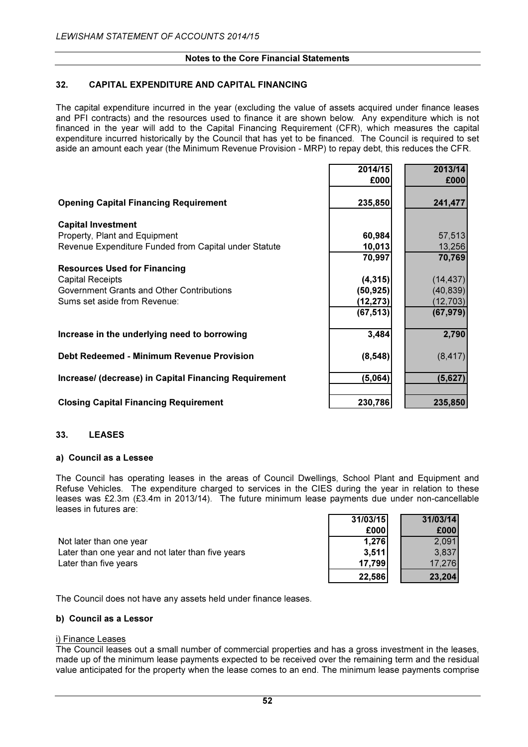### 32. CAPITAL EXPENDITURE AND CAPITAL FINANCING

The capital expenditure incurred in the year (excluding the value of assets acquired under finance leases and PFI contracts) and the resources used to finance it are shown below. Any expenditure which is not financed in the year will add to the Capital Financing Requirement (CFR), which measures the capital expenditure incurred historically by the Council that has yet to be financed. The Council is required to set aside an amount each year (the Minimum Revenue Provision - MRP) to repay debt, this reduces the CFR.

|                                                       | 2014/15   | 2013/14   |
|-------------------------------------------------------|-----------|-----------|
|                                                       | £000      | £000      |
| <b>Opening Capital Financing Requirement</b>          | 235,850   | 241,477   |
| <b>Capital Investment</b>                             |           |           |
| Property, Plant and Equipment                         | 60,984    | 57,513    |
| Revenue Expenditure Funded from Capital under Statute | 10,013    | 13,256    |
|                                                       | 70,997    | 70,769    |
| <b>Resources Used for Financing</b>                   |           |           |
| <b>Capital Receipts</b>                               | (4, 315)  | (14, 437) |
| Government Grants and Other Contributions             | (50, 925) | (40, 839) |
| Sums set aside from Revenue:                          | (12, 273) | (12, 703) |
|                                                       | (67, 513) | (67, 979) |
| Increase in the underlying need to borrowing          | 3,484     | 2,790     |
| Debt Redeemed - Minimum Revenue Provision             | (8, 548)  | (8, 417)  |
| Increase/ (decrease) in Capital Financing Requirement | (5,064)   | (5,627)   |
| <b>Closing Capital Financing Requirement</b>          | 230,786   | 235,850   |

#### 33. LEASES

#### a) Council as a Lessee

The Council has operating leases in the areas of Council Dwellings, School Plant and Equipment and Refuse Vehicles. The expenditure charged to services in the CIES during the year in relation to these leases was £2.3m (£3.4m in 2013/14). The future minimum lease payments due under non-cancellable leases in futures are:

Not later than one year Later than one year and not later than five years Later than five years

| 31/03/15 | 31/03/14 |
|----------|----------|
| £000     | £000     |
| 1,276    | 2.091    |
| 3,511    | 3,837    |
| 17,799   | 17.276   |
| 22,586   | 23,204   |

The Council does not have any assets held under finance leases.

#### b) Council as a Lessor

#### i) Finance Leases

The Council leases out a small number of commercial properties and has a gross investment in the leases, made up of the minimum lease payments expected to be received over the remaining term and the residual value anticipated for the property when the lease comes to an end. The minimum lease payments comprise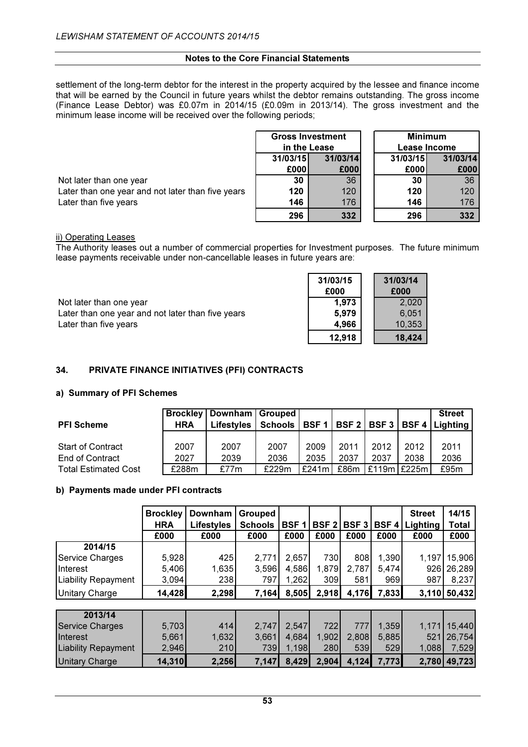settlement of the long-term debtor for the interest in the property acquired by the lessee and finance income that will be earned by the Council in future years whilst the debtor remains outstanding. The gross income (Finance Lease Debtor) was £0.07m in 2014/15 (£0.09m in 2013/14). The gross investment and the minimum lease income will be received over the following periods;

> /03/14 £000

|                                                   | <b>Gross Investment</b> |      |  | <b>Minimum</b> |              |  |
|---------------------------------------------------|-------------------------|------|--|----------------|--------------|--|
|                                                   | in the Lease            |      |  |                | Lease Income |  |
| 31/03/15<br>31/03/14                              |                         |      |  | 31/03/15       | 31/03/14     |  |
|                                                   | £000                    | £000 |  | £000           | £000         |  |
| Not later than one year                           | 30                      | 36   |  | 30             | 36           |  |
| Later than one year and not later than five years | 120                     | 120  |  | 120            | 120          |  |
| Later than five years                             | 146                     | 176  |  | 146            | 176          |  |
|                                                   | 296                     | 332  |  | 296            | 332          |  |

#### ii) Operating Leases

The Authority leases out a number of commercial properties for Investment purposes. The future minimum lease payments receivable under non-cancellable leases in future years are:

|                                                   | 31/03/15<br>£000 | 31/03/14<br>£000 |
|---------------------------------------------------|------------------|------------------|
| Not later than one year                           | 1,973            | 2,020            |
| Later than one year and not later than five years | 5.979            | 6.051            |
| Later than five years                             | 4.966            | 10.353           |
|                                                   | 12,918           | 18,424           |

# 34. PRIVATE FINANCE INITIATIVES (PFI) CONTRACTS

#### a) Summary of PFI Schemes

| <b>PFI Scheme</b>                           | <b>HRA</b>   | <b>Brockley   Downham   Grouped  </b><br><b>Lifestyles</b> | Schools      | BSF <sub>1</sub> |              |              |                 | <b>Street</b><br>BSF 2   BSF 3   BSF 4   Lighting |
|---------------------------------------------|--------------|------------------------------------------------------------|--------------|------------------|--------------|--------------|-----------------|---------------------------------------------------|
| <b>Start of Contract</b><br>End of Contract | 2007<br>2027 | 2007<br>2039                                               | 2007<br>2036 | 2009<br>2035     | 2011<br>2037 | 2012<br>2037 | 2012<br>2038    | 2011<br>2036                                      |
| <b>Total Estimated Cost</b>                 | £288m        | £77m                                                       | £229m        | £241m            | £86m         |              | $£119m$ $E225m$ | £95m                                              |

#### b) Payments made under PFI contracts

|                            | <b>Brockley</b> | Downham           | Grouped        |             |             |                  |             | <b>Street</b> | 14/15        |
|----------------------------|-----------------|-------------------|----------------|-------------|-------------|------------------|-------------|---------------|--------------|
|                            | <b>HRA</b>      | <b>Lifestyles</b> | <b>Schools</b> | <b>BSF1</b> | <b>BSF2</b> | BSF <sub>3</sub> | <b>BSF4</b> | Lighting      | <b>Total</b> |
|                            | £000            | £000              | £000           | £000        | £000        | £000             | £000        | £000          | £000         |
| 2014/15                    |                 |                   |                |             |             |                  |             |               |              |
| Service Charges            | 5,928           | 425               | 2,771          | 2,657       | 730         | 808              | 1,390       | 1,197         | 15,906       |
| <b>I</b> Interest          | 5,406           | 1,635             | 3,596          | 4,586       | 1,879       | 2,787            | 5,474       | 926           | 26,289       |
| <b>Liability Repayment</b> | 3,094           | 238               | 797            | 1,262       | 309         | 581              | 969         | 987           | 8,237        |
| <b>Unitary Charge</b>      | 14,428          | 2,298             | 7,164          | 8,505       | 2,918       | 4,176            | 7,833       | 3,110         | 50,432       |
|                            |                 |                   |                |             |             |                  |             |               |              |
| 2013/14                    |                 |                   |                |             |             |                  |             |               |              |
| <b>Service Charges</b>     | 5,703           | 414               | 2,747          | 2,547       | 722         | 777              | 1,359       | 1,171         | 15,440       |
| Interest                   | 5,661           | 1,632             | 3,661          | 4,684       | 1,902       | 2,808            | 5,885       | 521           | 26,754       |
| <b>Liability Repayment</b> | 2,946           | 210               | 739            | 1,198       | 280         | 539              | 529         | 1,088         | 7,529        |
| <b>Unitary Charge</b>      | 14,310          | 2,256             | 7,147          | 8,429       | 2,904       | 4,124            | 7,773       | 2,780         | 49,723       |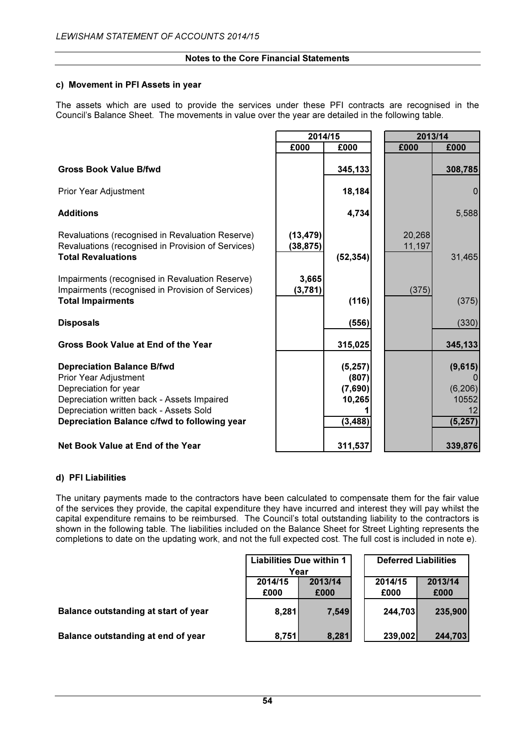#### c) Movement in PFI Assets in year

The assets which are used to provide the services under these PFI contracts are recognised in the Council's Balance Sheet. The movements in value over the year are detailed in the following table.

#### **Gross Book Value B/fwd**

#### Depreciation Balance B/fwd

|                                                                                                                                                                                                                               | 2014/15                |                                                    | 2013/14          |                                                |
|-------------------------------------------------------------------------------------------------------------------------------------------------------------------------------------------------------------------------------|------------------------|----------------------------------------------------|------------------|------------------------------------------------|
|                                                                                                                                                                                                                               | £000                   | £000                                               | £000             | £000                                           |
| <b>Gross Book Value B/fwd</b>                                                                                                                                                                                                 |                        | 345,133                                            |                  | 308,785                                        |
| Prior Year Adjustment                                                                                                                                                                                                         |                        | 18,184                                             |                  | $\mathbf 0$                                    |
| Additions                                                                                                                                                                                                                     |                        | 4,734                                              |                  | 5,588                                          |
| Revaluations (recognised in Revaluation Reserve)<br>Revaluations (recognised in Provision of Services)<br><b>Total Revaluations</b>                                                                                           | (13, 479)<br>(38, 875) | (52, 354)                                          | 20,268<br>11,197 | 31,465                                         |
| Impairments (recognised in Revaluation Reserve)<br>Impairments (recognised in Provision of Services)<br><b>Total Impairments</b>                                                                                              | 3,665<br>(3,781)       | (116)                                              | (375)            | (375)                                          |
| <b>Disposals</b>                                                                                                                                                                                                              |                        | (556)                                              |                  | (330)                                          |
| <b>Gross Book Value at End of the Year</b>                                                                                                                                                                                    |                        | 315,025                                            |                  | 345,133                                        |
| <b>Depreciation Balance B/fwd</b><br>Prior Year Adjustment<br>Depreciation for year<br>Depreciation written back - Assets Impaired<br>Depreciation written back - Assets Sold<br>Depreciation Balance c/fwd to following year |                        | (5, 257)<br>(807)<br>(7,690)<br>10,265<br>(3, 488) |                  | (9,615)<br>(6, 206)<br>10552<br>12<br>(5, 257) |
| <b>Net Book Value at End of the Year</b>                                                                                                                                                                                      |                        | 311,537                                            |                  | 339,876                                        |

#### d) PFI Liabilities

The unitary payments made to the contractors have been calculated to compensate them for the fair value of the services they provide, the capital expenditure they have incurred and interest they will pay whilst the capital expenditure remains to be reimbursed. The Council's total outstanding liability to the contractors is shown in the following table. The liabilities included on the Balance Sheet for Street Lighting represents the completions to date on the updating work, and not the full expected cost. The full cost is included in note e).

|                                      |                 | Liabilities Due within 1 | <b>Deferred Liabilities</b> |                 |
|--------------------------------------|-----------------|--------------------------|-----------------------------|-----------------|
|                                      | Year            |                          |                             |                 |
|                                      | 2014/15<br>£000 | 2013/14<br>£000          | 2014/15<br>£000             | 2013/14<br>£000 |
| Balance outstanding at start of year | 8,281           | 7,549                    | 244,703                     | 235,900         |
| Balance outstanding at end of year   | 8,751           | 8,281                    | 239,002                     | 244,703         |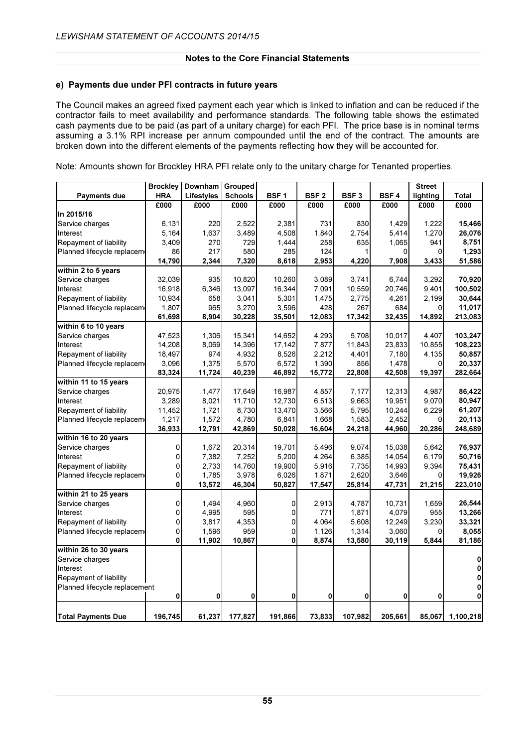#### e) Payments due under PFI contracts in future years

The Council makes an agreed fixed payment each year which is linked to inflation and can be reduced if the contractor fails to meet availability and performance standards. The following table shows the estimated cash payments due to be paid (as part of a unitary charge) for each PFI. The price base is in nominal terms assuming a 3.1% RPI increase per annum compounded until the end of the contract. The amounts are broken down into the different elements of the payments reflecting how they will be accounted for.

Note: Amounts shown for Brockley HRA PFI relate only to the unitary charge for Tenanted properties.

|                               | <b>Brockley</b> | <b>Downham</b> | Grouped        |             |                  |                  |             | <b>Street</b> |                  |
|-------------------------------|-----------------|----------------|----------------|-------------|------------------|------------------|-------------|---------------|------------------|
| Payments due                  | <b>HRA</b>      | Lifestyles     | <b>Schools</b> | <b>BSF1</b> | BSF <sub>2</sub> | BSF <sub>3</sub> | <b>BSF4</b> | lighting      | <b>Total</b>     |
|                               | £000            | £000           | £000           | £000        | £000             | £000             | £000        | £000          | £000             |
| In 2015/16                    |                 |                |                |             |                  |                  |             |               |                  |
| Service charges               | 6,131           | 220            | 2,522          | 2,381       | 731              | 830              | 1,429       | 1,222         | 15,466           |
| Interest                      | 5,164           | 1,637          | 3,489          | 4,508       | 1,840            | 2,754            | 5,414       | 1,270         | 26,076           |
| Repayment of liability        | 3,409           | 270            | 729            | 1,444       | 258              | 635              | 1,065       | 941           | 8,751            |
| Planned lifecycle replacem    | 86              | 217            | 580            | 285         | 124              |                  | 0           | $\Omega$      | 1,293            |
|                               | 14,790          | 2,344          | 7,320          | 8,618       | 2,953            | 4,220            | 7,908       | 3,433         | 51,586           |
| within $2$ to 5 years         |                 |                |                |             |                  |                  |             |               |                  |
| Service charges               | 32,039          | 935            | 10,820         | 10,260      | 3,089            | 3,741            | 6.744       | 3,292         | 70,920           |
| Interest                      | 16,918          | 6,346          | 13,097         | 16,344      | 7,091            | 10,559           | 20,746      | 9,401         | 100,502          |
| Repayment of liability        | 10,934          | 658            | 3,041          | 5,301       | 1,475            | 2,775            | 4,261       | 2,199         | 30,644           |
| Planned lifecycle replacem    | 1,807           | 965            | 3,270          | 3,596       | 428              | 267              | 684         | <sub>0</sub>  | 11,017           |
|                               | 61,698          | 8,904          | 30,228         | 35,501      | 12,083           | 17,342           | 32,435      | 14,892        | 213,083          |
| within 6 to 10 years          |                 |                |                |             |                  |                  |             |               |                  |
| Service charges               | 47,523          | 1,306          | 15,341         | 14,652      | 4,293            | 5,708            | 10,017      | 4,407         | 103,247          |
| Interest                      | 14,208          | 8,069          | 14,396         | 17,142      | 7,877            | 11,843           | 23,833      | 10,855        | 108,223          |
| Repayment of liability        | 18,497          | 974            | 4,932          | 8,526       | 2,212            | 4,401            | 7,180       | 4,135         | 50,857           |
| Planned lifecycle replacem    | 3,096           | 1,375          | 5,570          | 6,572       | 1,390            | 856              | 1,478       | <sub>0</sub>  | 20,337           |
|                               | 83,324          | 11,724         | 40,239         | 46,892      | 15,772           | 22,808           | 42,508      | 19,397        | 282,664          |
| within 11 to 15 years         |                 |                |                |             |                  |                  |             |               |                  |
| Service charges               | 20,975          | 1,477          | 17,649         | 16,987      | 4,857            | 7,177            | 12,313      | 4,987         | 86,422           |
| Interest                      | 3,289           | 8,021          | 11,710         | 12,730      | 6,513            | 9,663            | 19,951      | 9,070         | 80,947           |
| Repayment of liability        | 11,452          | 1,721          | 8,730          | 13,470      | 3,566            | 5,795            | 10,244      | 6,229         | 61,207           |
| Planned lifecycle replacem    | 1,217           | 1,572          | 4,780          | 6,841       | 1,668            | 1,583            | 2,452       | $\Omega$      | 20,113           |
|                               | 36,933          | 12,791         | 42,869         | 50,028      | 16,604           | 24,218           | 44,960      | 20,286        | 248,689          |
| within 16 to 20 years         |                 |                |                |             |                  |                  |             |               |                  |
| Service charges               | 0               | 1,672          | 20,314         | 19,701      | 5,496            | 9,074            | 15,038      | 5,642         | 76,937           |
| Interest                      | 0               | 7,382          | 7,252          | 5,200       | 4,264            | 6,385            | 14,054      | 6,179         | 50,716           |
| Repayment of liability        | 0               | 2,733          | 14,760         | 19,900      | 5,916            | 7,735            | 14,993      | 9,394         | 75,431           |
| Planned lifecycle replacem    | 0               | 1,785          | 3,978          | 6,026       | 1,871            | 2,620            | 3,646       | $\Omega$      | 19,926           |
|                               | 0               | 13,572         | 46,304         | 50,827      | 17,547           | 25,814           | 47,731      | 21,215        | 223,010          |
| within 21 to 25 years         |                 |                |                |             |                  |                  |             |               |                  |
| Service charges               | 0               | 1,494          | 4,960          | 0           | 2,913            | 4,787            | 10,731      | 1,659         | 26,544           |
| Interest                      | 0               | 4,995          | 595            | 0           | 771              | 1,871            | 4,079       | 955           | 13,266           |
| Repayment of liability        | 0               | 3,817          | 4,353          | 0           | 4,064            | 5,608            | 12,249      | 3,230         | 33,321           |
| Planned lifecycle replacem    | 0               | 1,596          | 959            | 0           | 1,126            | 1,314            | 3,060       | $\Omega$      | 8,055            |
|                               | 0               | 11,902         | 10,867         | 0           | 8,874            | 13,580           | 30,119      | 5,844         | 81,186           |
| within 26 to 30 years         |                 |                |                |             |                  |                  |             |               |                  |
| Service charges               |                 |                |                |             |                  |                  |             |               | 0                |
| Interest                      |                 |                |                |             |                  |                  |             |               | 0                |
| Repayment of liability        |                 |                |                |             |                  |                  |             |               | 0                |
| Planned lifecycle replacement |                 |                |                |             |                  |                  |             |               | 0                |
|                               | 0               | 0              | 0              | 0           | 0                | 0                | 0           | 0             | 0                |
|                               |                 |                |                |             |                  |                  |             |               |                  |
| <b>Total Payments Due</b>     | 196,745         | 61,237         | 177,827        | 191,866     | 73,833           | 107,982          | 205,661     |               | 85,067 1,100,218 |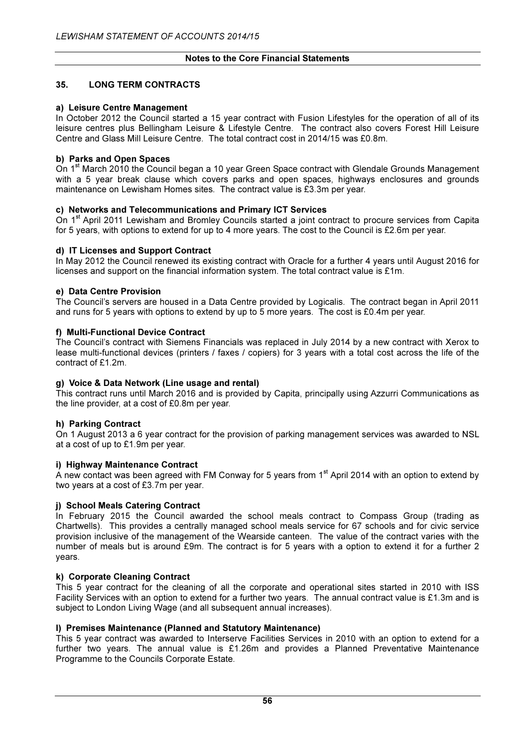# 35. LONG TERM CONTRACTS

#### a) Leisure Centre Management

In October 2012 the Council started a 15 year contract with Fusion Lifestyles for the operation of all of its leisure centres plus Bellingham Leisure & Lifestyle Centre. The contract also covers Forest Hill Leisure Centre and Glass Mill Leisure Centre. The total contract cost in 2014/15 was £0.8m.

#### b) Parks and Open Spaces

On 1<sup>st</sup> March 2010 the Council began a 10 year Green Space contract with Glendale Grounds Management with a 5 year break clause which covers parks and open spaces, highways enclosures and grounds maintenance on Lewisham Homes sites. The contract value is £3.3m per year.

#### c) Networks and Telecommunications and Primary ICT Services

On 1<sup>st</sup> April 2011 Lewisham and Bromley Councils started a joint contract to procure services from Capita for 5 years, with options to extend for up to 4 more years. The cost to the Council is £2.6m per year.

#### d) IT Licenses and Support Contract

In May 2012 the Council renewed its existing contract with Oracle for a further 4 years until August 2016 for licenses and support on the financial information system. The total contract value is £1m.

#### e) Data Centre Provision

The Council's servers are housed in a Data Centre provided by Logicalis. The contract began in April 2011 and runs for 5 years with options to extend by up to 5 more years. The cost is £0.4m per year.

#### f) Multi-Functional Device Contract

The Council's contract with Siemens Financials was replaced in July 2014 by a new contract with Xerox to lease multi-functional devices (printers / faxes / copiers) for 3 years with a total cost across the life of the contract of £1.2m.

#### g) Voice & Data Network (Line usage and rental)

This contract runs until March 2016 and is provided by Capita, principally using Azzurri Communications as the line provider, at a cost of £0.8m per year.

#### h) Parking Contract

On 1 August 2013 a 6 year contract for the provision of parking management services was awarded to NSL at a cost of up to £1.9m per year.

#### i) Highway Maintenance Contract

A new contact was been agreed with FM Conway for 5 years from  $1<sup>st</sup>$  April 2014 with an option to extend by two years at a cost of £3.7m per year.

#### j) School Meals Catering Contract

In February 2015 the Council awarded the school meals contract to Compass Group (trading as Chartwells). This provides a centrally managed school meals service for 67 schools and for civic service provision inclusive of the management of the Wearside canteen. The value of the contract varies with the number of meals but is around £9m. The contract is for 5 years with a option to extend it for a further 2 years.

#### k) Corporate Cleaning Contract

This 5 year contract for the cleaning of all the corporate and operational sites started in 2010 with ISS Facility Services with an option to extend for a further two years. The annual contract value is £1.3m and is subject to London Living Wage (and all subsequent annual increases).

# l) Premises Maintenance (Planned and Statutory Maintenance)

This 5 year contract was awarded to Interserve Facilities Services in 2010 with an option to extend for a further two years. The annual value is £1.26m and provides a Planned Preventative Maintenance Programme to the Councils Corporate Estate.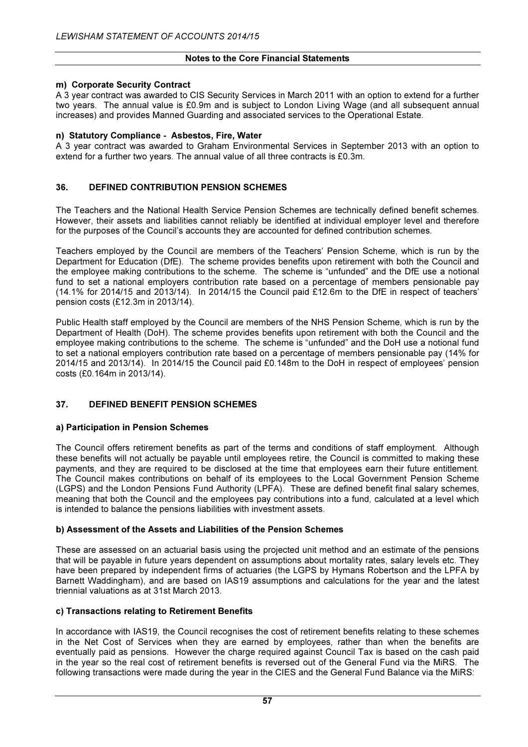#### m) Corporate Security Contract

A 3 year contract was awarded to CIS Security Services in March 2011 with an option to extend for a further two years. The annual value is £0.9m and is subject to London Living Wage (and all subsequent annual increases) and provides Manned Guarding and associated services to the Operational Estate.

#### n) Statutory Compliance - Asbestos, Fire, Water

A 3 year contract was awarded to Graham Environmental Services in September 2013 with an option to extend for a further two years. The annual value of all three contracts is £0.3m.

# 36. DEFINED CONTRIBUTION PENSION SCHEMES

The Teachers and the National Health Service Pension Schemes are technically defined benefit schemes. However, their assets and liabilities cannot reliably be identified at individual employer level and therefore for the purposes of the Council's accounts they are accounted for defined contribution schemes.

Teachers employed by the Council are members of the Teachers' Pension Scheme, which is run by the Department for Education (DfE). The scheme provides benefits upon retirement with both the Council and the employee making contributions to the scheme. The scheme is "unfunded" and the DfE use a notional fund to set a national employers contribution rate based on a percentage of members pensionable pay (14.1% for 2014/15 and 2013/14). In 2014/15 the Council paid £12.6m to the DfE in respect of teachers' pension costs (£12.3m in 2013/14).

Public Health staff employed by the Council are members of the NHS Pension Scheme, which is run by the Department of Health (DoH). The scheme provides benefits upon retirement with both the Council and the employee making contributions to the scheme. The scheme is "unfunded" and the DoH use a notional fund to set a national employers contribution rate based on a percentage of members pensionable pay (14% for 2014/15 and 2013/14). In 2014/15 the Council paid £0.148m to the DoH in respect of employees' pension costs (£0.164m in 2013/14).

# 37. DEFINED BENEFIT PENSION SCHEMES

#### a) Participation in Pension Schemes

The Council offers retirement benefits as part of the terms and conditions of staff employment. Although these benefits will not actually be payable until employees retire, the Council is committed to making these payments, and they are required to be disclosed at the time that employees earn their future entitlement. The Council makes contributions on behalf of its employees to the Local Government Pension Scheme (LGPS) and the London Pensions Fund Authority (LPFA). These are defined benefit final salary schemes, meaning that both the Council and the employees pay contributions into a fund, calculated at a level which is intended to balance the pensions liabilities with investment assets.

#### b) Assessment of the Assets and Liabilities of the Pension Schemes

These are assessed on an actuarial basis using the projected unit method and an estimate of the pensions that will be payable in future years dependent on assumptions about mortality rates, salary levels etc. They have been prepared by independent firms of actuaries (the LGPS by Hymans Robertson and the LPFA by Barnett Waddingham), and are based on IAS19 assumptions and calculations for the year and the latest triennial valuations as at 31st March 2013.

#### c) Transactions relating to Retirement Benefits

In accordance with IAS19, the Council recognises the cost of retirement benefits relating to these schemes in the Net Cost of Services when they are earned by employees, rather than when the benefits are eventually paid as pensions. However the charge required against Council Tax is based on the cash paid in the year so the real cost of retirement benefits is reversed out of the General Fund via the MiRS. The following transactions were made during the year in the CIES and the General Fund Balance via the MiRS: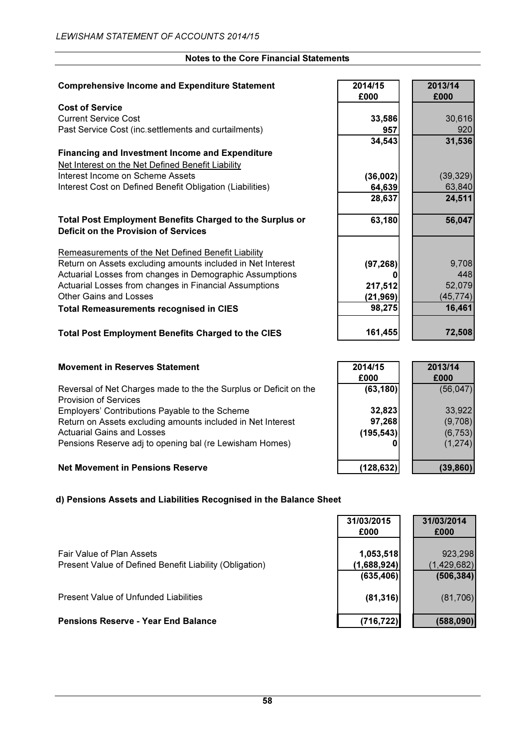| <b>Comprehensive Income and Expenditure Statement</b>                                                          | 2014/15<br>£000 | 2013/14<br>£000 |
|----------------------------------------------------------------------------------------------------------------|-----------------|-----------------|
| <b>Cost of Service</b>                                                                                         |                 |                 |
| <b>Current Service Cost</b>                                                                                    | 33,586          | 30,616          |
| Past Service Cost (inc.settlements and curtailments)                                                           | 957             | 920             |
|                                                                                                                | 34,543          | 31,536          |
| <b>Financing and Investment Income and Expenditure</b>                                                         |                 |                 |
| Net Interest on the Net Defined Benefit Liability                                                              |                 |                 |
| Interest Income on Scheme Assets                                                                               | (36,002)        | (39, 329)       |
| Interest Cost on Defined Benefit Obligation (Liabilities)                                                      | 64,639          | 63,840          |
|                                                                                                                | 28,637          | 24,511          |
|                                                                                                                |                 |                 |
| <b>Total Post Employment Benefits Charged to the Surplus or</b><br><b>Deficit on the Provision of Services</b> | 63,180          | 56,047          |
|                                                                                                                |                 |                 |
| Remeasurements of the Net Defined Benefit Liability                                                            |                 |                 |
| Return on Assets excluding amounts included in Net Interest                                                    | (97, 268)       | 9,708           |
| Actuarial Losses from changes in Demographic Assumptions                                                       | O               | 448             |
| Actuarial Losses from changes in Financial Assumptions                                                         | 217,512         | 52,079          |
| <b>Other Gains and Losses</b>                                                                                  | (21, 969)       | (45, 774)       |
| <b>Total Remeasurements recognised in CIES</b>                                                                 | 98,275          | 16,461          |
|                                                                                                                |                 |                 |
| <b>Total Post Employment Benefits Charged to the CIES</b>                                                      | 161,455         | 72,508          |

#### **Movement in Reserves Statement**

Reversal of Net Charges made to the the Surplus or Deficit on the Provision of Services Employers' Contributions Payable to the Scheme Return on Assets excluding amounts included in Net Interest Actuarial Gains and Losses Pensions Reserve adj to opening bal (re Lewisham Homes)

# **Net Movement in Pensions Reserve**

#### d) Pensions Assets and Liabilities Recognised in the Balance Sheet

|                                                                                      | 31/03/2015<br>£000                      | 31/03/2014<br>£000                   |
|--------------------------------------------------------------------------------------|-----------------------------------------|--------------------------------------|
| Fair Value of Plan Assets<br>Present Value of Defined Benefit Liability (Obligation) | 1,053,518<br>(1,688,924) <br>(635, 406) | 923,298<br>(1,429,682)<br>(506, 384) |
| Present Value of Unfunded Liabilities                                                | (81, 316)                               | (81,706)                             |
| <b>Pensions Reserve - Year End Balance</b>                                           | (716, 722)                              | (588,090)                            |

| 2014/15    | 2013/14   |
|------------|-----------|
| £000       | £000      |
| (63, 180)  | (56, 047) |
| 32,823     | 33,922    |
| 97,268     | (9,708)   |
| (195, 543) | (6, 753)  |
|            | (1, 274)  |
|            |           |
| (128, 632) | (39, 860) |
|            |           |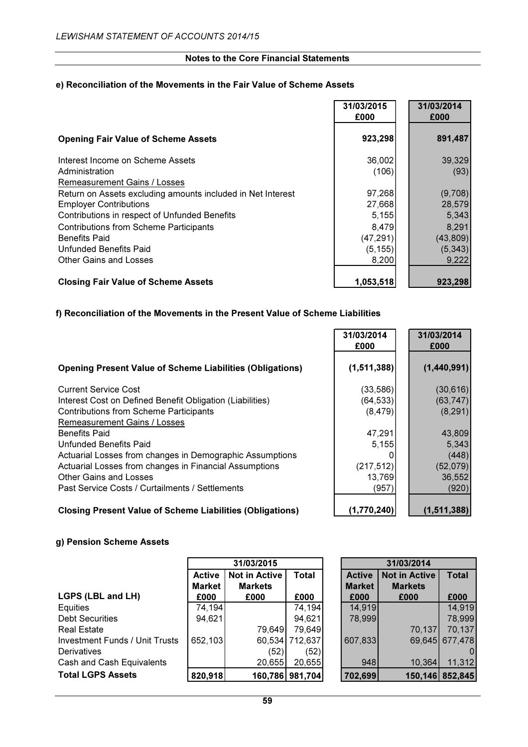# e) Reconciliation of the Movements in the Fair Value of Scheme Assets

|                                                                                                                        | 31/03/2015<br>£000          | 31/03/2014<br>£000          |
|------------------------------------------------------------------------------------------------------------------------|-----------------------------|-----------------------------|
| <b>Opening Fair Value of Scheme Assets</b>                                                                             | 923,298                     | 891,487                     |
| Interest Income on Scheme Assets<br>Administration<br>Remeasurement Gains / Losses                                     | 36,002<br>(106)             | 39,329<br>(93)              |
| Return on Assets excluding amounts included in Net Interest<br><b>Employer Contributions</b>                           | 97,268<br>27,668            | (9,708)<br>28,579           |
| Contributions in respect of Unfunded Benefits<br><b>Contributions from Scheme Participants</b><br><b>Benefits Paid</b> | 5,155<br>8,479<br>(47, 291) | 5,343<br>8,291<br>(43, 809) |
| Unfunded Benefits Paid<br>Other Gains and Losses                                                                       | (5, 155)<br>8,200           | (5, 343)<br>9,222           |
| <b>Closing Fair Value of Scheme Assets</b>                                                                             | 1,053,518                   | 923,298                     |

# f) Reconciliation of the Movements in the Present Value of Scheme Liabilities

|                                                                  | 31/03/2014<br>£000 | 31/03/2014<br>£000 |
|------------------------------------------------------------------|--------------------|--------------------|
| <b>Opening Present Value of Scheme Liabilities (Obligations)</b> | (1, 511, 388)      | (1,440,991)        |
| <b>Current Service Cost</b>                                      | (33, 586)          | (30, 616)          |
| Interest Cost on Defined Benefit Obligation (Liabilities)        | (64, 533)          | (63, 747)          |
| <b>Contributions from Scheme Participants</b>                    | (8, 479)           | (8, 291)           |
| Remeasurement Gains / Losses                                     |                    |                    |
| <b>Benefits Paid</b>                                             | 47,291             | 43,809             |
| <b>Unfunded Benefits Paid</b>                                    | 5,155              | 5,343              |
| Actuarial Losses from changes in Demographic Assumptions         |                    | (448)              |
| Actuarial Losses from changes in Financial Assumptions           | (217, 512)         | (52,079)           |
| <b>Other Gains and Losses</b>                                    | 13,769             | 36,552             |
| Past Service Costs / Curtailments / Settlements                  | (957)              | (920)              |
|                                                                  |                    |                    |

# Closing Present Value of Scheme Liabilities (Obligations) (1,770,240) (1,511,388)

# g) Pension Scheme Assets

|                                       |               | 31/03/2015     |                 | 31/03/2014    |                      |                |  |
|---------------------------------------|---------------|----------------|-----------------|---------------|----------------------|----------------|--|
|                                       | <b>Active</b> | Not in Active  | Total           | <b>Active</b> | <b>Not in Active</b> | <b>Total</b>   |  |
|                                       | <b>Market</b> | <b>Markets</b> |                 | <b>Market</b> | <b>Markets</b>       |                |  |
| LGPS (LBL and LH)                     | £000          | £000           | £000            | £000          | £000                 | £000           |  |
| Equities                              | 74,194        |                | 74,194          | 14,919        |                      | 14,919         |  |
| <b>Debt Securities</b>                | 94,621        |                | 94,621          | 78,999        |                      | 78,999         |  |
| <b>Real Estate</b>                    |               | 79,649         | 79,649          |               | 70,137               | 70,137         |  |
| <b>Investment Funds / Unit Trusts</b> | 652,103       |                | 60,534 712,637  | 607,833       |                      | 69,645 677,478 |  |
| <b>Derivatives</b>                    |               | (52)           | (52)            |               |                      | 0              |  |
| Cash and Cash Equivalents             |               | 20,655         | 20,655          | 948           | 10,364               | 11,312         |  |
| <b>Total LGPS Assets</b>              | 820,918       |                | 160,786 981,704 | 702,699       | 150,146 852,845      |                |  |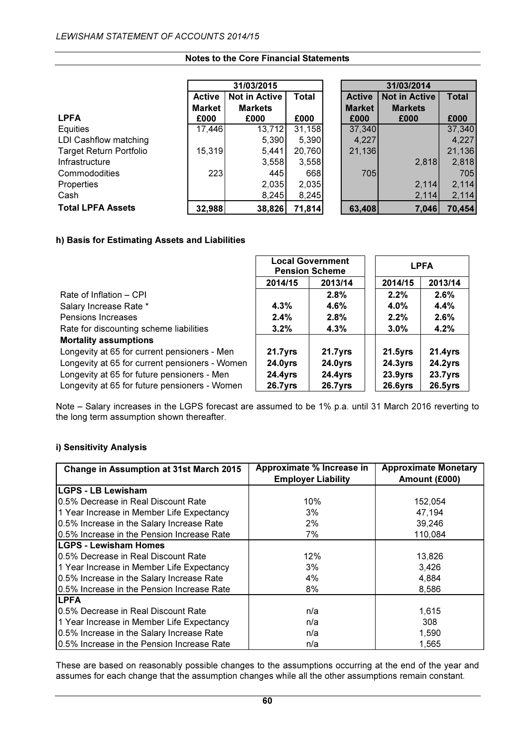|                                |               | 31/03/2015           |              | 31/03/2014    |                      |              |
|--------------------------------|---------------|----------------------|--------------|---------------|----------------------|--------------|
|                                | <b>Active</b> | <b>Not in Active</b> | <b>Total</b> | <b>Active</b> | <b>Not in Active</b> | <b>Total</b> |
|                                | <b>Market</b> | <b>Markets</b>       |              | <b>Market</b> | <b>Markets</b>       |              |
| <b>LPFA</b>                    | £000          | £000                 | £000         | £000          | £000                 | £000         |
| Equities                       | 17,446        | 13,712               | 31,158       | 37,340        |                      | 37,340       |
| LDI Cashflow matching          |               | 5,390                | 5,390        | 4,227         |                      | 4,227        |
| <b>Target Return Portfolio</b> | 15,319        | 5,441                | 20,760       | 21,136        |                      | 21,136       |
| Infrastructure                 |               | 3,558                | 3,558        |               | 2,818                | 2,818        |
| Commododities                  | 223           | 445                  | 668          | 705           |                      | 705          |
| Properties                     |               | 2,035                | 2,035        |               | 2,114                | 2,114        |
| Cash                           |               | 8,245                | 8,245        |               | 2,114                | 2,114        |
| <b>Total LPFA Assets</b>       | 32,988        | 38,826               | 71,814       | 63,408        | 7,046                | 70,454       |

# h) Basis for Estimating Assets and Liabilities

|                                                | <b>Local Government</b><br><b>Pension Scheme</b> |            | <b>LPFA</b>         |            |
|------------------------------------------------|--------------------------------------------------|------------|---------------------|------------|
|                                                | 2014/15                                          | 2013/14    | 2014/15             | 2013/14    |
| Rate of Inflation - CPI                        |                                                  | 2.8%       | 2.2%                | 2.6%       |
| Salary Increase Rate *                         | 4.3%                                             | $4.6\%$    | 4.0%                | 4.4%       |
| Pensions Increases                             | 2.4%                                             | 2.8%       | 2.2%                | 2.6%       |
| Rate for discounting scheme liabilities        | $3.2\%$                                          | 4.3%       | $3.0\%$             | 4.2%       |
| <b>Mortality assumptions</b>                   |                                                  |            |                     |            |
| Longevity at 65 for current pensioners - Men   | $21.7$ yrs                                       | $21.7$ yrs | $21.5$ yrs          | $21.4$ yrs |
| Longevity at 65 for current pensioners - Women | $24.0Y$ rs                                       | $24.0Y$ rs | $24.3Y$ rs          | $24.2Y$ rs |
| Longevity at 65 for future pensioners - Men    | $24.4$ yrs                                       | $24.4$ yrs | 23.9 <sub>yrs</sub> | $23.7$ yrs |
| Longevity at 65 for future pensioners - Women  | $26.7$ yrs                                       | $26.7$ yrs | $26.6$ yrs          | $26.5$ yrs |

Note – Salary increases in the LGPS forecast are assumed to be 1% p.a. until 31 March 2016 reverting to the long term assumption shown thereafter.

# i) Sensitivity Analysis

| <b>Change in Assumption at 31st March 2015</b> | Approximate % Increase in | <b>Approximate Monetary</b> |
|------------------------------------------------|---------------------------|-----------------------------|
|                                                | <b>Employer Liability</b> | Amount (£000)               |
| <b>LGPS - LB Lewisham</b>                      |                           |                             |
| 10.5% Decrease in Real Discount Rate           | 10%                       | 152,054                     |
| 1 Year Increase in Member Life Expectancy      | 3%                        | 47,194                      |
| 0.5% Increase in the Salary Increase Rate      | 2%                        | 39,246                      |
| 0.5% Increase in the Pension Increase Rate     | 7%                        | 110,084                     |
| <b>ILGPS - Lewisham Homes</b>                  |                           |                             |
| 10.5% Decrease in Real Discount Rate           | 12%                       | 13,826                      |
| 1 Year Increase in Member Life Expectancy      | 3%                        | 3,426                       |
| 0.5% Increase in the Salary Increase Rate      | 4%                        | 4,884                       |
| 0.5% Increase in the Pension Increase Rate     | 8%                        | 8,586                       |
| <b>LPFA</b>                                    |                           |                             |
| 10.5% Decrease in Real Discount Rate           | n/a                       | 1,615                       |
| 1 Year Increase in Member Life Expectancy      | n/a                       | 308                         |
| 0.5% Increase in the Salary Increase Rate      | n/a                       | 1,590                       |
| 0.5% Increase in the Pension Increase Rate     | n/a                       | 1,565                       |

These are based on reasonably possible changes to the assumptions occurring at the end of the year and assumes for each change that the assumption changes while all the other assumptions remain constant.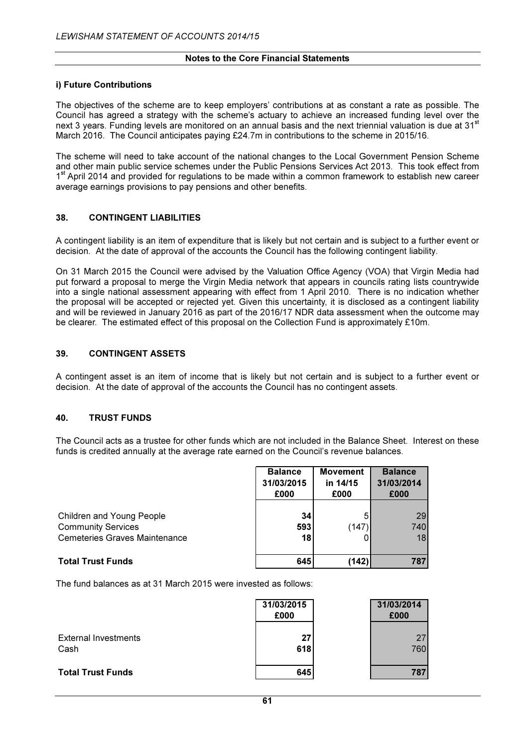#### i) Future Contributions

The objectives of the scheme are to keep employers' contributions at as constant a rate as possible. The Council has agreed a strategy with the scheme's actuary to achieve an increased funding level over the next 3 years. Funding levels are monitored on an annual basis and the next triennial valuation is due at 31<sup>st</sup> March 2016. The Council anticipates paying £24.7m in contributions to the scheme in 2015/16.

The scheme will need to take account of the national changes to the Local Government Pension Scheme and other main public service schemes under the Public Pensions Services Act 2013. This took effect from 1<sup>st</sup> April 2014 and provided for regulations to be made within a common framework to establish new career average earnings provisions to pay pensions and other benefits.

#### 38. CONTINGENT LIABILITIES

A contingent liability is an item of expenditure that is likely but not certain and is subject to a further event or decision. At the date of approval of the accounts the Council has the following contingent liability.

On 31 March 2015 the Council were advised by the Valuation Office Agency (VOA) that Virgin Media had put forward a proposal to merge the Virgin Media network that appears in councils rating lists countrywide into a single national assessment appearing with effect from 1 April 2010. There is no indication whether the proposal will be accepted or rejected yet. Given this uncertainty, it is disclosed as a contingent liability and will be reviewed in January 2016 as part of the 2016/17 NDR data assessment when the outcome may be clearer. The estimated effect of this proposal on the Collection Fund is approximately £10m.

#### 39. CONTINGENT ASSETS

A contingent asset is an item of income that is likely but not certain and is subject to a further event or decision. At the date of approval of the accounts the Council has no contingent assets.

#### 40. TRUST FUNDS

The Council acts as a trustee for other funds which are not included in the Balance Sheet. Interest on these funds is credited annually at the average rate earned on the Council's revenue balances.

|                                                                                                | <b>Balance</b><br>31/03/2015<br>£000 | <b>Movement</b><br>in 14/15<br>£000 | <b>Balance</b><br>31/03/2014<br>£000 |
|------------------------------------------------------------------------------------------------|--------------------------------------|-------------------------------------|--------------------------------------|
| Children and Young People<br><b>Community Services</b><br><b>Cemeteries Graves Maintenance</b> | 34<br>593<br>18                      | 5<br>(147                           | 29<br>740<br>18                      |
| <b>Total Trust Funds</b>                                                                       | 645                                  | (142)                               | 787                                  |

The fund balances as at 31 March 2015 were invested as follows:

|                                     | 31/03/2015<br>£000 | 31/03/2014<br>£000 |
|-------------------------------------|--------------------|--------------------|
| <b>External Investments</b><br>Cash | 27<br>618          | 27<br>760          |
| <b>Total Trust Funds</b>            | 645                | 787                |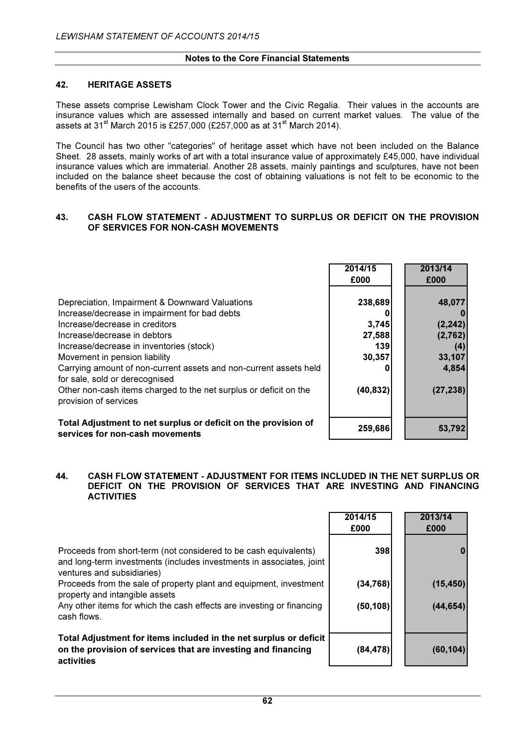#### 42. HERITAGE ASSETS

These assets comprise Lewisham Clock Tower and the Civic Regalia. Their values in the accounts are insurance values which are assessed internally and based on current market values. The value of the assets at 31<sup>st</sup> March 2015 is £257,000 (£257,000 as at 31<sup>st</sup> March 2014).

The Council has two other "categories" of heritage asset which have not been included on the Balance Sheet. 28 assets, mainly works of art with a total insurance value of approximately £45,000, have individual insurance values which are immaterial. Another 28 assets, mainly paintings and sculptures, have not been included on the balance sheet because the cost of obtaining valuations is not felt to be economic to the benefits of the users of the accounts.

#### 43. CASH FLOW STATEMENT - ADJUSTMENT TO SURPLUS OR DEFICIT ON THE PROVISION OF SERVICES FOR NON-CASH MOVEMENTS

|                                                                                                     | 2014/15<br>£000 | 2013/14<br>£000 |
|-----------------------------------------------------------------------------------------------------|-----------------|-----------------|
| Depreciation, Impairment & Downward Valuations                                                      | 238,689         | 48,077          |
| Increase/decrease in impairment for bad debts                                                       |                 |                 |
| Increase/decrease in creditors                                                                      | 3,745           | (2, 242)        |
| Increase/decrease in debtors                                                                        | 27,588          | (2,762)         |
| Increase/decrease in inventories (stock)                                                            | 139             | (4)             |
| Movement in pension liability                                                                       | 30,357          | 33,107          |
| Carrying amount of non-current assets and non-current assets held<br>for sale, sold or derecognised |                 | 4,854           |
| Other non-cash items charged to the net surplus or deficit on the<br>provision of services          | (40, 832)       | (27, 238)       |
| Total Adjustment to net surplus or deficit on the provision of<br>services for non-cash movements   | 259,686         | 53,792          |

#### 44. CASH FLOW STATEMENT - ADJUSTMENT FOR ITEMS INCLUDED IN THE NET SURPLUS OR DEFICIT ON THE PROVISION OF SERVICES THAT ARE INVESTING AND FINANCING **ACTIVITIES**

|                                                                                                                                                                        | 2014/15<br>£000 | 2013/14<br>£000 |
|------------------------------------------------------------------------------------------------------------------------------------------------------------------------|-----------------|-----------------|
| Proceeds from short-term (not considered to be cash equivalents)<br>and long-term investments (includes investments in associates, joint<br>ventures and subsidiaries) | 398             |                 |
| Proceeds from the sale of property plant and equipment, investment<br>property and intangible assets                                                                   | (34, 768)       | (15, 450)       |
| Any other items for which the cash effects are investing or financing<br>cash flows.                                                                                   | (50, 108)       | (44, 654)       |
| Total Adjustment for items included in the net surplus or deficit<br>on the provision of services that are investing and financing<br>activities                       | (84, 478)       | (60, 104)       |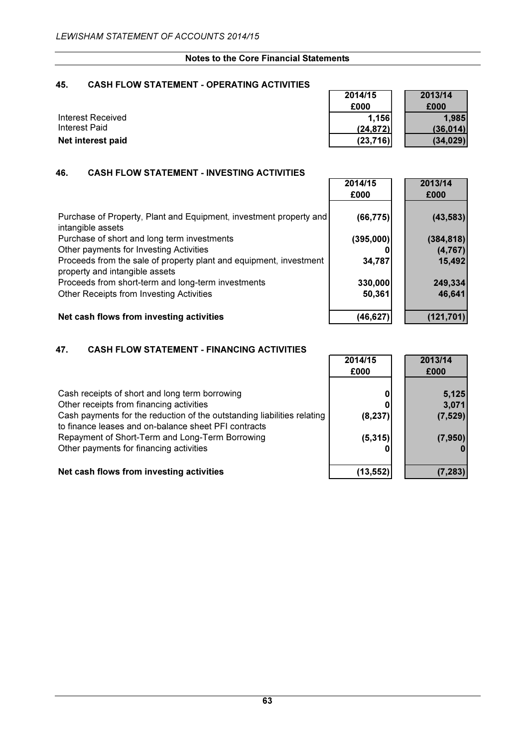$\overline{\phantom{0}}$  $\blacksquare$ 

> $\overline{\phantom{a}}$  $\overline{a}$

# 45. CASH FLOW STATEMENT - OPERATING ACTIVITIES

|                   | 2014/15   | 2013/14   |
|-------------------|-----------|-----------|
|                   | £000      | £000      |
| Interest Received | 1.156     | 1,985     |
| Interest Paid     | (24, 872) | (36.014)  |
| Net interest paid | (23,716)  | (34, 029) |

#### 46. CASH FLOW STATEMENT - INVESTING ACTIVITIES

|                                                                                                      | 2014/15<br>£000 | 2013/14<br>£000 |
|------------------------------------------------------------------------------------------------------|-----------------|-----------------|
| Purchase of Property, Plant and Equipment, investment property and<br>intangible assets              | (66, 775)       | (43, 583)       |
| Purchase of short and long term investments                                                          | (395,000)       | (384, 818)      |
| Other payments for Investing Activities                                                              |                 | (4, 767)        |
| Proceeds from the sale of property plant and equipment, investment<br>property and intangible assets | 34,787          | 15,492          |
| Proceeds from short-term and long-term investments                                                   | 330,000         | 249,334         |
| Other Receipts from Investing Activities                                                             | 50,361          | 46,641          |
| Net cash flows from investing activities                                                             | (46, 627)       | (121, 701)      |

# 47. CASH FLOW STATEMENT - FINANCING ACTIVITIES

|                                                                                                                                 | 2014/15<br>£000 | 2013/14<br>£000 |
|---------------------------------------------------------------------------------------------------------------------------------|-----------------|-----------------|
| Cash receipts of short and long term borrowing<br>Other receipts from financing activities                                      |                 | 5,125<br>3,071  |
| Cash payments for the reduction of the outstanding liabilities relating<br>to finance leases and on-balance sheet PFI contracts | (8, 237)        | (7, 529)        |
| Repayment of Short-Term and Long-Term Borrowing<br>Other payments for financing activities                                      | (5, 315)        | (7, 950)        |
| Net cash flows from investing activities                                                                                        | (13,552)        | (7, 283)        |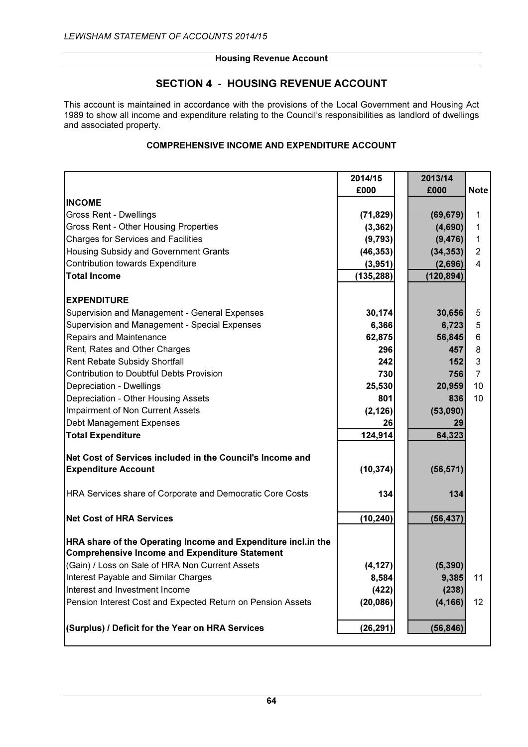# SECTION 4 - HOUSING REVENUE ACCOUNT

This account is maintained in accordance with the provisions of the Local Government and Housing Act 1989 to show all income and expenditure relating to the Council's responsibilities as landlord of dwellings and associated property.

# COMPREHENSIVE INCOME AND EXPENDITURE ACCOUNT

|                                                                                                                        | 2014/15    | 2013/14    |                |
|------------------------------------------------------------------------------------------------------------------------|------------|------------|----------------|
|                                                                                                                        | £000       | £000       | <b>Note</b>    |
| <b>INCOME</b>                                                                                                          |            |            |                |
| Gross Rent - Dwellings                                                                                                 | (71, 829)  | (69, 679)  | 1              |
| Gross Rent - Other Housing Properties                                                                                  | (3, 362)   | (4,690)    | $\mathbf{1}$   |
| <b>Charges for Services and Facilities</b>                                                                             | (9,793)    | (9, 476)   | $\mathbf{1}$   |
| Housing Subsidy and Government Grants                                                                                  | (46, 353)  | (34, 353)  | 2              |
| Contribution towards Expenditure                                                                                       | (3,951)    | (2,696)    | 4              |
| <b>Total Income</b>                                                                                                    | (135, 288) | (120, 894) |                |
|                                                                                                                        |            |            |                |
| <b>EXPENDITURE</b>                                                                                                     |            |            |                |
| Supervision and Management - General Expenses                                                                          | 30,174     | 30,656     | $\sqrt{5}$     |
| Supervision and Management - Special Expenses                                                                          | 6,366      | 6,723      | 5              |
| Repairs and Maintenance                                                                                                | 62,875     | 56,845     | 6              |
| Rent, Rates and Other Charges                                                                                          | 296        | 457        | 8              |
| Rent Rebate Subsidy Shortfall                                                                                          | 242        | 152        | 3              |
| <b>Contribution to Doubtful Debts Provision</b>                                                                        | 730        | 756        | $\overline{7}$ |
| Depreciation - Dwellings                                                                                               | 25,530     | 20,959     | 10             |
| Depreciation - Other Housing Assets                                                                                    | 801        | 836        | 10             |
| <b>Impairment of Non Current Assets</b>                                                                                | (2, 126)   | (53,090)   |                |
| Debt Management Expenses                                                                                               | 26         | 29         |                |
| <b>Total Expenditure</b>                                                                                               | 124,914    | 64,323     |                |
| Net Cost of Services included in the Council's Income and                                                              |            |            |                |
| <b>Expenditure Account</b>                                                                                             | (10, 374)  | (56, 571)  |                |
|                                                                                                                        |            |            |                |
| HRA Services share of Corporate and Democratic Core Costs                                                              | 134        | 134        |                |
|                                                                                                                        |            |            |                |
| <b>Net Cost of HRA Services</b>                                                                                        | (10, 240)  | (56, 437)  |                |
|                                                                                                                        |            |            |                |
| HRA share of the Operating Income and Expenditure incl.in the<br><b>Comprehensive Income and Expenditure Statement</b> |            |            |                |
| (Gain) / Loss on Sale of HRA Non Current Assets                                                                        |            |            |                |
|                                                                                                                        | (4, 127)   | (5, 390)   |                |
| Interest Payable and Similar Charges<br>Interest and Investment Income                                                 | 8,584      | 9,385      | 11             |
|                                                                                                                        | (422)      | (238)      |                |
| Pension Interest Cost and Expected Return on Pension Assets                                                            | (20, 086)  | (4, 166)   | 12             |
| (Surplus) / Deficit for the Year on HRA Services                                                                       | (26, 291)  | (56, 846)  |                |
|                                                                                                                        |            |            |                |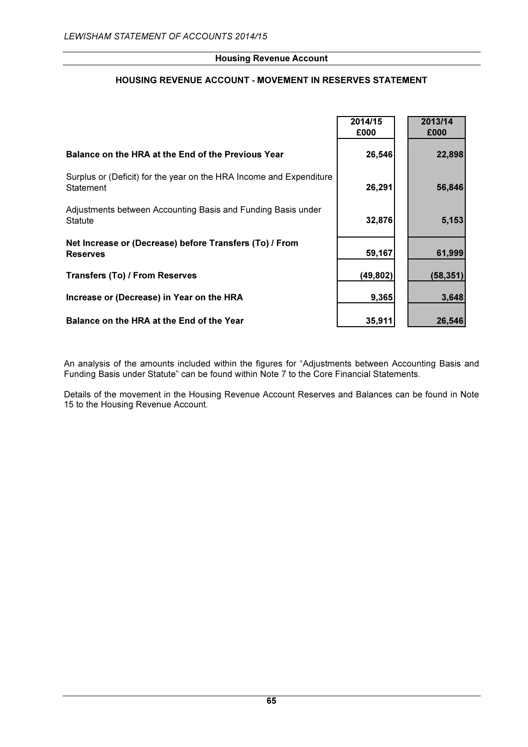# HOUSING REVENUE ACCOUNT - MOVEMENT IN RESERVES STATEMENT

|                                                                                  | 2014/15<br>£000 | 2013/14<br>£000 |
|----------------------------------------------------------------------------------|-----------------|-----------------|
| Balance on the HRA at the End of the Previous Year                               | 26,546          | 22,898          |
| Surplus or (Deficit) for the year on the HRA Income and Expenditure<br>Statement | 26,291          | 56,846          |
| Adjustments between Accounting Basis and Funding Basis under<br><b>Statute</b>   | 32,876          | 5,153           |
| Net Increase or (Decrease) before Transfers (To) / From<br><b>Reserves</b>       | 59,167          | 61,999          |
| <b>Transfers (To) / From Reserves</b>                                            | (49, 802)       | (58, 351)       |
| Increase or (Decrease) in Year on the HRA                                        | 9,365           | 3,648           |
| Balance on the HRA at the End of the Year                                        | 35,911          | 26,546          |

An analysis of the amounts included within the figures for "Adjustments between Accounting Basis and Funding Basis under Statute" can be found within Note 7 to the Core Financial Statements.

Details of the movement in the Housing Revenue Account Reserves and Balances can be found in Note 15 to the Housing Revenue Account.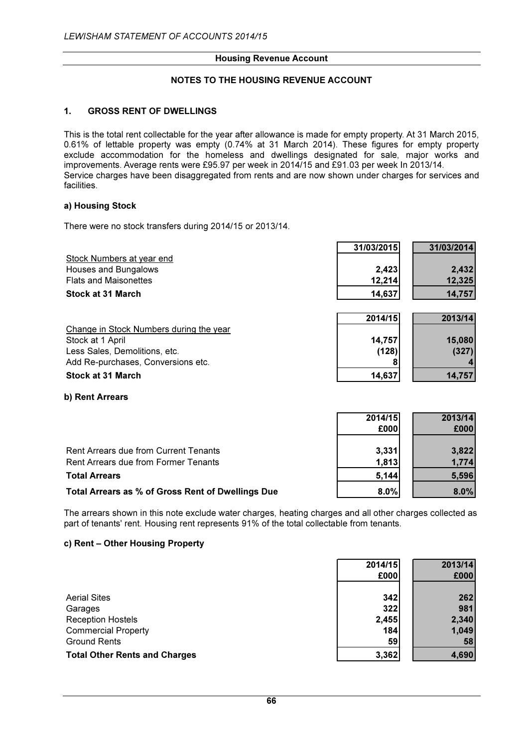# NOTES TO THE HOUSING REVENUE ACCOUNT

### 1. GROSS RENT OF DWELLINGS

This is the total rent collectable for the year after allowance is made for empty property. At 31 March 2015, 0.61% of lettable property was empty (0.74% at 31 March 2014). These figures for empty property exclude accommodation for the homeless and dwellings designated for sale, major works and improvements. Average rents were £95.97 per week in 2014/15 and £91.03 per week In 2013/14. Service charges have been disaggregated from rents and are now shown under charges for services and facilities.

#### a) Housing Stock

There were no stock transfers during 2014/15 or 2013/14.

|                                         | 31/03/2015 | 31/03/2014 |
|-----------------------------------------|------------|------------|
| Stock Numbers at year end               |            |            |
| Houses and Bungalows                    | 2,423      | 2,432      |
| <b>Flats and Maisonettes</b>            | 12,214     | 12,325     |
| Stock at 31 March                       | 14,637     | 14,757     |
|                                         |            |            |
|                                         | 2014/15    | 2013/14    |
| Change in Stock Numbers during the year |            |            |
| Stock at 1 April                        | 14,757     | 15,080     |
| Less Sales, Demolitions, etc.           | (128)      | (327)      |
| Add Re-purchases, Conversions etc.      |            |            |
| <b>Stock at 31 March</b>                | 14,637     | 14,757     |

#### b) Rent Arrears

|                                                   | 2014/15 | 2013/14 |
|---------------------------------------------------|---------|---------|
|                                                   | £000    | £000    |
| Rent Arrears due from Current Tenants             | 3,331   | 3,822   |
| Rent Arrears due from Former Tenants              | 1,813   | 1,774   |
| <b>Total Arrears</b>                              | 5,144   | 5,596   |
| Total Arrears as % of Gross Rent of Dwellings Due | 8.0%    | 8.0%    |

The arrears shown in this note exclude water charges, heating charges and all other charges collected as part of tenants' rent. Housing rent represents 91% of the total collectable from tenants.

#### c) Rent – Other Housing Property

|                                      | 2014/15 | 2013/14 |
|--------------------------------------|---------|---------|
|                                      | £000    | £000    |
|                                      |         |         |
| <b>Aerial Sites</b>                  | 342     | 262     |
| Garages                              | 322     | 981     |
| <b>Reception Hostels</b>             | 2,455   | 2,340   |
| <b>Commercial Property</b>           | 184     | 1,049   |
| <b>Ground Rents</b>                  | 59      | 58      |
| <b>Total Other Rents and Charges</b> | 3,362   | 4,690   |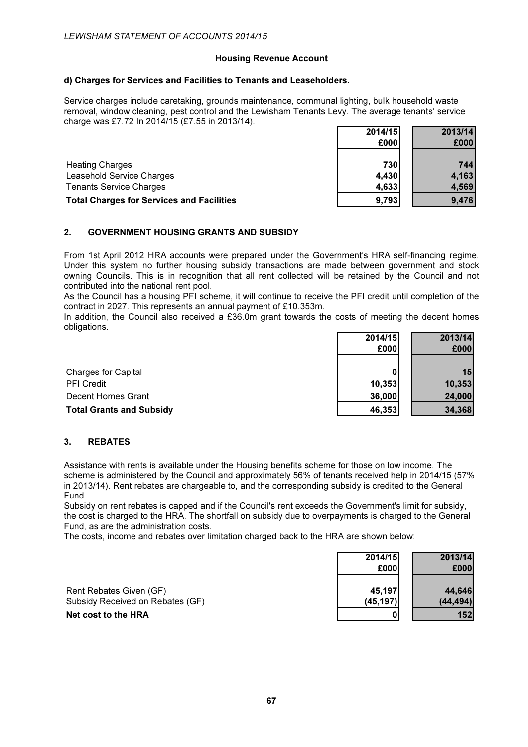#### d) Charges for Services and Facilities to Tenants and Leaseholders.

Service charges include caretaking, grounds maintenance, communal lighting, bulk household waste removal, window cleaning, pest control and the Lewisham Tenants Levy. The average tenants' service charge was £7.72 In 2014/15 (£7.55 in 2013/14). 2014/15 2013/14

|                                                  | 67. IT IV | 671 VI 171 |
|--------------------------------------------------|-----------|------------|
|                                                  | £000      | £000       |
| <b>Heating Charges</b>                           | 730       | 744        |
| Leasehold Service Charges                        | 4,430     | 4,163      |
| <b>Tenants Service Charges</b>                   | 4,633     | 4,569      |
| <b>Total Charges for Services and Facilities</b> | 9,793     | 9,476      |

# 2. GOVERNMENT HOUSING GRANTS AND SUBSIDY

From 1st April 2012 HRA accounts were prepared under the Government's HRA self-financing regime. Under this system no further housing subsidy transactions are made between government and stock owning Councils. This is in recognition that all rent collected will be retained by the Council and not contributed into the national rent pool.

As the Council has a housing PFI scheme, it will continue to receive the PFI credit until completion of the contract in 2027. This represents an annual payment of £10.353m.

In addition, the Council also received a £36.0m grant towards the costs of meeting the decent homes obligations.

|                                 | 2014/15 | 2013/14 |
|---------------------------------|---------|---------|
|                                 | £000    | £000    |
|                                 |         |         |
| <b>Charges for Capital</b>      |         | 15      |
| <b>PFI Credit</b>               | 10,353  | 10,353  |
| Decent Homes Grant              | 36,000  | 24,000  |
| <b>Total Grants and Subsidy</b> | 46,353  | 34,368  |

# 3. REBATES

Assistance with rents is available under the Housing benefits scheme for those on low income. The scheme is administered by the Council and approximately 56% of tenants received help in 2014/15 (57% in 2013/14). Rent rebates are chargeable to, and the corresponding subsidy is credited to the General Fund.

Subsidy on rent rebates is capped and if the Council's rent exceeds the Government's limit for subsidy, the cost is charged to the HRA. The shortfall on subsidy due to overpayments is charged to the General Fund, as are the administration costs.

The costs, income and rebates over limitation charged back to the HRA are shown below:

|                                  | 2014/15   | 2013/14   |
|----------------------------------|-----------|-----------|
|                                  | £000      | £000      |
|                                  |           |           |
| Rent Rebates Given (GF)          | 45,197    | 44,646    |
| Subsidy Received on Rebates (GF) | (45, 197) | (44, 494) |
| Net cost to the HRA              |           | 152       |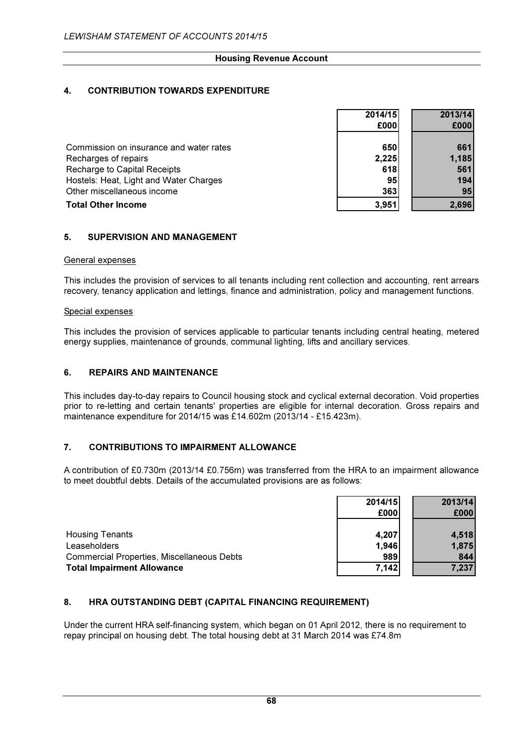# 4. CONTRIBUTION TOWARDS EXPENDITURE

|                                         | 2014/15         | 2013/14 |
|-----------------------------------------|-----------------|---------|
|                                         | £000            | £000    |
| Commission on insurance and water rates | 650             | 661     |
| Recharges of repairs                    | 2,225           | 1,185   |
| Recharge to Capital Receipts            | 618             | 561     |
| Hostels: Heat, Light and Water Charges  | 95 <sub>l</sub> | 194     |
| Other miscellaneous income              | 363             | 95      |
| <b>Total Other Income</b>               | 3,951           | 2,696   |

# 5. SUPERVISION AND MANAGEMENT

#### General expenses

This includes the provision of services to all tenants including rent collection and accounting, rent arrears recovery, tenancy application and lettings, finance and administration, policy and management functions.

#### Special expenses

This includes the provision of services applicable to particular tenants including central heating, metered energy supplies, maintenance of grounds, communal lighting, lifts and ancillary services.

#### 6. REPAIRS AND MAINTENANCE

This includes day-to-day repairs to Council housing stock and cyclical external decoration. Void properties prior to re-letting and certain tenants' properties are eligible for internal decoration. Gross repairs and maintenance expenditure for 2014/15 was £14.602m (2013/14 - £15.423m).

#### 7. CONTRIBUTIONS TO IMPAIRMENT ALLOWANCE

A contribution of £0.730m (2013/14 £0.756m) was transferred from the HRA to an impairment allowance to meet doubtful debts. Details of the accumulated provisions are as follows:

|                                                   | 2014/15 | 2013/14 |
|---------------------------------------------------|---------|---------|
|                                                   | £000    | £000    |
|                                                   |         |         |
| <b>Housing Tenants</b>                            | 4,207   | 4,518   |
| Leaseholders                                      | 1,946   | 1,875   |
| <b>Commercial Properties, Miscellaneous Debts</b> | 989     | 844     |
| <b>Total Impairment Allowance</b>                 | 7,142   | 7,237   |

# 8. HRA OUTSTANDING DEBT (CAPITAL FINANCING REQUIREMENT)

Under the current HRA self-financing system, which began on 01 April 2012, there is no requirement to repay principal on housing debt. The total housing debt at 31 March 2014 was £74.8m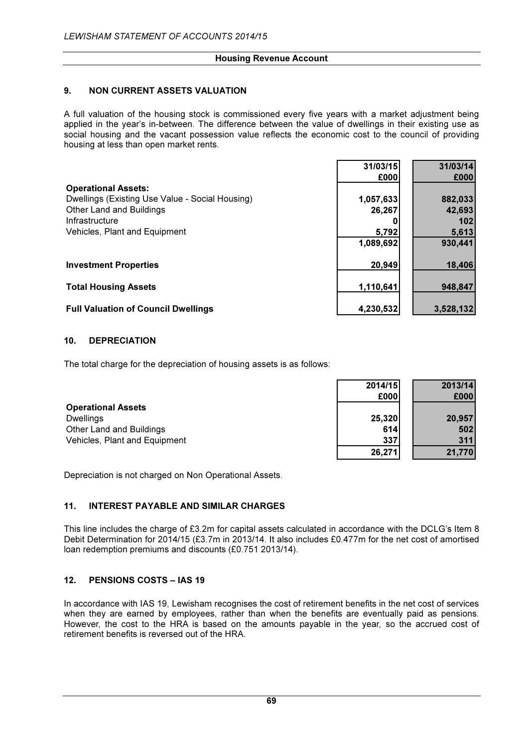# 9. NON CURRENT ASSETS VALUATION

A full valuation of the housing stock is commissioned every five years with a market adjustment being applied in the year's in-between. The difference between the value of dwellings in their existing use as social housing and the vacant possession value reflects the economic cost to the council of providing housing at less than open market rents.

|                                                 | 31/03/15  | 31/03/14  |
|-------------------------------------------------|-----------|-----------|
|                                                 | £000      | £000      |
| <b>Operational Assets:</b>                      |           |           |
| Dwellings (Existing Use Value - Social Housing) | 1,057,633 | 882,033   |
| <b>Other Land and Buildings</b>                 | 26,267    | 42,693    |
| Infrastructure                                  |           | 102       |
| Vehicles, Plant and Equipment                   | 5,792     | 5,613     |
|                                                 | 1,089,692 | 930,441   |
| <b>Investment Properties</b>                    | 20,949    | 18,406    |
| <b>Total Housing Assets</b>                     | 1,110,641 | 948,847   |
| <b>Full Valuation of Council Dwellings</b>      | 4,230,532 | 3,528,132 |

# 10. DEPRECIATION

The total charge for the depreciation of housing assets is as follows:

|                               | 2014/15 | 2013/14 |
|-------------------------------|---------|---------|
|                               | £000    | £000    |
| <b>Operational Assets</b>     |         |         |
| <b>Dwellings</b>              | 25,320  | 20,957  |
| Other Land and Buildings      | 614     | 502     |
| Vehicles, Plant and Equipment | 337     | 311     |
|                               | 26,271  | 21,770  |

Depreciation is not charged on Non Operational Assets.

# 11. INTEREST PAYABLE AND SIMILAR CHARGES

This line includes the charge of £3.2m for capital assets calculated in accordance with the DCLG's Item 8 Debit Determination for 2014/15 (£3.7m in 2013/14. It also includes £0.477m for the net cost of amortised loan redemption premiums and discounts (£0.751 2013/14).

# 12. PENSIONS COSTS – IAS 19

In accordance with IAS 19, Lewisham recognises the cost of retirement benefits in the net cost of services when they are earned by employees, rather than when the benefits are eventually paid as pensions. However, the cost to the HRA is based on the amounts payable in the year, so the accrued cost of retirement benefits is reversed out of the HRA.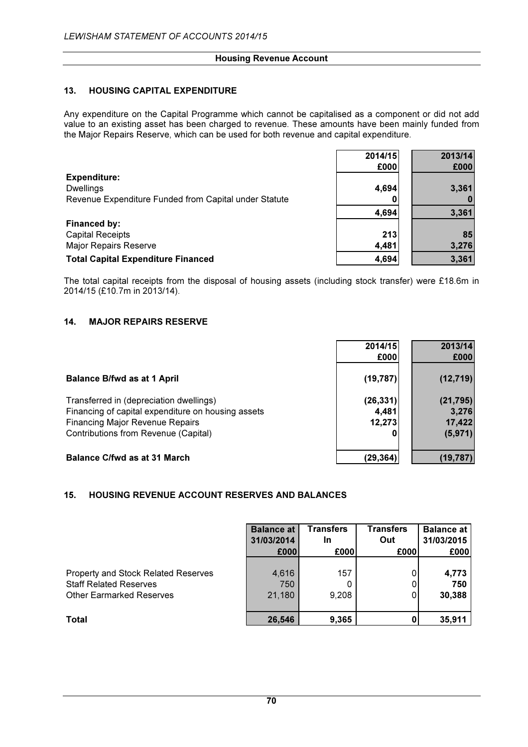### 13. HOUSING CAPITAL EXPENDITURE

Any expenditure on the Capital Programme which cannot be capitalised as a component or did not add value to an existing asset has been charged to revenue. These amounts have been mainly funded from the Major Repairs Reserve, which can be used for both revenue and capital expenditure.

|                                                       | 2014/15 | 2013/14 |
|-------------------------------------------------------|---------|---------|
|                                                       | £000    | £000    |
| <b>Expenditure:</b>                                   |         |         |
| <b>Dwellings</b>                                      | 4,694   | 3,361   |
| Revenue Expenditure Funded from Capital under Statute |         |         |
|                                                       | 4,694   | 3,361   |
| Financed by:                                          |         |         |
| <b>Capital Receipts</b>                               | 213     | 85      |
| <b>Major Repairs Reserve</b>                          | 4,481   | 3,276   |
| <b>Total Capital Expenditure Financed</b>             | 4,694   | 3,361   |

The total capital receipts from the disposal of housing assets (including stock transfer) were £18.6m in 2014/15 (£10.7m in 2013/14).

#### 14. MAJOR REPAIRS RESERVE

|                                                    | 2014/15   | 2013/14   |
|----------------------------------------------------|-----------|-----------|
|                                                    | £000      | £000      |
| <b>Balance B/fwd as at 1 April</b>                 | (19, 787) | (12, 719) |
| Transferred in (depreciation dwellings)            | (26, 331) | (21, 795) |
| Financing of capital expenditure on housing assets | 4,481     | 3,276     |
| <b>Financing Major Revenue Repairs</b>             | 12,273    | 17,422    |
| Contributions from Revenue (Capital)               |           | (5, 971)  |
|                                                    |           |           |
| <b>Balance C/fwd as at 31 March</b>                | (29,364)  | (19,787)  |

#### 15. HOUSING REVENUE ACCOUNT RESERVES AND BALANCES

|                                     | <b>Balance at</b> | Transfers | Transfers | <b>Balance at</b> |
|-------------------------------------|-------------------|-----------|-----------|-------------------|
|                                     | 31/03/2014        | In        | Out       | 31/03/2015        |
|                                     | £000              | £000      | £000      | £000              |
| Property and Stock Related Reserves | 4,616             | 157       | 0         | 4,773             |
| <b>Staff Related Reserves</b>       | 750               | 0         |           | 750               |
| <b>Other Earmarked Reserves</b>     | 21,180            | 9,208     |           | 30,388            |
| Total                               | 26,546            | 9,365     | 0         | 35,911            |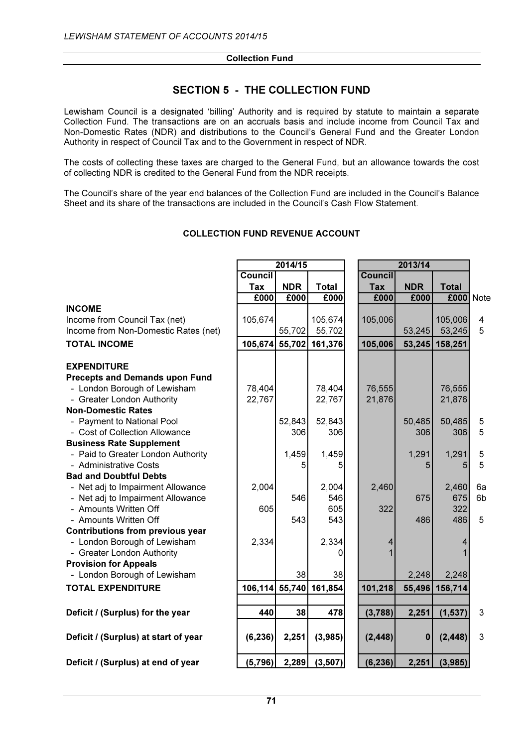#### Collection Fund

# SECTION 5 - THE COLLECTION FUND

Lewisham Council is a designated 'billing' Authority and is required by statute to maintain a separate Collection Fund. The transactions are on an accruals basis and include income from Council Tax and Non-Domestic Rates (NDR) and distributions to the Council's General Fund and the Greater London Authority in respect of Council Tax and to the Government in respect of NDR.

The costs of collecting these taxes are charged to the General Fund, but an allowance towards the cost of collecting NDR is credited to the General Fund from the NDR receipts.

The Council's share of the year end balances of the Collection Fund are included in the Council's Balance Sheet and its share of the transactions are included in the Council's Cash Flow Statement.

|                                         | 2014/15        |            |                        | 2013/14        |            |                |                         |
|-----------------------------------------|----------------|------------|------------------------|----------------|------------|----------------|-------------------------|
|                                         | <b>Council</b> |            |                        | <b>Council</b> |            |                |                         |
|                                         | <b>Tax</b>     | <b>NDR</b> | <b>Total</b>           | <b>Tax</b>     | <b>NDR</b> | <b>Total</b>   |                         |
|                                         | £000           | £000       | £000                   | £000           | £000       | £000           | <b>Note</b>             |
| <b>INCOME</b>                           |                |            |                        |                |            |                |                         |
| Income from Council Tax (net)           | 105,674        |            | 105,674                | 105,006        |            | 105,006        | $\overline{\mathbf{4}}$ |
| Income from Non-Domestic Rates (net)    |                | 55,702     | 55,702                 |                | 53,245     | 53,245         | 5                       |
| <b>TOTAL INCOME</b>                     | 105,674 55,702 |            | 161,376                | 105,006        |            | 53,245 158,251 |                         |
| <b>EXPENDITURE</b>                      |                |            |                        |                |            |                |                         |
| <b>Precepts and Demands upon Fund</b>   |                |            |                        |                |            |                |                         |
| - London Borough of Lewisham            | 78,404         |            | 78,404                 | 76,555         |            | 76,555         |                         |
| - Greater London Authority              | 22,767         |            | 22,767                 | 21,876         |            | 21,876         |                         |
| <b>Non-Domestic Rates</b>               |                |            |                        |                |            |                |                         |
| - Payment to National Pool              |                | 52,843     | 52,843                 |                | 50,485     | 50,485         | 5                       |
| - Cost of Collection Allowance          |                | 306        | 306                    |                | 306        | 306            | 5                       |
| <b>Business Rate Supplement</b>         |                |            |                        |                |            |                |                         |
| - Paid to Greater London Authority      |                | 1,459      | 1,459                  |                | 1,291      | 1,291          | 5                       |
| - Administrative Costs                  |                | 5          | 5                      |                | 5          |                | 5                       |
| <b>Bad and Doubtful Debts</b>           |                |            |                        |                |            |                |                         |
| - Net adj to Impairment Allowance       | 2,004          |            | 2,004                  | 2,460          |            | 2,460          | 6a                      |
| - Net adj to Impairment Allowance       |                | 546        | 546                    |                | 675        | 675            | 6b                      |
| - Amounts Written Off                   | 605            |            | 605                    | 322            |            | 322            |                         |
| - Amounts Written Off                   |                | 543        | 543                    |                | 486        | 486            | 5                       |
| <b>Contributions from previous year</b> |                |            |                        |                |            |                |                         |
| - London Borough of Lewisham            | 2,334          |            | 2,334                  | 4              |            |                |                         |
| - Greater London Authority              |                |            | 0                      |                |            |                |                         |
| <b>Provision for Appeals</b>            |                |            |                        |                |            |                |                         |
| - London Borough of Lewisham            |                | 38         | 38                     |                | 2,248      | 2,248          |                         |
| <b>TOTAL EXPENDITURE</b>                |                |            | 106,114 55,740 161,854 | 101,218        |            | 55,496 156,714 |                         |
|                                         |                |            |                        |                |            |                |                         |
| Deficit / (Surplus) for the year        | 440            | 38         | 478                    | (3,788)        | 2,251      | (1, 537)       | 3                       |
| Deficit / (Surplus) at start of year    | (6, 236)       | 2,251      | (3,985)                | (2, 448)       | $\bf{0}$   | (2, 448)       | 3                       |
| Deficit / (Surplus) at end of year      | (5,796)        | 2,289      | (3, 507)               | (6, 236)       | 2,251      | (3,985)        |                         |

# COLLECTION FUND REVENUE ACCOUNT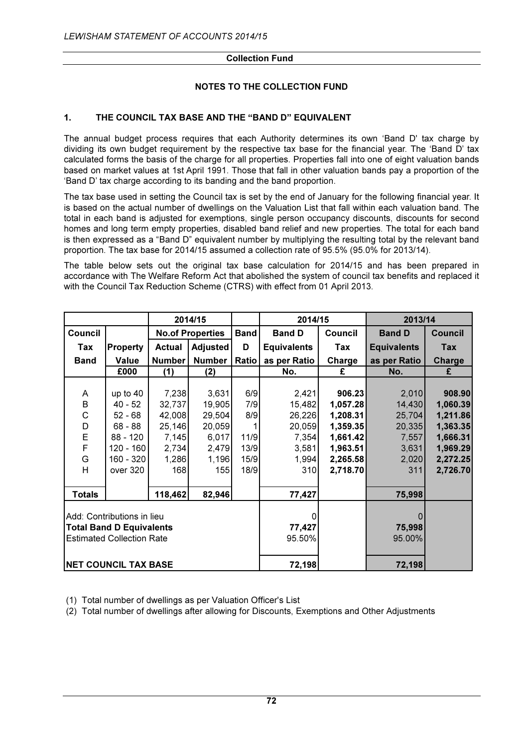#### Collection Fund

# NOTES TO THE COLLECTION FUND

# 1. THE COUNCIL TAX BASE AND THE "BAND D" EQUIVALENT

The annual budget process requires that each Authority determines its own 'Band D' tax charge by dividing its own budget requirement by the respective tax base for the financial year. The 'Band D' tax calculated forms the basis of the charge for all properties. Properties fall into one of eight valuation bands based on market values at 1st April 1991. Those that fall in other valuation bands pay a proportion of the 'Band D' tax charge according to its banding and the band proportion.

The tax base used in setting the Council tax is set by the end of January for the following financial year. It is based on the actual number of dwellings on the Valuation List that fall within each valuation band. The total in each band is adjusted for exemptions, single person occupancy discounts, discounts for second homes and long term empty properties, disabled band relief and new properties. The total for each band is then expressed as a "Band D" equivalent number by multiplying the resulting total by the relevant band proportion. The tax base for 2014/15 assumed a collection rate of 95.5% (95.0% for 2013/14).

The table below sets out the original tax base calculation for 2014/15 and has been prepared in accordance with The Welfare Reform Act that abolished the system of council tax benefits and replaced it with the Council Tax Reduction Scheme (CTRS) with effect from 01 April 2013.

|               |                                  | 2014/15       |                         |             | 2014/15            |          | 2013/14            |                |
|---------------|----------------------------------|---------------|-------------------------|-------------|--------------------|----------|--------------------|----------------|
| Council       |                                  |               | <b>No.of Properties</b> | <b>Band</b> | <b>Band D</b>      | Council  | <b>Band D</b>      | <b>Council</b> |
| Tax           | <b>Property</b>                  | <b>Actual</b> | Adjusted                | D           | <b>Equivalents</b> | Tax      | <b>Equivalents</b> | Tax            |
| <b>Band</b>   | <b>Value</b>                     | <b>Number</b> | <b>Number</b>           | Ratio       | as per Ratio       | Charge   | as per Ratio       | <b>Charge</b>  |
|               | £000                             | (1)           | (2)                     |             | No.                | £        | No.                | £              |
|               |                                  |               |                         |             |                    |          |                    |                |
| Α             | up to $40$                       | 7,238         | 3,631                   | 6/9         | 2,421              | 906.23   | 2,010              | 908.90         |
| $\mathsf B$   | $40 - 52$                        | 32,737        | 19,905                  | 7/9         | 15,482             | 1,057.28 | 14,430             | 1,060.39       |
| C             | $52 - 68$                        | 42,008        | 29,504                  | 8/9         | 26,226             | 1,208.31 | 25,704             | 1,211.86       |
| D             | $68 - 88$                        | 25,146        | 20,059                  |             | 20,059             | 1,359.35 | 20,335             | 1,363.35       |
| $\mathsf{E}$  | 88 - 120                         | 7,145         | 6,017                   | 11/9        | 7,354              | 1,661.42 | 7,557              | 1,666.31       |
| F             | 120 - 160                        | 2,734         | 2,479                   | 13/9        | 3,581              | 1,963.51 | 3,631              | 1,969.29       |
| G             | 160 - 320                        | 1,286         | 1,196                   | 15/9        | 1,994              | 2,265.58 | 2,020              | 2,272.25       |
| H             | over 320                         | 168           | 155                     | 18/9        | 310                | 2,718.70 | 311                | 2,726.70       |
|               |                                  |               |                         |             |                    |          |                    |                |
| <b>Totals</b> |                                  | 118,462       | 82,946                  |             | 77,427             |          | 75,998             |                |
|               |                                  |               |                         |             |                    |          |                    |                |
|               | Add: Contributions in lieu       |               |                         |             |                    |          |                    |                |
|               | <b>Total Band D Equivalents</b>  |               |                         |             | 77,427             |          | 75,998             |                |
|               | <b>Estimated Collection Rate</b> |               |                         |             | 95.50%             |          | 95.00%             |                |
|               |                                  |               |                         |             |                    |          |                    |                |
|               | <b>NET COUNCIL TAX BASE</b>      |               |                         |             | 72,198             |          | 72,198             |                |

(1) Total number of dwellings as per Valuation Officer's List

(2) Total number of dwellings after allowing for Discounts, Exemptions and Other Adjustments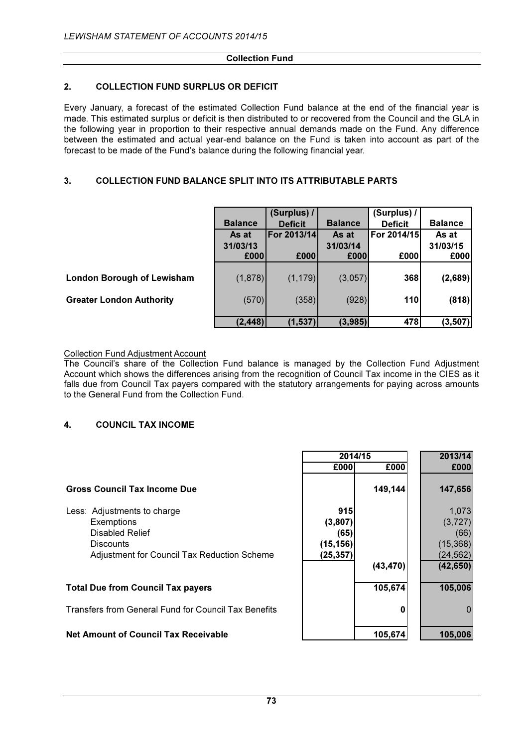#### Collection Fund

# 2. COLLECTION FUND SURPLUS OR DEFICIT

Every January, a forecast of the estimated Collection Fund balance at the end of the financial year is made. This estimated surplus or deficit is then distributed to or recovered from the Council and the GLA in the following year in proportion to their respective annual demands made on the Fund. Any difference between the estimated and actual year-end balance on the Fund is taken into account as part of the forecast to be made of the Fund's balance during the following financial year.

# 3. COLLECTION FUND BALANCE SPLIT INTO ITS ATTRIBUTABLE PARTS

|                                   |                | (Surplus) /         |                | (Surplus) /    |                |
|-----------------------------------|----------------|---------------------|----------------|----------------|----------------|
|                                   | <b>Balance</b> | <b>Deficit</b>      | <b>Balance</b> | <b>Deficit</b> | <b>Balance</b> |
|                                   | As at          | <b>IFor 2013/14</b> | As at          | For 2014/15    | As at          |
|                                   | 31/03/13       |                     | 31/03/14       |                | 31/03/15       |
|                                   | £000           | £000                | £000           | £000           | £000           |
|                                   |                |                     |                |                |                |
| <b>London Borough of Lewisham</b> | (1,878)        | (1, 179)            | (3,057)        | 368            | (2,689)        |
|                                   |                |                     |                |                |                |
| <b>Greater London Authority</b>   | (570)          | (358)               | (928)          | 110            | (818)          |
|                                   |                |                     |                |                |                |
|                                   | (2, 448)       | (1, 537)            | (3,985)        | 478            | (3, 507)       |

Collection Fund Adjustment Account

The Council's share of the Collection Fund balance is managed by the Collection Fund Adjustment Account which shows the differences arising from the recognition of Council Tax income in the CIES as it falls due from Council Tax payers compared with the statutory arrangements for paying across amounts to the General Fund from the Collection Fund.

# 4. COUNCIL TAX INCOME

|                                                      | 2014/15   |           | 2013/14   |
|------------------------------------------------------|-----------|-----------|-----------|
|                                                      | £000      | £000      | £000      |
| <b>Gross Council Tax Income Due</b>                  |           | 149,144   | 147,656   |
| Less: Adjustments to charge                          | 915       |           | 1,073     |
| Exemptions                                           | (3,807)   |           | (3, 727)  |
| <b>Disabled Relief</b>                               | (65)      |           | (66)      |
| <b>Discounts</b>                                     | (15, 156) |           | (15, 368) |
| Adjustment for Council Tax Reduction Scheme          | (25,357   |           | (24, 562) |
|                                                      |           | (43, 470) | (42, 650) |
| <b>Total Due from Council Tax payers</b>             |           | 105,674   | 105,006   |
| Transfers from General Fund for Council Tax Benefits |           | 0         |           |

## Net Amount of Council Tax Receivable 105,674 105,006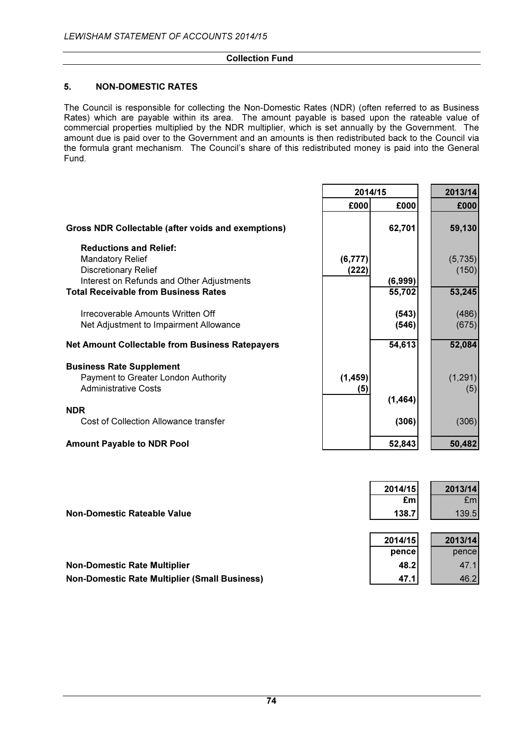## Collection Fund

# 5. NON-DOMESTIC RATES

The Council is responsible for collecting the Non-Domestic Rates (NDR) (often referred to as Business Rates) which are payable within its area. The amount payable is based upon the rateable value of commercial properties multiplied by the NDR multiplier, which is set annually by the Government. The amount due is paid over to the Government and an amounts is then redistributed back to the Council via the formula grant mechanism. The Council's share of this redistributed money is paid into the General Fund.

|                                                                                                       | 2014/15          |                   | 2013/14          |
|-------------------------------------------------------------------------------------------------------|------------------|-------------------|------------------|
|                                                                                                       | £000             | £000              | £000             |
| Gross NDR Collectable (after voids and exemptions)                                                    |                  | 62,701            | 59,130           |
| <b>Reductions and Relief:</b><br><b>Mandatory Relief</b><br><b>Discretionary Relief</b>               | (6,777)<br>(222) |                   | (5,735)<br>(150) |
| Interest on Refunds and Other Adjustments<br><b>Total Receivable from Business Rates</b>              |                  | (6,999)<br>55,702 | 53,245           |
| Irrecoverable Amounts Written Off<br>Net Adjustment to Impairment Allowance                           |                  | (543)<br>(546)    | (486)<br>(675)   |
| <b>Net Amount Collectable from Business Ratepayers</b>                                                |                  | 54,613            | 52,084           |
| <b>Business Rate Supplement</b><br>Payment to Greater London Authority<br><b>Administrative Costs</b> | (1, 459)<br>(5)  |                   | (1, 291)<br>(5)  |
| <b>NDR</b>                                                                                            |                  | (1, 464)          |                  |
| Cost of Collection Allowance transfer                                                                 |                  | (306)             | (306)            |
| <b>Amount Payable to NDR Pool</b>                                                                     |                  | 52,843            | 50,482           |

|                                                      | 2014/15<br>£m | 2013/14<br>Em |
|------------------------------------------------------|---------------|---------------|
| <b>Non-Domestic Rateable Value</b>                   | 138.7         | 139.5         |
|                                                      |               |               |
|                                                      | 2014/15       | 2013/14       |
|                                                      | pencel        | pencel        |
| <b>Non-Domestic Rate Multiplier</b>                  | 48.2          | 47.1          |
| <b>Non-Domestic Rate Multiplier (Small Business)</b> | 47.1          | 46.2          |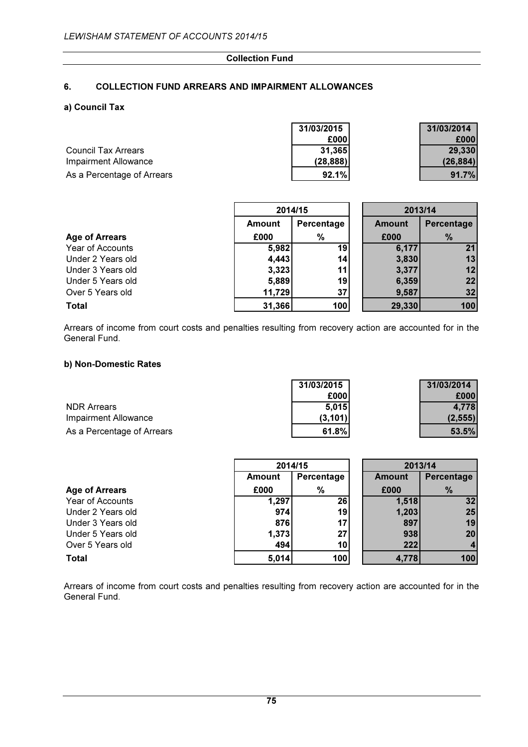#### Collection Fund

# 6. COLLECTION FUND ARREARS AND IMPAIRMENT ALLOWANCES

## a) Council Tax

|                            | 31/03/2015 | 31/03/2014 |
|----------------------------|------------|------------|
|                            | £000l      | £0001      |
| <b>Council Tax Arrears</b> | 31,365     | 29,330     |
| Impairment Allowance       | (28, 888)  | (26.884)   |
| As a Percentage of Arrears | 92.1%      | 91.7%      |

|                       |               | 2014/15    | 2013/14       |               |
|-----------------------|---------------|------------|---------------|---------------|
|                       | <b>Amount</b> | Percentage | <b>Amount</b> | Percentage    |
| <b>Age of Arrears</b> | £000          | %          | £000          | $\frac{9}{6}$ |
| Year of Accounts      | 5,982         | 19         | 6,177         | 21            |
| Under 2 Years old     | 4,443         | 14         | 3,830         | 13            |
| Under 3 Years old     | 3,323         | 11         | 3,377         | 12            |
| Under 5 Years old     | 5,889         | 19         | 6,359         | 22            |
| Over 5 Years old      | 11,729        | 37         | 9,587         | 32            |
| <b>Total</b>          | 31,366        | 100        | 29,330        | 100           |

Arrears of income from court costs and penalties resulting from recovery action are accounted for in the General Fund.

## b) Non-Domestic Rates

|                            | 31/03/2015 | 31/03/2014 |
|----------------------------|------------|------------|
|                            | £000l      | £000       |
| <b>NDR Arrears</b>         | 5.015      | 4.778      |
| Impairment Allowance       | (3, 101)   | (2.555)    |
| As a Percentage of Arrears | 61.8%      | 53.5%      |

|                       | 2014/15 |            | 2013/14 |            |
|-----------------------|---------|------------|---------|------------|
|                       | Amount  | Percentage | Amount  | Percentage |
| <b>Age of Arrears</b> | £000    | %          | £000    | %          |
| Year of Accounts      | 1,297   | 26         | 1,518   | 32         |
| Under 2 Years old     | 974     | 19         | 1,203   | 25         |
| Under 3 Years old     | 876     | 17         | 897     | 19         |
| Under 5 Years old     | 1,373   | 27         | 938     | 20         |
| Over 5 Years old      | 494     | 10         | 222     |            |
| <b>Total</b>          | 5,014   | 100        | 4,778   | 100        |

Arrears of income from court costs and penalties resulting from recovery action are accounted for in the General Fund.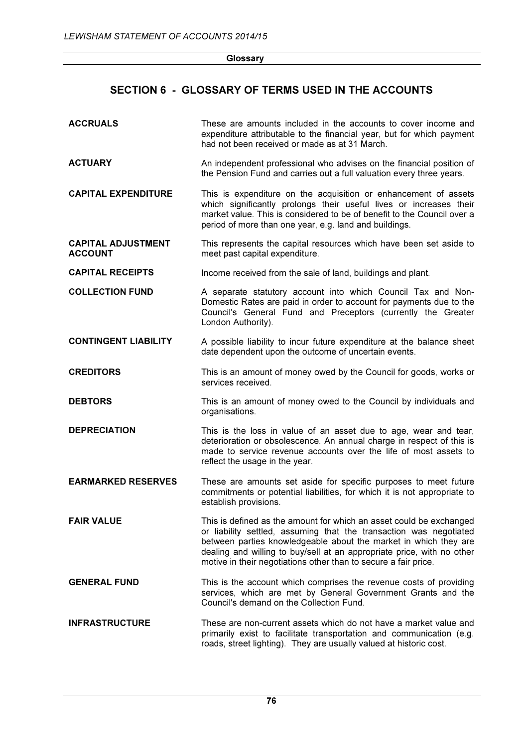| Glossary |
|----------|
|          |

# SECTION 6 - GLOSSARY OF TERMS USED IN THE ACCOUNTS

| <b>ACCRUALS</b>                             | These are amounts included in the accounts to cover income and<br>expenditure attributable to the financial year, but for which payment<br>had not been received or made as at 31 March.                                                                                                                                                                   |
|---------------------------------------------|------------------------------------------------------------------------------------------------------------------------------------------------------------------------------------------------------------------------------------------------------------------------------------------------------------------------------------------------------------|
| <b>ACTUARY</b>                              | An independent professional who advises on the financial position of<br>the Pension Fund and carries out a full valuation every three years.                                                                                                                                                                                                               |
| <b>CAPITAL EXPENDITURE</b>                  | This is expenditure on the acquisition or enhancement of assets<br>which significantly prolongs their useful lives or increases their<br>market value. This is considered to be of benefit to the Council over a<br>period of more than one year, e.g. land and buildings.                                                                                 |
| <b>CAPITAL ADJUSTMENT</b><br><b>ACCOUNT</b> | This represents the capital resources which have been set aside to<br>meet past capital expenditure.                                                                                                                                                                                                                                                       |
| <b>CAPITAL RECEIPTS</b>                     | Income received from the sale of land, buildings and plant.                                                                                                                                                                                                                                                                                                |
| <b>COLLECTION FUND</b>                      | A separate statutory account into which Council Tax and Non-<br>Domestic Rates are paid in order to account for payments due to the<br>Council's General Fund and Preceptors (currently the Greater<br>London Authority).                                                                                                                                  |
| <b>CONTINGENT LIABILITY</b>                 | A possible liability to incur future expenditure at the balance sheet<br>date dependent upon the outcome of uncertain events.                                                                                                                                                                                                                              |
| <b>CREDITORS</b>                            | This is an amount of money owed by the Council for goods, works or<br>services received.                                                                                                                                                                                                                                                                   |
| <b>DEBTORS</b>                              | This is an amount of money owed to the Council by individuals and<br>organisations.                                                                                                                                                                                                                                                                        |
| <b>DEPRECIATION</b>                         | This is the loss in value of an asset due to age, wear and tear,<br>deterioration or obsolescence. An annual charge in respect of this is<br>made to service revenue accounts over the life of most assets to<br>reflect the usage in the year.                                                                                                            |
| <b>EARMARKED RESERVES</b>                   | These are amounts set aside for specific purposes to meet future<br>commitments or potential liabilities, for which it is not appropriate to<br>establish provisions.                                                                                                                                                                                      |
| <b>FAIR VALUE</b>                           | This is defined as the amount for which an asset could be exchanged<br>or liability settled, assuming that the transaction was negotiated<br>between parties knowledgeable about the market in which they are<br>dealing and willing to buy/sell at an appropriate price, with no other<br>motive in their negotiations other than to secure a fair price. |
| <b>GENERAL FUND</b>                         | This is the account which comprises the revenue costs of providing<br>services, which are met by General Government Grants and the<br>Council's demand on the Collection Fund.                                                                                                                                                                             |
| <b>INFRASTRUCTURE</b>                       | These are non-current assets which do not have a market value and<br>primarily exist to facilitate transportation and communication (e.g.<br>roads, street lighting). They are usually valued at historic cost.                                                                                                                                            |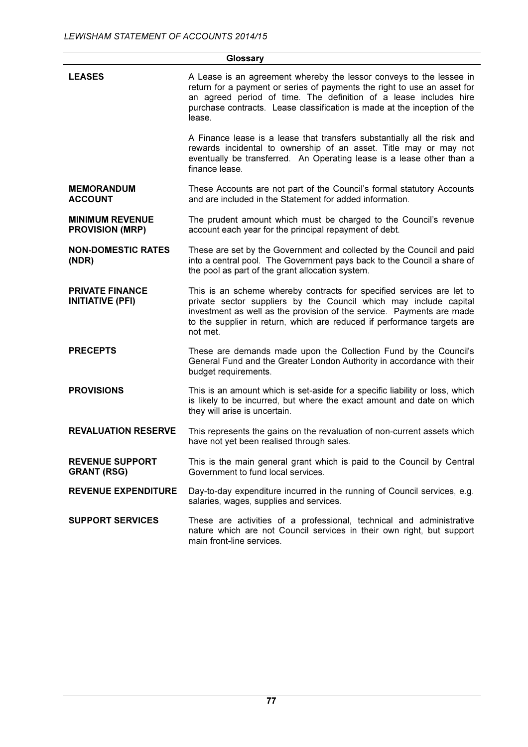|                                                   | Glossary                                                                                                                                                                                                                                                                                                   |
|---------------------------------------------------|------------------------------------------------------------------------------------------------------------------------------------------------------------------------------------------------------------------------------------------------------------------------------------------------------------|
| <b>LEASES</b>                                     | A Lease is an agreement whereby the lessor conveys to the lessee in<br>return for a payment or series of payments the right to use an asset for<br>an agreed period of time. The definition of a lease includes hire<br>purchase contracts. Lease classification is made at the inception of the<br>lease. |
|                                                   | A Finance lease is a lease that transfers substantially all the risk and<br>rewards incidental to ownership of an asset. Title may or may not<br>eventually be transferred. An Operating lease is a lease other than a<br>finance lease.                                                                   |
| <b>MEMORANDUM</b><br><b>ACCOUNT</b>               | These Accounts are not part of the Council's formal statutory Accounts<br>and are included in the Statement for added information.                                                                                                                                                                         |
| <b>MINIMUM REVENUE</b><br><b>PROVISION (MRP)</b>  | The prudent amount which must be charged to the Council's revenue<br>account each year for the principal repayment of debt.                                                                                                                                                                                |
| <b>NON-DOMESTIC RATES</b><br>(NDR)                | These are set by the Government and collected by the Council and paid<br>into a central pool. The Government pays back to the Council a share of<br>the pool as part of the grant allocation system.                                                                                                       |
| <b>PRIVATE FINANCE</b><br><b>INITIATIVE (PFI)</b> | This is an scheme whereby contracts for specified services are let to<br>private sector suppliers by the Council which may include capital<br>investment as well as the provision of the service. Payments are made<br>to the supplier in return, which are reduced if performance targets are<br>not met. |
| <b>PRECEPTS</b>                                   | These are demands made upon the Collection Fund by the Council's<br>General Fund and the Greater London Authority in accordance with their<br>budget requirements.                                                                                                                                         |
| <b>PROVISIONS</b>                                 | This is an amount which is set-aside for a specific liability or loss, which<br>is likely to be incurred, but where the exact amount and date on which<br>they will arise is uncertain.                                                                                                                    |
| <b>REVALUATION RESERVE</b>                        | This represents the gains on the revaluation of non-current assets which<br>have not yet been realised through sales.                                                                                                                                                                                      |
| <b>REVENUE SUPPORT</b><br><b>GRANT (RSG)</b>      | This is the main general grant which is paid to the Council by Central<br>Government to fund local services.                                                                                                                                                                                               |
| <b>REVENUE EXPENDITURE</b>                        | Day-to-day expenditure incurred in the running of Council services, e.g.<br>salaries, wages, supplies and services.                                                                                                                                                                                        |
| <b>SUPPORT SERVICES</b>                           | These are activities of a professional, technical and administrative<br>nature which are not Council services in their own right, but support<br>main front-line services.                                                                                                                                 |